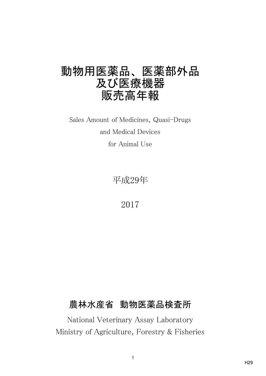# 動物用医薬品、 医薬部外品 及び医療機器 販売高年報

for Animal Use Sales Amount of Medicines, Quasi-Drugs and Medical Devices

平成29年

2017

# 農林水産省 動物医薬品検査所

National Veterinary Assay Laboratory Ministry of Agriculture, Forestry & Fisheries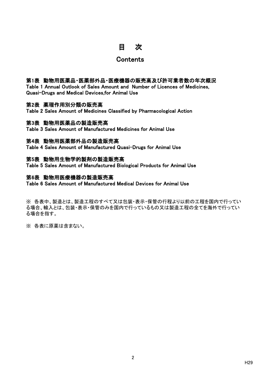## 目 次

### **Contents**

### 第1表 動物用医薬品・医薬部外品・医療機器の販売高及び許可業者数の年次概況

Table 1 Annual Outlook of Sales Amount and Number of Licences of Medicines, Quasi-Drugs and Medical Devices,for Animal Use

### 第2表 薬理作用別分類の販売高

Table 2 Sales Amount of Medicines Classified by Pharmacological Action

### 第3表 動物用医薬品の製造販売高

Table 3 Sales Amount of Manufactured Medicines for Animal Use

### 第4表 動物用医薬部外品の製造販売高

Table 4 Sales Amount of Manufactured Quasi-Drugs for Animal Use

### 第5表 動物用生物学的製剤の製造販売高

Table 5 Sales Amount of Manufactured Biological Products for Animal Use

### 第6表 動物用医療機器の製造販売高

Table 6 Sales Amount of Manufactured Medical Devices for Animal Use

※ 各表中、製造とは、製造工程のすべて又は包装・表示・保管の行程より以前の工程を国内で行ってい る場合、輸入とは、包装・表示・保管のみを国内で行っているもの又は製造工程の全てを海外で行ってい る場合を指す。

※ 各表に原薬は含まない。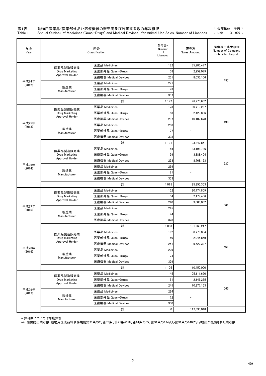# 第1表 動物用医薬品(医薬部外品) • 医療機器の販売高及び許可業者数の年次概況<br>Table 1 Annual Outlook of Medicines (Quasi-Drugs) and Medical Devices, for Animal U

Table 1 Annual Outlook of Medicines (Quasi-Drugs) and Medical Devices, for Animal Use Sales, Number of Licences

\* 許可数については年度集計

\*\* 届出提出業者数:動物用医薬品等取締規則第71条の2、第76条、第91条の58、第91条の65、第91条の134及び第91条の140により届出が提出された業者数

| 年次<br>Year      | 区分<br>Classification<br>医薬品 Medicines<br>医薬品製造販売業 |                      | 許可数*<br>Number<br>of<br>Licences | 販売高<br>Sales Amount | 届出提出業者数**<br>Number of Company<br>Submitted Report |
|-----------------|---------------------------------------------------|----------------------|----------------------------------|---------------------|----------------------------------------------------|
|                 |                                                   |                      | 182                              | 85,983,477          |                                                    |
|                 | Drug Marketing                                    | 医薬部外品 Quasi-Drugs    | 58                               | 2,259,079           |                                                    |
|                 | Approval Holder                                   | 医療機器 Medical Devices | 251                              | 8,033,106           |                                                    |
| 平成24年<br>(2012) |                                                   | 医薬品 Medicines        | 271                              |                     | 497                                                |
|                 | 製造業<br>Manufacturer                               | 医薬部外品 Quasi-Drugs    | 73                               |                     |                                                    |
|                 |                                                   | 医療機器 Medical Devices | 337                              |                     |                                                    |
|                 |                                                   | 計                    | 1,172                            | 96,275,662          |                                                    |
|                 |                                                   | 医薬品 Medicines        | 173                              | 80,719,287          |                                                    |
|                 | 医薬品製造販売業<br>Drug Marketing                        | 医薬部外品 Quasi-Drugs    | 58                               | 2,420,886           |                                                    |
|                 | Approval Holder                                   | 医療機器 Medical Devices | 237                              | 10,107,678          |                                                    |
| 平成25年<br>(2013) |                                                   | 医薬品 Medicines        | 258                              |                     | 498                                                |
|                 | 製造業<br>Manufacturer                               | 医薬部外品 Quasi-Drugs    | 77                               |                     |                                                    |
|                 |                                                   | 医療機器 Medical Devices | 328                              |                     |                                                    |
|                 |                                                   | 計                    | 1,131                            | 93,247,851          |                                                    |
|                 |                                                   | 医薬品 Medicines        | 165                              | 83,198,786          |                                                    |
|                 | 医薬品製造販売業<br>Drug Marketing                        | 医薬部外品 Quasi-Drugs    | 59                               | 3,888,404           |                                                    |
|                 | Approval Holder                                   | 医療機器 Medical Devices | 253                              | 8,768,163           |                                                    |
| 平成26年<br>(2014) |                                                   | 医薬品 Medicines        | 269                              |                     | 537                                                |
|                 | 製造業<br>Manufacturer                               | 医薬部外品 Quasi-Drugs    | 81                               |                     |                                                    |
|                 |                                                   | 医療機器 Medical Devices | 353                              |                     |                                                    |
|                 |                                                   | 計                    | 1,015                            | 95,855,353          |                                                    |
|                 | 医薬品製造販売業                                          | 医薬品 Medicines        | 152                              | 90,774,809          |                                                    |
|                 | Drug Marketing                                    | 医薬部外品 Quasi-Drugs    | 54                               | 2,177,406           |                                                    |
|                 | Approval Holder                                   | 医療機器 Medical Devices | 240                              | 9,008,032           |                                                    |
| 平成27年<br>(2015) |                                                   | 医薬品 Medicines        | 245                              |                     | 561                                                |
|                 | 製造業<br>Manufacturer                               | 医薬部外品 Quasi-Drugs    | 74                               |                     |                                                    |
|                 |                                                   | 医療機器 Medical Devices | 328                              |                     |                                                    |
|                 |                                                   | 計                    | 1,093                            | 101,960,247         |                                                    |
|                 | 医薬品製造販売業                                          | 医薬品 Medicines        | 162                              | 98,776,804          |                                                    |
|                 | Drug Marketing                                    | 医薬部外品 Quasi-Drugs    | 60                               | 2,045,869           |                                                    |
|                 | Approval Holder                                   | 医療機器 Medical Devices | 251                              | 9,627,327           |                                                    |
| 平成28年<br>(2016) |                                                   | 医薬品 Medicines        | 229                              |                     | 561                                                |
|                 | 製造業<br>Manufacturer                               | 医薬部外品 Quasi-Drugs    | 74                               |                     |                                                    |
|                 |                                                   | 医療機器 Medical Devices | 329                              |                     |                                                    |
|                 |                                                   | 計                    | 1,105                            | 110,450,000         |                                                    |
|                 | 医薬品製造販売業                                          | 医薬品 Medicines        | 145                              | 105,111,620         |                                                    |
|                 | Drug Marketing                                    | 医薬部外品 Quasi-Drugs    | 51                               | 2,146,265           |                                                    |
|                 | Approval Holder                                   | 医療機器 Medical Devices | 245                              | 10,377,163          | 565                                                |
| 平成29年<br>(2017) |                                                   | 医薬品 Medicines        | 224                              |                     |                                                    |
|                 | 製造業<br>Manufacturer                               | 医薬部外品 Quasi-Drugs    | 72                               |                     |                                                    |
|                 |                                                   | 医療機器 Medical Devices | 330                              |                     |                                                    |
|                 |                                                   | 計                    | $\pmb{0}$                        | 117,635,048         |                                                    |

金額単位 : 千円 Unit : ¥1,000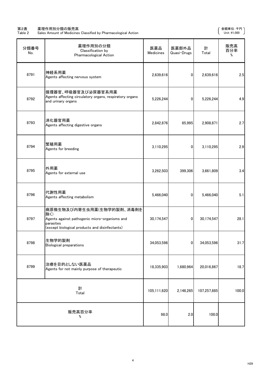### 第2表 薬理作用別分類の販売高 金額単位:千円

### Table 2 Sales Amount of Medicines Classified by Pharmacological Action Unit:\1,000

| 分類番号<br>No. | 薬理作用別の分類<br>Classification by<br><b>Pharmacological Action</b>                                                                                   | 医薬品<br><b>Medicines</b> | 医薬部外品<br>Quasi-Drugs | 計<br>Total  | 販売高<br>百分率<br>% |
|-------------|--------------------------------------------------------------------------------------------------------------------------------------------------|-------------------------|----------------------|-------------|-----------------|
| 8791        | 神経系用薬<br>Agents affecting nervous system                                                                                                         | 2,639,616               | 01                   | 2,639,616   | 2.5             |
| 8792        | 循環器官、呼吸器官及び泌尿器官系用薬 <br>Agents affecting circulatory organs, respiratory organs<br>and urinary organs                                             | 5,226,244               | $\Omega$             | 5,226,244   | 4.9             |
| 8793        | 消化器官用薬<br>Agents affecting digestive organs                                                                                                      | 2,842,876               | 65,995               | 2,908,871   | 2.7             |
| 8794        | 繁殖用薬<br>Agents for breeding                                                                                                                      | 3,110,295               | $\Omega$             | 3,110,295   | 2.9             |
| 8795        | 外用薬<br>Agents for external use                                                                                                                   | 3,262,503               | 399,306              | 3,661,809   | 3.4             |
| 8796        | 代謝性用薬<br>Agents affecting metabolism                                                                                                             | 5,466,040               | 0                    | 5,466,040   | 5.1             |
| 8797        | 病原微生物及び内寄生虫用薬(生物学的製剤、消毒剤を<br>除く)<br>Agents against pathogenic micro-organisms and<br>parasites<br>(except biological products and disinfectants) | 30,174,547              | 0                    | 30,174,547  | 28.1            |
| 8798        | 生物学的製剤<br><b>Biological preparations</b>                                                                                                         | 34,053,596              | $\bf{0}$             | 34,053,596  | 31.7            |
| 8799        | 治療を目的としない医薬品<br>Agents for not mainly purpose of therapeutic                                                                                     | 18,335,903              | 1,680,964            | 20,016,867  | 18.7            |
|             | 計<br>Total                                                                                                                                       | 105,111,620             | 2,146,265            | 107,257,885 | 100.0           |
|             | 販売高百分率<br>%                                                                                                                                      | 98.0                    | 2.0                  | 100.0       |                 |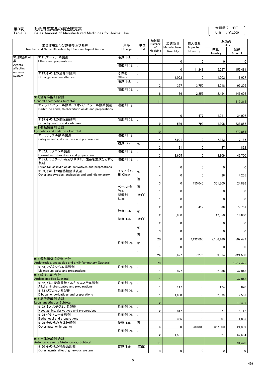### 第3表 動物用医薬品の製造販売高

### Table 3 Sales Amount of Manufactured Medicines for Animal Use

|                     | 薬理作用別の分類番号及び名称                                                           | 剤形               | 単位   | 品目数<br>Number       | 製造数量                     | 輸入数量                 | 販売高<br>Sales   |              |
|---------------------|--------------------------------------------------------------------------|------------------|------|---------------------|--------------------------|----------------------|----------------|--------------|
|                     | Number and Name Classified by Pharmacological Action                     | Dosage           | Unit | of<br>Medicine<br>s | Manufactured<br>Quantity | Imported<br>Quantity | 数量<br>Quantity | 金額<br>Amount |
| 91_神経系用<br>薬        | 9111_エーテル系製剤<br>Ethers and preparations                                  | 液剤 Solu.         |      |                     | 0                        | 0                    | 0              | $\mathbf 0$  |
| Agents<br>affecting |                                                                          | 注射剤 Inj.         | L    |                     | $\pmb{0}$                | 11,248               | 5,767          | 155,481      |
| nervous<br>system   | 9119 その他の全身麻酔剤<br>Other general anesthetics                              | その他<br>Others    |      |                     | 1,002                    | 0                    | 1,002          | 18,027       |
|                     |                                                                          | 液剤 Solu.         | L    | 2                   | 377                      | 3,750                | 4,218          | 93,205       |
|                     |                                                                          | 注射剤 Inj.         |      |                     |                          |                      |                |              |
|                     | 911_全身麻酔剤 合計                                                             |                  |      | 6                   | 186                      | 2,255                | 2,494          | 146,602      |
|                     | General anesthetics Subtotal<br>9121 バルビツール酸系. チオバルビツール酸系製剤              | 注射剤 Inj.         | IL.  | 11                  |                          |                      |                | 413,315      |
|                     | Barbituric acids, thiobarbituric acids and preparations                  |                  |      |                     |                          |                      |                |              |
|                     | 9129 その他の催眠鎮静剤                                                           | 注射剤 Inj.         | IL   |                     | 0                        | 1,477                | 1,011          | 34,007       |
|                     | Other hypnotics and sedatives<br>912 催眠鎮静剤 合計                            |                  |      | 9                   | 586                      | 792                  | 1,308          | 238,857      |
|                     | <b>Hypnotics and sadatives Subtotal</b><br> 9131_サリチル酸系製剤                | 注射剤 Inj.         | ΙL   | 10                  |                          |                      |                | 272,864      |
|                     | Salicylic acids, derivatives and preparations                            | 粒剤 Gra.          | kg   | 4                   | 6,991                    | $\pmb{0}$            | 7,313          | 17,186       |
|                     | 9132_ビラゾロン系製剤                                                            | 注射剤 Inj.         | L    | $\overline{2}$      | 31                       | 0                    | 27             | 832          |
|                     | Pyrazolone, derivatives and preparation<br>9135_ビラビタール系及びサリチル酸系を主成分とする   | 注射剤 Inj.         | L    | 3                   | 8,655                    | $\mathbf 0$          | 8,809          | 46,700       |
|                     | 製剤<br>Pyrabital, salicylic acids derivatives and prepatations            |                  |      |                     | 0                        | 0                    | 0              | $\mathbf{0}$ |
|                     | 9139 その他の解熱鎮痛消炎剤                                                         | チュアブル<br>剤 Chew. | kg   |                     |                          |                      |                |              |
|                     | Other antipyretics, analgesics and antiinflammatory                      |                  | 個    | 4                   | 0                        | 0                    | 26             | 4,255        |
|                     |                                                                          | ペースト剤            | 個    | 3                   | 0                        | 455,040              | 351,300        | 24,886       |
|                     |                                                                          | Pas.<br>懸濁剤      | (空白) |                     | 0                        | 0                    | $\mathbf 0$    | $\mathbf 0$  |
|                     |                                                                          | Susp.            |      |                     | 0                        | $\mathbf 0$          | $\mathbf 0$    | $\mathbf 0$  |
|                     |                                                                          | 散剤 Pulv.         | kg   | 2                   | 0                        | 419                  | 686            | 77,757       |
|                     |                                                                          | 錠剤 Tab.          | (空白) | $\overline{2}$      | 3,800                    | 0                    | 12,550         | 16,800       |
|                     |                                                                          |                  |      | $\overline{2}$      | 0                        | $\mathbf 0$          | $\mathbf 0$    | $\mathbf 0$  |
|                     |                                                                          |                  | kg   | 3                   | 0                        | $\pmb{0}$            | $\mathbf 0$    | $\mathbf 0$  |
|                     |                                                                          |                  | 個    | 20                  | 0                        | 7,492,096            | 7,156,460      | 502,479      |
|                     |                                                                          | 注射剤 Inj.         | kg   |                     | 0                        | $\bf{0}$             | $\mathbf 0$    | $\mathbf 0$  |
|                     |                                                                          |                  | L    | 24                  | 3,627                    | 7,275                | 9,614          | 821,580      |
|                     | 913 解熱鎮痛消炎剤 合計<br>Antipyretics, analgesics and antiinflammatory Subtotal |                  |      | 73                  |                          |                      |                | 1,512,475    |
|                     | 9153 マグネシウム塩製剤<br>Magnesium salts and preparations                       | 注射剤 Inj.         | IL.  |                     | 877                      | 0                    | 2,336          | 42,048       |
|                     | 915 鎮けい剤 合計<br>Antispasmodics Subtotal                                   |                  |      |                     |                          |                      |                |              |
|                     | 9162 アミノ安息香酸アルキルエステル製剤                                                   | 注射剤 Inj.         |      |                     |                          |                      |                | 42,048       |
|                     | Alkyl aminobenzoates and preparations<br>9163_ジブカイン系製剤                   | 注射剤 Inj.         | IL   |                     | 117                      | 0                    | 124            | 820          |
|                     | Dibucaine, derivatives and preparations<br>916 局所麻酔剤 合計                  |                  |      |                     | 1,680                    | 0                    | 2,679          | 9,586        |
|                     | Local anesthetics Subtotal<br>9172 ネオスチグミン系製剤                            | 注射剤 Inj.         | ΙL   | $\overline{2}$      |                          |                      |                | 10,406       |
|                     | Neostigmine, derivatives and preparations<br>9175 ベタネコール製剤               | 注射剤 Inj.         |      | $\overline{2}$      | 847                      | $\mathbf{0}$         | 877            | 5,112        |
|                     | Bethanecol and preparations<br>9179 その他の自律神経剤                            | 錠剤 Tab.          | 個    |                     | 335                      | 0                    | 301            | 1,805        |
|                     | Other autonomic agents                                                   | 注射剤 Inj.         | IL.  | 6                   | 0                        | 280,800              | 357,900        | 21,809       |
|                     | 917 自律神経剤 合計                                                             |                  |      | $\overline{2}$      | 1,501                    | 0                    | 627            | 62,694       |
|                     | Autonomic agents (Autonomics) Subtotal                                   |                  |      | 11                  |                          |                      |                | 91,420       |
|                     | 9190_その他の神経系用薬<br>Other agents affecting nervous system                  | 錠剤 Tab.          | (空白) | 3                   | 0                        | 0                    | 0              | $\mathbf 0$  |

Unit : ¥1,000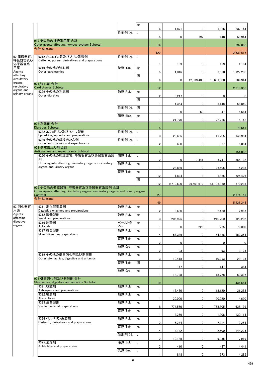|                             |                                                                                                                                               |          | kg  |                 |                        |                      |                 |                                                   |
|-----------------------------|-----------------------------------------------------------------------------------------------------------------------------------------------|----------|-----|-----------------|------------------------|----------------------|-----------------|---------------------------------------------------|
|                             |                                                                                                                                               |          |     | $6\phantom{.0}$ | 1,871                  | $\mathbf 0$          | 1,966           | 237,144                                           |
|                             |                                                                                                                                               | 注射剤 Inj. |     | 5               | 0                      | 197                  | 148             | 59,944                                            |
|                             | 919 その他の神経系用薬 合計                                                                                                                              |          |     |                 |                        |                      |                 |                                                   |
|                             | Other agents affecting nervous system Subtotal<br>合計 Subtotal                                                                                 |          |     | 14              |                        |                      |                 | 297,088                                           |
|                             |                                                                                                                                               |          |     | 122             |                        |                      |                 | 2,639,616                                         |
| 92_循環器官,<br>呼吸器官及び<br>泌尿器官系 | 9212_カフェイン系及びプリン系製剤<br>Caffeine, purine, derivatives and preparations                                                                         | 注射剤 Inj. | IL. |                 | 169                    | 0                    | 169             | 1,184                                             |
| 用薬<br>Agents                | 9219_その他の強心剤<br>Other cardiotonics                                                                                                            | 錠剤 Tab.  | kg  | 5               | 4,016                  | 0                    | 3,660           | 1,727,230                                         |
| affecting                   |                                                                                                                                               |          | 個   |                 |                        |                      |                 |                                                   |
| circulatory<br>organs,      | 921 強心剤 合計                                                                                                                                    |          |     | $6\phantom{.0}$ | 0                      | 12,039,400           | 13,637,500      | 589,944                                           |
| respiratory<br>organs and   | <b>Cardiotonics Subtotal</b>                                                                                                                  |          |     | 12              |                        |                      |                 | 2,318,358                                         |
| urinary organs              | 9229 その他の利尿剤<br>Other diuretics                                                                                                               | 散剤 Pulv. | kg  | $\overline{2}$  | 3,217                  | $\mathbf 0$          | 0               | $\bf{0}$                                          |
|                             |                                                                                                                                               |          | 個   |                 |                        |                      |                 |                                                   |
|                             |                                                                                                                                               | 注射剤 Inj. | 個   |                 | 4,354                  | 0                    | 5,148           | 58,840                                            |
|                             |                                                                                                                                               |          |     | 1               | 0                      | 60                   | 47              | 5,664                                             |
|                             |                                                                                                                                               | 舐剤 Elec. | kg  | 1               | 21,770                 | $\mathbf 0$          | 22,266          | 15,143                                            |
|                             | 922_利尿剤 合計<br><b>Diuretics Subtotal</b>                                                                                                       |          |     | $5\phantom{.0}$ |                        |                      |                 | 79,647                                            |
|                             | 9232_エフェドリン及びマオウ製剤                                                                                                                            | 注射剤 Inj. | IL. |                 |                        |                      |                 |                                                   |
|                             | Ephedrine, ephedra and preparations<br>9239 その他の鎮咳去たん剤                                                                                        | 注射剤 Inj. | IL. | 3               | 20,665                 | $\mathbf 0$          | 19,705          | 148,994                                           |
|                             | Other antitussives and expectorants                                                                                                           |          |     | $\overline{2}$  | 690                    | 0                    | 837             | 5,094                                             |
|                             | 923 鎮咳去たん剤 合計<br>Antitussives and expectorants Subtotal                                                                                       |          |     | $\overline{5}$  |                        |                      |                 | 154,088                                           |
|                             | 9290_その他の循環器官, 呼吸器官及び泌尿器官系製                                                                                                                   | 液剤 Solu. | IL. |                 |                        |                      |                 |                                                   |
|                             | 鬧<br>Other agents affecting circulatory organs, respiratory<br>organs and urinary organs                                                      | 散剤 Pulv. | kg  | 2 <sup>1</sup>  | $\mathbf{0}$<br>28,886 | 7,441<br>$\mathbf 0$ | 5,741<br>26,405 | 364,132<br>14,298                                 |
|                             |                                                                                                                                               | 錠剤 Tab.  | kg  |                 |                        |                      |                 |                                                   |
|                             |                                                                                                                                               |          | 個   | 12              | 1,824                  | 3                    | 1,885           | 725,426                                           |
|                             |                                                                                                                                               |          |     | 12              | 9,710,600              | 29,601,612           | 41,106,360      | 1,570,295                                         |
|                             | 929 その他の循環器官, 呼吸器官及び泌尿器官系製剤 合計<br>Other agents affecting circulatory organs, respiratory organs and urinary organs<br>Subtotal<br>合計 Subtotal |          |     | 27              |                        |                      |                 | 2,674,151                                         |
|                             |                                                                                                                                               |          |     | 49              |                        |                      |                 | 5,226,244                                         |
| 93_消化器官<br>用薬               | 9311_消化酵素製剤<br>Digestive enzymes and preparations                                                                                             | 散剤 Pulv. | kg  | $\overline{2}$  | 3,680                  | 0                    | 2,480           | 2,987                                             |
| Agents                      | 9312 酵母製剤                                                                                                                                     | 散剤 Pulv. | kg  |                 |                        |                      |                 |                                                   |
| affecting<br>digestive      | Yeast and preparations<br>9316 制酸剤                                                                                                            | ペースト剤    | kg  | 3               | 205,925                | $\mathbf 0$          | 210,700         | 123,202                                           |
| organs                      | Antacids                                                                                                                                      | Pas.     |     |                 | 0                      | 226                  | 225             | 73,080                                            |
|                             | 9317_複合製剤<br>Mixed digestive preparations                                                                                                     | 散剤 Pulv. | kg  | 4               | 54,336                 |                      |                 |                                                   |
|                             |                                                                                                                                               | 錠剤 Tab.  | kg  |                 |                        |                      |                 |                                                   |
|                             |                                                                                                                                               |          |     |                 |                        | $\mathbf 0$          | 54,886          |                                                   |
|                             |                                                                                                                                               | 粒剤 Gra.  | kg  | $\overline{2}$  | 0                      | $\mathbf 0$          | 0               |                                                   |
|                             |                                                                                                                                               |          |     | $\overline{2}$  | 93                     | $\mathbf 0$          | 93              |                                                   |
|                             | 9319_その他の健胃消化剤及び制酸剤<br>Other stomachics, digestive and antacids                                                                               | 散剤 Pulv. | kg  | 3               | 10,418                 | 0                    | 10,293          |                                                   |
|                             |                                                                                                                                               | 錠剤 Tab.  | 個   |                 |                        |                      |                 |                                                   |
|                             |                                                                                                                                               | 粒剤 Gra.  | kg  |                 | 147                    | 0                    | 147             | 152,354<br>$\mathbf{0}$<br>3,125<br>29,135<br>384 |
|                             |                                                                                                                                               |          |     |                 | 18,728                 | 0                    | 18,728          | 50,397                                            |
|                             | 931 健胃消化剤及び制酸剤 合計<br>Stomachics, digestive and antacids Subtotal                                                                              |          |     | 19              |                        |                      |                 | 434,664                                           |
|                             | 9321 収斂剤<br>Astringents and preparations                                                                                                      | 散剤 Pulv. | kg  |                 |                        |                      |                 |                                                   |
|                             | 9322 吸着剤                                                                                                                                      | 散剤 Pulv. | kg  |                 | 15,460                 | 0                    | 18,120          | 21,283                                            |
|                             | Absorptives<br>9323_生菌製剤                                                                                                                      | 散剤 Pulv. | kg  | $\mathbf{1}$    | 20,000                 | 0                    | 20,020          |                                                   |
|                             | Viable bacterial preparations                                                                                                                 |          |     | 8               | 774,560                | $\mathbf 0$          | 768,805         |                                                   |
|                             |                                                                                                                                               | 錠剤 Tab.  | kg  | 1               | 2,256                  | $\mathbf 0$          | 1,908           |                                                   |
|                             | 9324 ベルベリン系製剤                                                                                                                                 | 散剤 Pulv. | kg  |                 |                        |                      |                 |                                                   |
|                             | Berberin, derivatives and preparations                                                                                                        | 錠剤 Tab.  | kg  | $\overline{2}$  | 6,244                  | $\mathbf 0$          | 7,314           |                                                   |
|                             |                                                                                                                                               |          |     | 4               | 3,132                  | $\mathbf 0$          | 2,600           | 4,630<br>635,199<br>144,225                       |
|                             |                                                                                                                                               | 注射剤 Inj. | IL. | $\overline{2}$  | 10,185                 | 0                    | 9,935           | 17,919                                            |
|                             | 9325_消泡剤<br>Antibubble and preparations                                                                                                       | 液剤 Solu. | L.  |                 |                        |                      |                 |                                                   |
|                             |                                                                                                                                               | 乳剤 Emu.  | IL. | 3               | 410<br>848             | 0<br>$\bf{0}$        | 447<br>673      | 130,114<br>12,254<br>4,441<br>4,286               |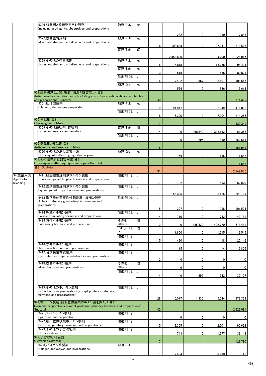|                       | 9326_収斂剤と吸着剤を含む製剤<br>Including astringents, absorptives and preparations                                        | 散剤 Pulv.           | kg  |                |             |                |           |             |
|-----------------------|-----------------------------------------------------------------------------------------------------------------|--------------------|-----|----------------|-------------|----------------|-----------|-------------|
|                       |                                                                                                                 |                    |     |                | 282         | 0              | 280       | 7,841       |
|                       | 9327 複合整胃腸剤<br>Mixed antistomach, antidiarrhoics and preparations                                               | 散剤 Pulv.           | kg  |                |             |                |           |             |
|                       |                                                                                                                 |                    |     | 8              | 108,835     | 0              | 97,947    | 213,697     |
|                       |                                                                                                                 | 錠剤 Tab.            | 錠   |                |             |                |           |             |
|                       | 9329 その他の整胃腸剤                                                                                                   | 散剤 Pulv.           | kg  | $\mathbf{1}$   | 2,583,800   | $\mathbf 0$    | 2,194,700 | 28,916      |
|                       | Other antistomach, antidiarrhoics and preparations                                                              | 錠剤 Tab.            | kg  | 6              | 15,815      | 0              | 15,755    | 94,434      |
|                       |                                                                                                                 |                    |     | 3              | 519         | 0              | 656       | 80,821      |
|                       |                                                                                                                 | 注射剤 Inj.           | L   | 6              | 7,402       | 367            | 8,601     | 108,666     |
|                       |                                                                                                                 | 粒剤 Gra.            | kg  | 1              | 566         | 0              | 836       | 5,613       |
|                       | 932 整胃腸剤(止瀉, 吸着, 消泡剤を含む。)合計                                                                                     |                    |     |                |             |                |           |             |
|                       | Antistomachics, antidiarrhoics (including absorptives, antidiarrhoics, antibubble<br>and preparations) Subtotal |                    |     | 49             |             |                |           | 1,514,339   |
|                       | 9351 胆汁酸製剤<br>Bile acid, derivatives preparation                                                                | 散剤 Pulv.           | kg  | 9              | 94,947      | 0              | 92,049    | 416,093     |
|                       |                                                                                                                 | 注射剤 Inj.           | IL. |                |             |                |           |             |
|                       | 935_利胆剤 合計                                                                                                      |                    |     | 8              | 6,390       | $\mathbf 0$    | 7,004     | 114,256     |
|                       | <b>Cholagogues Subtotal</b><br>9369 その他鎮吐剤, 催吐剤                                                                 | 錠剤 Tab.            | 個   | 17             |             |                |           | 530,349     |
|                       | Other antiemetics and emetics                                                                                   |                    |     | 4              | $\mathbf 0$ | 268,840        | 338,152   | 88,367      |
|                       |                                                                                                                 | 注射剤 Inj.           | L   | 1              | 0           | 296            | 830       | 263,614     |
|                       | 936_鎮吐剤,催吐剤合計<br>Antiemetics and emetics Subtotal                                                               |                    |     | $\sqrt{5}$     |             |                |           | 351,981     |
|                       | 9390 その他の消化器官用薬                                                                                                 | 粒剤 Gra.            | kg  |                |             |                |           |             |
|                       | Other agents affecting digestive organs<br>939_その他の消化器官用薬 合計                                                    |                    |     |                | 166         | $\mathbf 0$    | 166       | 11,543      |
|                       | Other agents affecting digestive organs Subtotal<br>合計 Subtotal                                                 |                    |     |                |             |                |           | 11,543      |
|                       |                                                                                                                 |                    |     | 91             |             |                |           | 2,842,876   |
| 94_繁殖用薬<br>Agents for | 9411 胎盤性性腺刺激ホルモン製剤<br>Chorionic gonadotrophic hormone and preparations                                          | 注射剤 Inj.           |     |                |             |                |           |             |
| breeding              | 9412 血清性性腺刺激ホルモン製剤                                                                                              | 注射剤 Inj.           |     | 17             | 702         | 0              | 693       | 82,820      |
|                       | Equine gonadotropic hormone and preparations                                                                    |                    |     |                |             |                |           |             |
|                       | 9413 脳下垂体前葉性性腺刺激ホルモン製剤                                                                                          | 注射剤 Inj.           |     | 11             | 55,326      | $\mathbf 0$    | 3,185     | 329,109     |
|                       | Anterior pituitary gonadotrophic hormone and<br>preparations                                                    |                    |     |                |             |                |           |             |
|                       | 9414_卵胞ホルモン製剤                                                                                                   | 注射剤 Inj.           |     | 5              | 297         | 0              | 298       | 101,534     |
|                       | Follicle stimulating hormone and preparations                                                                   |                    |     | 4              | 710         | $\mathbf 0$    | 742       | 43,181      |
|                       | 9415 黄体ホルモン製剤<br>Luteinizing hormone and preparations                                                           | その他<br>Others      | 個   | 3              | 0           | 435,420        | 402,770   | 618,481     |
|                       |                                                                                                                 | ペレット剤<br>Pel.      | 個   | 1              | 1,800       | 0              | 1,515     | 3,545       |
|                       |                                                                                                                 | 注射剤 Inj.           | IL. |                |             |                |           |             |
|                       | 9416 睾丸ホルモン製剤                                                                                                   | 注射剤 Inj.           | IL  | 5              | 490         | 5 <sup>5</sup> | 418       | 27,146      |
|                       | Testicular hormone and preparations<br>9417_合成発情物質製剤                                                            | 注射剤 Inj.           | L   |                | 15          | $\mathbf 0$    | 14        | 6,805       |
|                       | Synthetic oestrogenic substionces and preparations                                                              |                    |     |                |             |                |           |             |
|                       | 9418_複合ホルモン製剤                                                                                                   | その他                | 個   | $\overline{2}$ | 0           | 0              | 0         | $\bf{0}$    |
|                       | Mixed hormone and preparations                                                                                  | Others<br>注射剤 Inj. | IL. | 1              | 0           | 0              | 0         | $\mathbf 0$ |
|                       |                                                                                                                 |                    |     | 4              | 0           | 292            | 342       | 30,107      |
|                       |                                                                                                                 |                    |     |                |             |                |           |             |
|                       | 9419_その他のホルモン製剤<br>Other hormone preparations (except posterior pituitary                                       | 注射剤 Inj.           |     |                |             |                |           |             |
|                       | hormone and preparations)                                                                                       |                    |     | 28             | 5,017       | 1,335          | 5,644     | 1,379,353   |
|                       | 941 ホルモン製剤(脳下垂体後葉ホルモン剤を除く。)合計                                                                                   |                    |     |                |             |                |           |             |
|                       | Hormone preparations (except posterior-pituitary hormone and preparations)<br>Subtotal                          |                    |     | 82             |             |                |           | 2,622,081   |
|                       | 9421 スパルテイン製剤<br>Sparteine and preparation                                                                      | 注射剤 Inj.           | IL. | $\mathbf{1}$   | 0           | $\mathbf 0$    | 0         | $\bf{0}$    |
|                       | 9422 脳下垂体後葉ホルモン製剤<br>Posterior pituitary hormone and preparations                                               | 注射剤 Inj.           | L.  |                |             |                |           |             |
|                       | 9429 その他の子宮収縮剤                                                                                                  | 注射剤 Inj.           | IL. | 5              | 2,355       | 0              | 2,601     | 90,632      |
|                       | Other oxytocics<br>942 子宮収縮剤 合計                                                                                 |                    |     | 1              | 743         | $\mathbf 0$    | 1,277     | 33,148      |
|                       | <b>Oxytocics Subtotal</b><br>9433 ハロゲン系製剤                                                                       |                    |     | $\overline{7}$ |             |                |           | 123,780     |
|                       | Halogen derivatives and preparations                                                                            | 液剤 Solu.           |     |                |             |                |           |             |
|                       |                                                                                                                 |                    |     | 1              | 7,694       | $\mathbf 0$    | 8,790     | 10, 115     |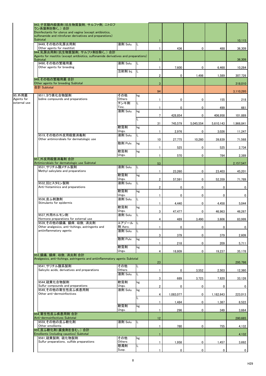|                      | 943_子宮膣内殺菌剤(抗生物質製剤, サルファ剤, ニトロフ<br>ラン系製剤を除く。)合計<br>Disinfectants for uterus and vagina (except antibiotics,<br>sulfonamide and nitrofuran derivatives and preparations) |                    |           |                |             |                |           |                  |
|----------------------|-------------------------------------------------------------------------------------------------------------------------------------------------------------------------|--------------------|-----------|----------------|-------------|----------------|-----------|------------------|
|                      | Subtotal<br>9449_その他の乳房炎用剤<br>Other agents for mastitist                                                                                                                | 液剤 Solu.           | IL.       |                |             |                |           | 10,115           |
|                      | 944 乳房炎用剤(抗生物質製剤, サルファ剤を除く。)合計<br>Agents for mastitis (except antibiotics, sulfonamide derivatives and preparations)<br>Subtotal                                        |                    |           |                | 436         | 0              | 488       | 36,309<br>36,309 |
|                      | 9490 その他の繁殖用薬<br>Other agents for breeding                                                                                                                              | 液剤 Solu.           | 1L        |                | 7,600       | 0              | 6,468     | 10,284           |
|                      |                                                                                                                                                                         | 注射剤 Inj.           | IL        | $\overline{2}$ | $\bf{0}$    | 1,498          | 1,589     | 307,726          |
|                      | 949 その他の繁殖用薬 合計<br>Other agents for breeding Subtotal                                                                                                                   |                    |           | $\mathbf{3}$   |             |                |           | 318,010          |
|                      | 合計 Subtotal                                                                                                                                                             |                    |           | 94             |             |                |           | 3,110,295        |
| 95_外用薬<br>Agents for | 9511 ヨウ素化合物製剤<br>lodine compounds and preparations                                                                                                                      | その他<br>Others      | kg        |                | $\mathbf 0$ | $\mathbf 0$    | 155       | 218              |
| external use         |                                                                                                                                                                         | チンキ剤<br>Tinc.      | L         |                | $\mathbf 0$ | 0              | 499       | 661              |
|                      |                                                                                                                                                                         | 液剤 Solu.           | kg        | 7              | 428,854     | $\mathbf 0$    | 406,958   | 101,889          |
|                      |                                                                                                                                                                         |                    | L         | 31             | 745,579     | 5,045,554      | 5,610,143 | 1,966,841        |
|                      |                                                                                                                                                                         | 軟膏剤<br>Ungu.       | kg        |                | 2,976       | $\mathbf 0$    | 3,026     | 11,247           |
|                      | 9519 その他の外皮用殺菌消毒剤<br>Other antimicrobials for dermatologic use                                                                                                          | 液剤 Solu.           | IL        | 10             | 27,775      | 10,260         | 39,839    | 71,568           |
|                      |                                                                                                                                                                         | 散剤 Pulv.           | kg        |                | 525         | 0              | 525       | 2,734            |
|                      |                                                                                                                                                                         | 軟膏剤<br>Ungu.       | kg        |                | 570         | $\mathbf 0$    | 784       | 2,389            |
|                      | 951_外皮用殺菌消毒剤 合計<br>Antimicrobials for dermatologic use Subtotal                                                                                                         |                    |           | 53             |             |                |           | 2,157,547        |
|                      | 9531_サリチル酸メチル製剤<br>Methyl salicylate and preparations                                                                                                                   | 液剤 Solu.           | IL.       |                | 23,260      | 0              | 23,403    | 45,201           |
|                      |                                                                                                                                                                         | 軟膏剤<br>Ungu.       | kg        | $2^{\circ}$    | 57,591      | $\mathbf 0$    | 52,359    | 71,789           |
|                      | 9532_抗ヒスタミン製剤<br>Anti-histaminics and preparations                                                                                                                      | 液剤 Solu.           | IL        | $\overline{2}$ | 0           | 0              | 0         | 0                |
|                      |                                                                                                                                                                         | 軟膏剤<br>Ungu.       | kg        |                | 0           | $\mathbf 0$    | 0         | 0                |
|                      | 9536_皮ふ刺激剤<br>Stimulants for epidermis                                                                                                                                  | 液剤 Solu.           | IL.       |                | 4,440       | $\mathbf 0$    | 4,458     | 5,044            |
|                      |                                                                                                                                                                         | 軟膏剤<br>Ungu.       | kg        | 3              | 47,477      | 0              | 46,963    | 46,267           |
|                      | 9537_外用ホルモン剤<br>Hormone preparations for external use                                                                                                                   | 液剤 Solu.           | IL        | 4              | 489         | 3,490          | 3,606     | 83,999           |
|                      | 9539_その他の鎮痛, 鎮痒, 収斂, 消炎剤<br>Other analgesics, anti-itchings, astringents and                                                                                            | エアゾール<br>剤 Aero.   | <b>IL</b> |                | $\mathbf 0$ | 0              | 0         | 0                |
|                      | antiinflammatory agents                                                                                                                                                 | 液剤 Solu.           | L         | 3              | 379         | $\mathbf 0$    | 379       | 2,609            |
|                      |                                                                                                                                                                         | 散剤 Pulv.           | kg        |                | 218         | $\mathbf 0$    | 209       | 5,711            |
|                      |                                                                                                                                                                         | 軟膏剤<br>Ungu.       | kg        | 4              | 18,809      | $\mathbf 0$    | 19,237    | 35,178           |
|                      | 953 鎮痛, 鎮痒, 収斂, 消炎剤 合計<br>Analgesics, anti-itchings, astringents and antiinflammatory agents Subtotal                                                                   |                    |           |                |             |                |           |                  |
|                      | 9541_サリチル酸系製剤                                                                                                                                                           | その他                | L         | 23             |             |                |           | 295,798          |
|                      | Salicylic acids, derivatives and preparations                                                                                                                           | Others<br>液剤 Solu. | IL.       | $\mathbf{1}$   | 0           | 3,552          | 2,503     | 12,360           |
|                      | 9544_硫黄化合物製剤                                                                                                                                                            | 軟膏剤                | kg        | 3              | 689         | 3,723          | 7,820     | 33,126           |
|                      | Sulfur compounds and preparations<br>9549 その他の寄生性皮ふ疾患用剤                                                                                                                 | Ungu.<br>液剤 Solu.  | kg        | $\overline{2}$ | 0           | 0              | 0         | 0                |
|                      | Other anti-dermoinfectives                                                                                                                                              |                    |           | 4              | 1,083,077   | $\overline{0}$ | 1,182,643 | 223,013          |
|                      |                                                                                                                                                                         | 軟膏剤                | kg        |                | 1,484       | $\mathbf 0$    | 1,387     | 8,522            |
|                      |                                                                                                                                                                         | Ungu.              |           | $\mathbf{1}$   | 296         | $\mathbf 0$    | 349       | 3,664            |
|                      | 954 寄生性皮ふ疾患用剤 合計<br>Anti-dermoinfectives Subtotal                                                                                                                       |                    |           | 12             |             |                |           | 280,685          |
|                      | 9559_その他の皮ふ軟化剤<br>Other emollients                                                                                                                                      | 液剤 Solu.           | IL        | $\mathbf{1}$   | 780         | 0              | 755       | 4,132            |
|                      | 955 皮ふ軟化剤(腐食剤を含む。)合計<br>Emollients (including caustics) Subtotal                                                                                                        |                    |           |                |             |                |           | 4,132            |
|                      | 9561_硫黄製剤, 硫化物製剤<br>Sulfur preparations, sulfide preparations                                                                                                           | その他<br>Others      | kg        |                | 1,958       | 0              | 1,457     | 3,692            |
|                      |                                                                                                                                                                         | 懸濁剤<br>Susp.       | L         |                | $\mathbf 0$ | $\mathbf 0$    | 0         | $\mathbf{0}$     |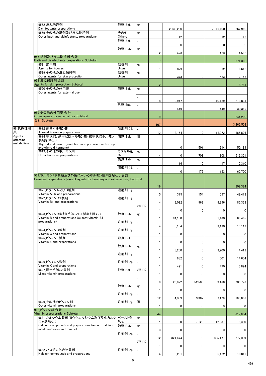|                     | 9562 皮ふ洗浄剤<br>Disinfectants preparations                                          | 液剤 Solu.           | kg   | 1                       |             |              |              |                  |
|---------------------|-----------------------------------------------------------------------------------|--------------------|------|-------------------------|-------------|--------------|--------------|------------------|
|                     | 9569 その他の浴剤及び皮ふ洗浄剤                                                                | その他                | kg   |                         | 2,130,280   | 0            | 2,116,100    | 262,960          |
|                     | Other bath and disinfectants preparations                                         | Others<br>液剤 Solu. | L    | 1                       | 12          | $\mathbf 0$  | 12           | 115              |
|                     |                                                                                   |                    |      |                         | 0           | 0            | 0            | $\bf{0}$         |
|                     |                                                                                   | 散剤 Pulv.           | kg   | $\overline{\mathbf{c}}$ | 423         | 0            | 423          | 4,593            |
|                     | 956 浴剤及び皮ふ洗浄剤 合計                                                                  |                    |      |                         |             |              |              |                  |
|                     | Bath and disinfectants preparations Subtotal<br>9581 蹄用剤                          | 軟膏剤                | kg   | $\overline{7}$          |             |              |              | 271,360          |
|                     | Agents for hooves                                                                 | Ungu.              |      | 1                       | 829         | $\mathbf 0$  | 892          | 6,618            |
|                     | 9589_その他の皮ふ保護剤<br>Other agents for skin protection                                | 軟膏剤<br>Ungu.       | kg   | $\mathbf{1}$            | 373         | $\mathbf 0$  | 583          | 2,163            |
|                     | 958 皮ふ保護剤 合計                                                                      |                    |      |                         |             |              |              |                  |
|                     | Agents for skin protection Subtotal<br>9590 その他の外用薬                               | 液剤 Solu.           | kg   | $\overline{2}$          |             |              |              | 8,781            |
|                     | Other agents for external use                                                     |                    |      |                         |             |              |              |                  |
|                     |                                                                                   |                    |      | 8                       | 9,947       | 0            | 10,139       | 213,831          |
|                     |                                                                                   | 乳剤 Emu.            |      | 1                       | 449         | $\mathbf 0$  | 449          | 30,369           |
|                     | 959 その他の外用薬 合計                                                                    |                    |      |                         |             |              |              |                  |
|                     | Other agents for external use Subtotal<br>合計 Subtotal                             |                    |      | 9                       |             |              |              | 244,200          |
|                     |                                                                                   |                    |      | 107                     |             |              |              | 3,262,503        |
| 96_代謝性用<br>薬        | 9612 副腎ホルモン剤<br>Adrenal hormone preparations                                      | 注射剤 Inj.           |      | 12                      | 12,154      | 0            | 11,972       | 165,804          |
| Agents<br>affecting | 9614_甲状腺, 副甲状腺ホルモン剤(抗甲状腺ホルモン<br>製剤を除く。)                                           | 液剤 Solu.           | 個    |                         |             |              |              |                  |
| metabolism          | Thyroid and para-thyroid hormone preparations (except                             |                    |      |                         |             |              |              |                  |
|                     | anti-thyroid hormone)<br>9619 その他のホルモン剤                                           | カプセル剤              | kg   | 1                       | 0           | 501          | 314          | 50,189           |
|                     | Other hormone preparations                                                        | Cap.<br>錠剤 Tab.    | kg   | 4                       | 0           | 708          | 808          | 513,321          |
|                     |                                                                                   |                    |      |                         | 16          | $\mathbf 0$  | 17           | 17,310           |
|                     |                                                                                   | 注射剤 Inj.           | IL.  | 1                       | 0           | 176          | 163          | 62,700           |
|                     | 961_ホルモン剤(繁殖及び外用に用いるホルモン製剤を除く。)合計                                                 |                    |      |                         |             |              |              |                  |
|                     | Hormone preparations (except agents for breeding and external use) Subtotal       |                    |      |                         |             |              |              |                  |
|                     | 9621 ビタミンA及びD製剤                                                                   | 注射剤 Inj.           |      | 19                      |             |              |              | 809,324          |
|                     | Vitamin A, D and preparations                                                     |                    |      | 5                       | 375         | 154          | 597          | 49,418           |
|                     | 9622_ビタミンB1製剤<br>Vitamin B1 and preparations                                      | 注射剤 Inj.           | L.   | 4                       | 9,022       | 962          | 8,996        | 86,338           |
|                     |                                                                                   |                    | (空白) |                         |             |              |              |                  |
|                     | 9623_ビタミンB製剤(ビタミンB1製剤を除く。)                                                        | 散剤 Pulv.           | kg   | 1                       | 0           | $\mathbf 0$  | $\mathbf{0}$ | 0                |
|                     | Vitamin B and preparations (except vitamin B1<br>preparations)                    | 注射剤 Inj.           | L    | 1                       | 84,100      | $\mathbf 0$  | 81,480       | 68,465           |
|                     |                                                                                   |                    |      | 4                       | 3,104       | $\mathbf 0$  | 3,130        | 13,113           |
|                     | 9624 ビタミンC製剤<br>Vitamin C and preparations                                        | 注射剤 Inj.           |      | 1                       | 0           | $\mathbf 0$  | 0            | $\mathbf 0$      |
|                     | 9625 ビタミンE製剤                                                                      | 液剤 Solu.           |      |                         |             |              |              |                  |
|                     | Vitamin E and preparations                                                        | 散剤 Pulv.           | kg   | -1                      | 0           | $\mathbf 0$  | 0            | $\mathbf 0$      |
|                     |                                                                                   | 注射剤 Inj.           | L    | 1                       | 3,200       | $\mathbf 0$  | 3,200        | 4,413            |
|                     |                                                                                   |                    |      | 1                       | 682         | $\mathbf 0$  | 601          | 14,654           |
|                     | 9626 ビタミンK製剤<br>Vitamin K and preparations                                        | 注射剤 Inj.           | L    | 1                       | 421         | $\mathbf 0$  | 470          | 6,824            |
|                     | 9627_混合ビタミン製剤                                                                     | 液剤 Solu.           | (空白) |                         |             |              |              |                  |
|                     | Mixed vitamin preparations                                                        |                    |      | $\mathbf{1}$            | $\mathbf 0$ | $\mathbf 0$  | $\mathbf 0$  | $\mathbf 0$      |
|                     |                                                                                   | 散剤 Pulv.           |      | 9                       | 28,822      | 52,588       | 89,168       | 205,773          |
|                     |                                                                                   |                    | kg   | 1                       | 0           | $\mathbf{0}$ | 0            | $\mathbf 0$      |
|                     |                                                                                   | 注射剤 Inj.           |      | 12                      | 4,059       | 3,382        | 7,128        | 168,866          |
|                     | 9629_その他のビタミン剤                                                                    | 注射剤 Inj.           | 個    |                         |             |              |              |                  |
|                     | Other vitamin preparations<br>962 ビタミン剤 合計                                        |                    |      | -1                      | $\bf{0}$    | 0            | $\mathbf 0$  | $\bf{0}$         |
|                     | Vitamin preparerations Subtotal                                                   |                    |      | 44                      |             |              |              | 617,864          |
|                     | 9631_カルシウム製剤(ヨウ化カルシウム及び臭化カルシ<br>ウムを除く。)                                           | ペースト剤<br>Pas.      | kg   | 1                       | 0           | 7,128        | 12,037       | 18,390           |
|                     | Calcium compounds and preparations (except calcium<br>iodide and calcium bromide) | 散剤 Pulv.           | kg   |                         |             |              |              |                  |
|                     |                                                                                   | 注射剤 Inj.           | L.   | 3                       | 0           | $\mathbf 0$  | 0            | $\bf{0}$         |
|                     |                                                                                   |                    | (空白) | 12                      | 321,674     | 0            | 335,177      | 277,009          |
|                     |                                                                                   |                    |      | 1                       | $\bf{0}$    | 0            | 0            | $\boldsymbol{0}$ |
|                     | 9632 ハロゲン化合物製剤<br>Halogen compounds and preparations                              | 注射剤 Inj.           | L    | 4                       | 5,251       | $\mathbf 0$  | 6,422        | 10,819           |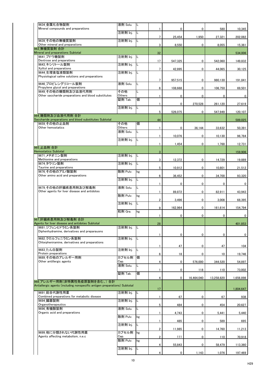| 9634_金属化合物製剤<br>Mineral compounds and preparations                          | 液剤 Solu.           | IL. |                |           |             |            |              |
|-----------------------------------------------------------------------------|--------------------|-----|----------------|-----------|-------------|------------|--------------|
|                                                                             | 注射剤 Inj.           | IL. |                | $\bf{0}$  | $\mathbf 0$ | 580        | 10,345       |
| 9639 その他の無機質製剤                                                              | 注射剤 Inj.           | IL. | $\overline{7}$ | 25,454    | 1,950       | 27,321     | 202,082      |
| Other mineral and preparations<br>963 無機質製剤 合計                              |                    |     | 3 <sup>1</sup> | 8,550     | $\bf{0}$    | 8,055      | 15,361       |
| Mineral and preparations Subtotal                                           |                    |     | 32             |           |             |            | 534,006      |
| 9641 ブドウ糖製剤<br>Dextrose and preparations                                    | 注射剤 Inj.           | IL. | 17             | 547,325   | 0           | 542,060    | 149,832      |
| 9643_キシリトール製剤<br>Xylitol and preparations                                   | 注射剤 Inj.           | IL. |                |           |             |            |              |
| 9644_生理食塩液類製剤                                                               | 注射剤 Inj.           | IL. | $\overline{7}$ | 42,895    | 0           | 44,065     | 30,125       |
| Physiological saline solutions and preparations                             |                    |     | $7^{\circ}$    | 957,515   | $\bf{0}$    | 980,130    | 191,841      |
| 9646 プロピレングリコール製剤<br>Propylene glycol and preparations                      | 液剤 Solu.           | IL. | 6              | 108,668   | 0           | 106,750    | 69,501       |
| 9649_その他の糖類剤及び血液代用剤                                                         | その他                | L   |                |           |             |            |              |
| Other saccharide preparations and blood substitutes                         | Others<br>錠剤 Tab.  | 個   |                | 0         | $\mathbf 0$ | 0          | 0            |
|                                                                             | 注射剤 Inj.           |     |                | 0         | 270,528     | 261,120    | 27,619       |
|                                                                             |                    | IL. | 5              | 526,075   | $\mathbf 0$ | 547,949    | 120,107      |
| 964 糖類剤及び血液代用剤 合計<br>Saccharide preparations and blood substitutes Subtotal |                    |     | 44             |           |             |            | 589,025      |
| 9659 その他の止血剤                                                                | その他                | 個   |                |           |             |            |              |
| Other hemostatics                                                           | Others<br>液剤 Solu. | IL. |                | 0         | 36,144      | 33,632     | 50,391       |
|                                                                             | 注射剤 Inj.           | IL. |                | 10,076    | 0           | 10,130     | 96,784       |
|                                                                             |                    |     |                | 1,454     | 0           | 1,768      | 12,731       |
| 965_止血剤 合計<br><b>Hemostatics Subtotal</b>                                   |                    |     | 3              |           |             |            | 159,906      |
| 9671_メチオニン製剤                                                                | 注射剤 Inj.           | IL. |                |           |             |            |              |
| Methionine and preparations<br>9674 タウリン製剤                                  | 注射剤 Inj.           | IL. | 3 <sup>1</sup> | 12,372    | $\mathbf 0$ | 14,729     | 19,889       |
| Taurine and preparations<br>9676 その他のアミノ酸製剤                                 | 散剤 Pulv.           | kg  | 5              | 10,912    | 0           | 10,801     | 21,512       |
| Other amino acid and preparations                                           |                    |     | 6              | 36,452    | 0           | 34,700     | 93,320       |
|                                                                             | 注射剤 Inj.           | IL. |                | 0         | 0           | 0          | 0            |
| 9679_その他の肝臓疾患用剤及び解毒剤<br>Other agents for liver disease and antidotes        | 液剤 Solu.           | IL. |                |           |             |            |              |
|                                                                             | 散剤 Pulv.           | kg  |                | 89,872    | 0           | 82,911     | 43,943       |
|                                                                             | 注射剤 Inj.           | IL. | $\overline{2}$ | 3,496     | 0           | 3,008      | 68,395       |
|                                                                             | 粒剤 Gra.            | kg  | 9              | 162,964   | 0           | 161,614    | 154,794      |
|                                                                             |                    |     |                | 0         | 0           | 0          | $\mathbf 0$  |
| 967 肝臓疾患用剤及び解毒剤 合計<br>Agents for liver disease and antidotes Subtotal       |                    |     | 28             |           |             |            | 401,853      |
| 9681_ジフェンヒドラミン系製剤<br>Diphenhydramine, derivatives and preparauons           | 注射剤 Inj.           | IL. |                |           |             |            |              |
|                                                                             |                    |     |                | $\pmb{0}$ | $\mathbf 0$ | 0          | $\mathbf{0}$ |
| 9682 クロルフェニラミン系製剤<br>Chlorpheniramine, derivatives and preparations         | 注射剤 Inj.           | IL. |                |           |             |            |              |
| 9683 たん白製剤                                                                  | 注射剤 Inj.           | IL. |                | 47        | $\mathbf 0$ | 47         | 104          |
| Protein preparations                                                        |                    |     | 6              | 18        | 0           | 10         | 19,746       |
| 9689_その他のアレルギー用剤<br>Other antillergic agents                                | カプセル剤<br>Cap.      | 個   | 4              | 0         | 576,000     | 344,520    | 54,897       |
|                                                                             | 液剤 Solu.           | IL. |                | 0         | 118         | 110        | 73,002       |
|                                                                             | 錠剤 Tab.            | 個   |                |           |             |            |              |
| 968 アレルギー用剤(非特異性免疫原製剤を含む。)合計                                                |                    |     | 4              | 0         | 16,464,040  | 13,258,820 | 1,656,898    |
| Antiallergic agents (including nonspecific antigen preparations) Subtotal   |                    |     | 17             |           |             |            | 1,804,647    |
| 9691 総合代謝性用薬<br>Combined preparations for metabolic disease                 | 注射剤 Inj.           | IL. | 1              | 67        | $\mathbf 0$ | 67         | 938          |
| 9694 臓器製剤                                                                   | 注射剤 Inj.           | IL. |                |           |             |            |              |
| Organotherapeutics<br>9696_有機酸製剤                                            | 液剤 Solu.           | IL. | 5              | 484       | $\bf{0}$    | 454        | 20,627       |
| Organic acid and preparations                                               | 散剤 Pulv.           | kg  |                | 4,743     | 0           | 5,441      | 5,440        |
|                                                                             |                    |     |                | 485       | 0           | 589        | 695          |
|                                                                             | 注射剤 Inj.           | IL. | 2 <sup>1</sup> | 11,985    | $\bf{0}$    | 14,760     | 11,213       |
| 9699 他に分類されない代謝性用薬<br>Agents affecting metabolism, n.e.c                    | カプセル剤 kg<br>Cap.   |     | $\overline{2}$ | 111       | $\pmb{0}$   | 110        |              |
|                                                                             | 散剤 Pulv.           | kg  |                |           |             |            | 70,918       |
|                                                                             | 注射剤 Inj.           | IL. | 4              | 55,843    | 0           | 58,479     | 113,360      |
|                                                                             |                    |     | 4              | 0         | 1,143       | 1,076      | 197,469      |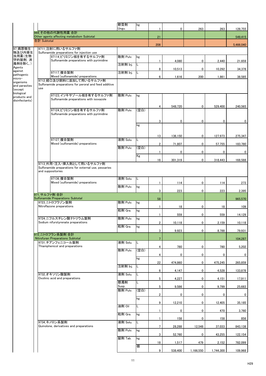|                            |             |                                                                                                        | 軟膏剤<br>Ungu. | kg   |                 | 0           | 263            | 263            | 128,755        |
|----------------------------|-------------|--------------------------------------------------------------------------------------------------------|--------------|------|-----------------|-------------|----------------|----------------|----------------|
|                            |             | 969 その他の代謝性用薬 合計                                                                                       |              |      |                 |             |                |                |                |
|                            | 合計 Subtotal | Other agents affecting metabolism Subtotal                                                             |              |      | 21              |             |                |                | 549,415        |
| 97_病原微生                    |             | 9711 注射に用いるサルファ剤                                                                                       |              |      | 208             |             |                |                | 5,466,040      |
| 物及び内寄生<br>虫用薬(生物           |             | Sulfonamide preparations for injection use<br> 97114 ピリミジン核を有するサルファ剤                                   | 散剤 Pulv.     | kg   |                 |             |                |                |                |
| 学的製剤, 消<br>毒剤を除く。)         |             | Sulfonamide preparations with pyrimidine                                                               |              |      |                 | 4,080       | 0              | 2,440          | 21,659         |
| Agents<br>against          |             |                                                                                                        | 注射剤 Inj.     | L    | 8               | 10,513      | $\mathbf 0$    | 10,292         | 34,378         |
| pathogenic<br>micro-       |             | 97117_複合製剤<br>Mixed (sulfonamide) preparations                                                         | 注射剤 Inj.     |      | $6\phantom{.}$  | 1,616       | 200            | 1,861          | 38,585         |
| organisms                  |             | 9712 経口及び飼料に添加して用いるサルファ剤<br>Sulfonamide preparations for peroral and feed additive                     |              |      |                 |             |                |                |                |
| and parasites<br>(except   | use         |                                                                                                        |              |      |                 |             |                |                |                |
| biological<br>products and |             | 97123 イソキサゾール核を有するサルファ剤<br>Sulfonamide preparations with isoxazole                                     | 散剤 Pulv.     | kg   |                 |             |                |                |                |
| disinfectants)             |             |                                                                                                        |              |      | 4               | 548,720     | $\mathbf 0$    | 529,400        | 240,565        |
|                            |             | 97124 ピリミジン核を有するサルファ剤                                                                                  | 散剤 Pulv.     | (空白) |                 |             |                |                |                |
|                            |             | Sulfonamide preparations with pyrimidine                                                               |              |      |                 |             |                |                |                |
|                            |             |                                                                                                        |              | kg   | 3               | 0           | $\mathbf 0$    | 0              | $\mathbf 0$    |
|                            |             |                                                                                                        |              |      |                 |             |                |                |                |
|                            |             | 97127_複合製剤                                                                                             | 液剤 Solu.     |      | 13              | 136,150     | $\mathbf 0$    | 127,973        | 275,347        |
|                            |             | Mixed (sulfonamide) preparations                                                                       | 散剤 Pulv.     | (空白) | $\overline{2}$  | 71,807      | $\mathbf 0$    | 57,755         | 183,780        |
|                            |             |                                                                                                        |              | Kg   |                 | 0           | 0              | 0              | $\bf{0}$       |
|                            |             |                                                                                                        |              |      | 16              | 301,319     | $\overline{0}$ | 318,443        | 168,588        |
|                            |             | 9713_外用·注入·挿入剤として用いるサルファ剤<br>Sulfonamide preparations for external use, pessaries<br>and suppositories |              |      |                 |             |                |                |                |
|                            |             | 97136_複合製剤<br>Mixed (sulfonamide) preparations                                                         | 液剤 Solu.     | IL.  |                 | 114         | $\mathbf 0$    | 114            | 273            |
|                            |             |                                                                                                        | 散剤 Pulv.     | kg   |                 |             |                |                |                |
|                            |             | 971 サルファ剤 合計                                                                                           |              |      | $\mathbf{3}$    | 223         | $\mathbf 0$    | 223            | 2,395          |
|                            |             | Sulfonamide Preparations Subtotal<br>9723_ニトロフラゾン製剤                                                    | 散剤 Pulv.     | kg   | 58              |             |                |                | 965,570        |
|                            |             | Nitroflazone preparations                                                                              | 粒剤 Gra.      | kg   |                 | 18          | $\mathbf 0$    | 18             | 109            |
|                            |             | 9724_ニフルスチレン酸ナトリウム製剤                                                                                   | 散剤 Pulv.     | kg   |                 | 559         | $\mathbf 0$    | 559            | 14,129         |
|                            |             | Sodium nifurstyrenate preparations                                                                     |              |      | $\overline{2}$  | 10,118      | $\mathbf 0$    | 2,159          | 10,118         |
|                            |             |                                                                                                        | 粒剤 Gra.      | kg   | 3               | 9,923       | $\mathbf 0$    | 8,788          | 79,931         |
|                            |             | 972_ニトロフラン系製剤 合計<br>Nitrofuran Preparations Subtotal                                                   |              |      | 7               |             |                |                | 104,287        |
|                            |             | 9731 チアンフェニコール製剤<br>Thiamphenicol and preparations                                                     | 液剤 Solu.     | IL.  | 4               | 780         | $\mathbf 0$    | 780            | 5,202          |
|                            |             |                                                                                                        | 散剤 Pulv.     | (空白) |                 |             |                |                |                |
|                            |             |                                                                                                        |              | kg   | 4               | $\mathbf 0$ | $\mathbf 0$    | 0              | $\mathbf 0$    |
|                            |             |                                                                                                        | 注射剤 Inj.     | IL.  | 22              | 474,860     | $\mathbf 0$    | 475,245        | 265,859        |
|                            |             | 9732 オキソリン酸製剤                                                                                          | 液剤 Solu.     | L    | 6               | 4,147       | $\mathbf 0$    | 4,528          | 133,878        |
|                            |             | Oxolinic acid and preparations                                                                         | 懸濁剤          |      | 5               | 4,227       | $\mathbf 0$    | 4,151          | 17,911         |
|                            |             |                                                                                                        | Susp.        |      | $5\phantom{.0}$ | 9,586       | $\mathbf 0$    | 9,799          | 25,683         |
|                            |             |                                                                                                        | 散剤 Pulv.     | (空白) | $\overline{2}$  | $\bf{0}$    | $\overline{0}$ | $\overline{0}$ | $\overline{0}$ |
|                            |             |                                                                                                        |              | kg   | 9               | 12,210      | 0              | 12,405         | 35,185         |
|                            |             |                                                                                                        | 油剤 Oil       | L.   |                 | 0           | $\mathbf 0$    | 470            | 3,760          |
|                            |             |                                                                                                        | 粒剤 Gra.      | kg   |                 |             |                |                |                |
|                            |             | 9734_キノロン系製剤                                                                                           | 液剤 Solu.     | L    |                 | 158         | 0              | 158            | 856            |
|                            |             | Quinolone, derivatives and preparations                                                                | 散剤 Pulv.     | kg   | $\overline{7}$  | 28,288      | 12,548         | 37,033         | 843,138        |
|                            |             |                                                                                                        | 錠剤 Tab.      | kg   | $\mathbf{3}$    | 52,760      | $\mathbf 0$    | 43,255         | 122,154        |
|                            |             |                                                                                                        |              |      | 18              | 1,517       | 479            | 2,152          | 782,099        |
|                            |             |                                                                                                        |              | 個    | 9               | 538,400     | 1,166,550      | 1,744,300      | 109,968        |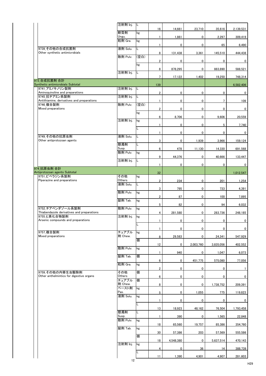|                                                                | 注射剤 Inj.           | IL   |                 |             |             |                |             |
|----------------------------------------------------------------|--------------------|------|-----------------|-------------|-------------|----------------|-------------|
|                                                                | 軟膏剤                | kg   | 16              | 14,661      | 23,710      | 35,616         | 2,139,531   |
|                                                                | Ungu.<br>粒剤 Gra.   | kg   | $\mathbf{1}$    | 1,861       | 0           | 2,297          | 309,419     |
|                                                                |                    |      | $\mathbf{1}$    | 0           | 0           | 65             | 6,490       |
| 9739_その他の合成抗菌剤<br>Other synthetic antimicrobials               | 液剤 Solu.           | L    | 8               | 131,438     | 3,361       | 145,510        | 444,438     |
|                                                                | 散剤 Pulv.           | (空白) |                 |             |             |                |             |
|                                                                |                    | kg   | $\overline{2}$  | $\pmb{0}$   | 0           | 0              | $\mathbf 0$ |
|                                                                | 注射剤 Inj.           |      | 8               | 878,295     | 0           | 883,890        | 588,521     |
|                                                                |                    |      | 7 <sup>7</sup>  | 17,122      | 1,402       | 19,250         | 748,314     |
| 973 合成抗菌剤 合計<br>Synthetic antimicrobials Subtotal              |                    |      | 139             |             |             |                | 6,582,406   |
| 9741 アミノキノリン製剤<br>Aminoquinoline and preparations              | 注射剤 Inj.           | IL   | $\overline{2}$  | $\pmb{0}$   | $\pmb{0}$   | $\pmb{0}$      | $\bf{0}$    |
| 9745 抗チアミン系製剤<br>Antithiamine, derivatives and preparations    | 注射剤 Inj.           | IL   |                 |             |             |                |             |
| 9746_複合製剤                                                      | 散剤 Pulv.           | (空白) | $\mathbf{1}$    | $\pmb{0}$   | 0           | $\overline{7}$ | 109         |
| Mixed preparations                                             |                    | kg   | $\overline{2}$  | $\pmb{0}$   | $\pmb{0}$   | $\mathbf 0$    | $\bf{0}$    |
|                                                                |                    |      | $6\phantom{.0}$ | 8,706       | 0           | 9,606          | 20,559      |
|                                                                | 注射剤 Inj.           | kg   | $\mathbf{1}$    | $\pmb{0}$   | 0           | 5              | 7,740       |
|                                                                |                    |      | $\mathbf{1}$    | $\pmb{0}$   | 0           | $\pmb{0}$      | $\mathbf 0$ |
| 9749_その他の抗原虫剤                                                  | 液剤 Solu.           | L    |                 |             |             |                |             |
| Other antiprotozoan agents                                     | 懸濁剤                | Г    | $\mathbf{3}$    | $\pmb{0}$   | 1,939       | 3,966          | 159,124     |
|                                                                | Susp.<br>散剤 Pulv.  | kg   | $6\phantom{.}$  | 478         | 11,130      | 14,330         | 691,568     |
|                                                                |                    |      | 9               | 44.376      | $\mathbf 0$ | 40.666         | 133.447     |
|                                                                | 注射剤 Inj.           | IL   | $\mathbf{1}$    | $\mathbf 0$ | 0           | 0              | $\mathbf 0$ |
| 974_抗原虫剤合計<br>Antiprotozoan agents Subtotal                    |                    |      | 32              |             |             |                |             |
| 9751_ピペラジン系製剤                                                  | その他                | kg   |                 |             |             |                | 1,012,547   |
| Piperazine and preparations                                    | Others<br>液剤 Solu. | IL.  | $2^{\circ}$     | 234         | 0           | 201            | 1,254       |
|                                                                | 散剤 Pulv.           | kg   | $\mathbf{3}$    | 795         | 0           | 733            | 4,391       |
|                                                                |                    |      | $\overline{2}$  | 87          | 0           | 100            | 7,895       |
|                                                                | 錠剤 Tab.            | kg   | 5 <sup>5</sup>  | 82          | 0           | 94             | 6,032       |
| 9752_チアベンダゾール系製剤<br>Thiabendazole derivatives and preparations | 散剤 Pulv.           | kg   |                 |             |             |                |             |
| 9755_ヒ素化合物製剤                                                   | 注射剤 Inj.           | kg   | 4               | 281,580     | 0           | 283,736        | 248,185     |
| Arsenic compounds and preparations                             |                    |      | $\mathbf{1}$    | $\pmb{0}$   | 0           | $\pmb{0}$      | 0           |
| 9757_複合製剤                                                      | チュアブル              |      | $\mathbf{1}$    | $\pmb{0}$   | 0           | $\pmb{0}$      | 0           |
| Mixed preparations                                             | 剤 Chew.            | kg   | 8               | 29,583      | 0           | 24,341         | 547,929     |
|                                                                |                    | 個    | 12              | $\pmb{0}$   | 2,003,760   | 3,835,056      | 402,552     |
|                                                                | 散剤 Pulv.           | kg   |                 |             |             |                |             |
|                                                                | 錠剤 Tab.            | 個    | $\mathbf{1}$    | 940         | 0           | 1,047          | 6,073       |
|                                                                | 粒剤 Gra.            | kg   | $6\phantom{.0}$ | $\pmb{0}$   | 451,775     | 575,080        | 77,056      |
| 9759_その他の内寄生虫駆除剤                                               | その他                | 個    | $2^{\circ}$     | $\pmb{0}$   | 0           | $\mathbf 0$    |             |
| Other anthelmintics for digestive organs                       | Others             |      | $6\phantom{.0}$ | $\pmb{0}$   | 0           | $\mathbf 0$    | $\mathbf 0$ |
|                                                                | チュアブル<br>剤 Chew.   | 個    | 8               | $\pmb{0}$   | 0           | 1,738,752      | 209,391     |
|                                                                | ペースト剤<br>Pas.      | kg   | 5               | $\mathbf 0$ | 1,055       | 775            | 119,823     |
|                                                                | 液剤 Solu.           | kg   |                 |             |             |                |             |
|                                                                |                    |      | $\mathbf{1}$    | $\pmb{0}$   | 0           | $\pmb{0}$      | $\pmb{0}$   |
|                                                                | 懸濁剤                | L    | 13              | 18,923      | 48,162      | 76,504         | 1,793,458   |
|                                                                | Susp.              |      | $\mathbf{1}$    | 390         | 0           | 1,565          | 22,848      |
|                                                                | 散剤 Pulv.           | kg   | 18              | 65,560      | 19,757      | 85,386         | 354,760     |
|                                                                | 錠剤 Tab.            | kg   |                 |             |             |                |             |
|                                                                |                    | 個    | 30              | 57,386      | 203         | 57,569         | 555,586     |
|                                                                | 注射剤 Inj.           | kg   | 18              | 4,548,380   | 0           | 5,637,514      | 470,143     |
|                                                                |                    |      | 4               | $\pmb{0}$   | 36          | 14             | 388,739     |
|                                                                |                    |      | 11              | 1,390       | 4,901       | 4,907          | 281,603     |
|                                                                | 12                 |      |                 |             |             |                |             |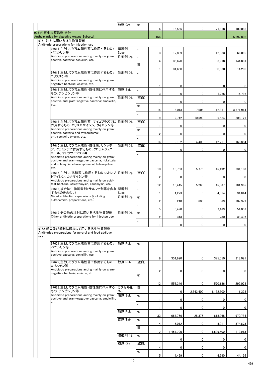|                                                                                                    | 粒剤 Gra.       | kg   |                 |           |             |           |                  |
|----------------------------------------------------------------------------------------------------|---------------|------|-----------------|-----------|-------------|-----------|------------------|
| 975 内寄生虫駆除剤 合計                                                                                     |               |      | 4               | 15,566    | 0           | 21,868    | 100,086          |
| Anthelmintics for digestive organs Subtotal                                                        |               |      | 166             |           |             |           | 5,597,805        |
| 9761_注射に用いる抗生物質製剤                                                                                  |               |      |                 |           |             |           |                  |
| Antibiotic preparations for injection use<br>97611 主としてグラム陽性菌に作用するもの:                              | 懸濁剤           |      |                 |           |             |           |                  |
| ペニシリン等                                                                                             | Susp.         |      | 3               | 12,869    | 0           | 12,833    | 66,096           |
| Antibiotic preparations acting mainly on gram-<br>positive bacteria; penicillin, etc.              | 注射剤 Inj.      | L    | 4               | 35,620    | 0           | 33,918    | 144,831          |
|                                                                                                    |               | 個    |                 |           |             |           |                  |
|                                                                                                    |               |      | 1.              | 31,650    | 0           | 30,030    | 14,205           |
| 97612_主としてグラム陰性菌に作用するもの:<br>コリスチン等                                                                 | 注射剤 Inj.      |      |                 |           |             |           |                  |
| Antibiotic preparations acting mainly on gram-<br>negaitive bacteria; colistin, etc.               |               |      |                 |           |             |           |                  |
|                                                                                                    |               |      | 1               | 0         | 0           | 0         | 0                |
| 97613_主としてグラム陽性・陰性菌に作用する<br>もの:アンピシリン等                                                             | 液剤 Solu.      | L    | 3               | 0         | 0           | 1,235     | 14,795           |
| Antibiotic preparations acting mainly on gram-<br>positive and gram-negative bacteria; ampicillin, | 注射剤 Inj.      | (空白) |                 |           |             |           |                  |
| etc.                                                                                               |               | kg   | 1               | 0         | 0           | 0         | 0                |
|                                                                                                    |               |      | 14              | 6,013     | 7,606       | 12,811    | 3,571,914        |
|                                                                                                    |               |      | 9               |           |             |           |                  |
| 97614 主としてグラム陽性菌, マイコプラズマに 注射剤 Inj.                                                                |               | (空白) |                 | 2,742     | 10,590      | 9,584     | 308,121          |
| 作用するもの:エリスロマイシン, タイロシン等<br>Antibiotic preparations acting mainly on gram-                          |               |      | 1               | 0         | 0           | 0         | 0                |
| positive bacteria and mycoplasma;                                                                  |               | kg   | $\overline{2}$  | 0         | 0           | 0         | 0                |
| erithromycin, tylosin, etc.                                                                        |               |      |                 |           |             |           |                  |
| 97615_主としてグラム陽性·陰性菌, リケッチ                                                                          | 注射剤 Inj.      | (空白) | 16              | 9,182     | 4,400       | 12,751    | 1,163,894        |
| ア, クラミジアに作用するもの:クロラムフェニ                                                                            |               |      | 1               | 0         | $\mathbf 0$ | 0         | 0                |
| コール、テトラサイクリン等<br>Antibiotic preparations acting mainly on gram-                                    |               |      |                 |           |             |           |                  |
| positive and gram-negative bacteria, rickettsia                                                    |               |      |                 |           |             |           |                  |
| and chlamydia; chloramphenicol, tetracycline,<br>etc.                                              |               |      |                 |           |             |           |                  |
| 97616_主として抗酸菌に作用するもの:ストレプ 注射剤 Inj.                                                                 |               | (空白) | 10 <sup>°</sup> | 10,753    | 5,775       | 15,192    | 231,103          |
| トマイシン カナマイシン等                                                                                      |               |      | $\overline{2}$  | 0         | $\bf{0}$    | 0         | 0                |
| Antibiotic preparations acting mainly on acid-<br>fast bacteria; streptomysin, kanamysin, etc.     |               |      | 12              | 10,445    | 5,260       | 15,837    |                  |
| 97618_複合抗生物質製剤(サルファ剤等を含有 懸濁剤                                                                       |               |      |                 |           |             |           | 181,965          |
| するものを含む。)<br>Mixed antibiotic prepararions (including                                              | Susp.         |      |                 | 4,223     | 0           | 4,314     | 34,844           |
| sulfonamide. preparations, etc.)                                                                   | 注射剤 Inj.      | kg   | $\overline{2}$  | 240       | 603         | 863       | 107,379          |
|                                                                                                    |               |      |                 |           |             |           |                  |
| 97619_その他の注射に用いる抗生物質製剤                                                                             | 注射剤 Inj.      | kg   | 5               | 6,490     | 0           | 7,463     | 54,053           |
| Other antibiotic preparations for injecton use                                                     |               |      | $\overline{2}$  | 343       | 0           | 230       | 38,407           |
|                                                                                                    |               |      |                 |           |             |           |                  |
| 9762_経口及び飼料に添加して用いる抗生物質製剤                                                                          |               |      |                 | 0         | 0           | 0         | 0                |
| Antibiotics preparations for peroral and feed additive                                             |               |      |                 |           |             |           |                  |
| use                                                                                                |               |      |                 |           |             |           |                  |
| 97621_主としてグラム陽性菌に作用するもの:<br>ペニシリン等                                                                 | 散剤 Pulv.      | kg   |                 |           |             |           |                  |
| Antibiotic preparations acting mainly on gram-                                                     |               |      |                 |           |             |           |                  |
| positive bacteria; penicillin, etc.                                                                |               |      | 9               | 351,920   | $\Omega$    | 375,550   | 318,091          |
| 97622_主としてグラム陰性菌に作用するもの:                                                                           | 散剤 Pulv.      | (空白) |                 |           |             |           |                  |
| コリスチン等<br>Antibiotic preparations acting mainly on gram-                                           |               |      |                 |           |             |           |                  |
| negaitive bacteria; colistin, etc.                                                                 |               | kg   | $\overline{2}$  | 0         | 0           | 0         |                  |
|                                                                                                    |               |      |                 |           |             |           |                  |
|                                                                                                    |               |      | 12 <sup>2</sup> | 558,346   | 0           | 570,186   | 292,078          |
| 97623_主としてグラム陽性·陰性菌に作用する<br>もの:アンピシリン等                                                             | カプセル剤<br>Cap. | 個    |                 | 0         | 2,843,400   | 1,132,800 | 11,328           |
| Antibiotic preparations acting mainly on gram-                                                     | 液剤 Solu.      | Ikg  |                 |           |             |           |                  |
| positive and gram-negative bacteria; ampicillin,<br>etc.                                           |               |      | 1               | 0         | 0           | 0         | 0                |
|                                                                                                    |               |      | $\mathbf{1}$    | $\pmb{0}$ | $\pmb{0}$   | 0         | 0                |
|                                                                                                    | 散剤 Pulv.      | kg   |                 |           |             |           |                  |
|                                                                                                    | 錠剤 Tab.       | kg   | 33              | 664,766   | 28,376      | 618,968   | 970,784          |
|                                                                                                    |               |      | 4               | 5,012     | $\bf{0}$    | 5,011     | 374,673          |
|                                                                                                    |               | 個    |                 |           |             |           |                  |
|                                                                                                    | 注射剤 Inj.      | kg   | $\overline{2}$  | 1,457,700 | 0           | 1,529,500 | 119,913          |
|                                                                                                    |               |      | 1               | 0         | 0           | 0         | $\boldsymbol{0}$ |
|                                                                                                    | 粒剤 Gra.       | (空白) | 4               | 0         | 0           | 0         | 0                |
|                                                                                                    |               | kg   |                 |           |             |           |                  |
|                                                                                                    |               |      | 5               | 4,469     | 0           | 4,290     | 44,195           |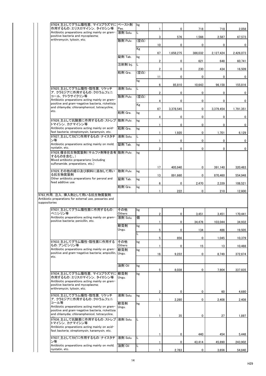| 97624_主としてグラム陽性菌, マイコプラズマに ペースト剤                                                                                                                                               |               | kg   |                |           |           |           |              |
|--------------------------------------------------------------------------------------------------------------------------------------------------------------------------------|---------------|------|----------------|-----------|-----------|-----------|--------------|
| 作用するもの:エリスロマイシン, タイロシン等                                                                                                                                                        | Pas.          |      |                | 0         | 718       | 718       | 2,056        |
| Antibiotic preparations acting mainly on gram-<br>positive bacteria and mycoplasma;                                                                                            | 液剤 Solu.      |      | 3              | 576       | 1,566     | 2,587     | 67,573       |
| erithromycin, tylosin, etc.                                                                                                                                                    | 散剤 Pulv.      | (空白) | 10             | 0         | 0         | 0         | $\mathbf{0}$ |
|                                                                                                                                                                                |               | Kg   | 67             | 1,658,275 | 386,032   | 2,127,424 | 2,426,073    |
|                                                                                                                                                                                | 錠剤 Tab.       | kg   |                |           |           |           |              |
|                                                                                                                                                                                | 注射剤 Inj.      | IL.  | $\overline{2}$ | 0         | 621       | 648       | 60,741       |
|                                                                                                                                                                                | 粒剤 Gra.       | (空白) | $\overline{2}$ | 0         | 230       | 434       | 16,509       |
|                                                                                                                                                                                |               | kg   | 11             | 0         | 0         | 0         | $\mathbf{0}$ |
| 97625 主としてグラム陽性・陰性菌, リケッチ                                                                                                                                                      | 液剤 Solu.      | IL.  | 6              | 85,810    | 10,643    | 96,158    | 155,816      |
| ア, クラミジアに作用するもの:クロラムフェニ<br>コール、テトラサイクリン等                                                                                                                                       | 散剤 Pulv.      | (空白) | $\overline{2}$ | 0         | 0         | 0         | 0            |
| Antibiotic preparations acting mainly on gram-<br>positive and gram-negative bacteria, rickettsia                                                                              |               |      | 4              | 0         | 0         | 0         | 0            |
| and chlamydia; chloramphenicol, tetracycline,                                                                                                                                  |               | Kg   | 67             | 3,378,545 | 0         | 3,379,454 | 1,791,351    |
| etc.                                                                                                                                                                           | 粒剤 Gra.       | kg   | 4              | 0         | 0         | 0         | 0            |
| 97626_主として抗酸菌に作用するもの:ストレプ  散剤 Pulv.<br>トマイシン, カナマイシン等                                                                                                                          |               | kg   |                | 0         | 0         | 0         | 0            |
| Antibiotic preparations acting mainly on acid-<br>fast bacteria; streptomysin, kanamysin, etc.                                                                                 | 粒剤 Gra.       | kg   |                |           |           |           |              |
| 97627 主としてカビに作用するもの:ナイスタチ                                                                                                                                                      | 液剤 Solu.      | IL.  |                | 1,920     | 0         | 1,701     | 6,129        |
| ン等<br>Antibiotic preparations acting mainly on mold;                                                                                                                           | 錠剤 Tab.       | kg   |                | 0         | 0         | 0         | 0            |
| nystatin, etc.<br>97628_複合抗生物質製剤(サルファ剤等を含有 散剤 Pulv.                                                                                                                            |               | kg   | $\overline{2}$ | 0         | 0         | 0         | $\mathbf{0}$ |
| するものを含む。)<br>Mixed antibiotic prepararions (including<br>sulfonamide. preparations, etc.)                                                                                      |               |      |                |           |           |           |              |
| 97629_その他の経口及び飼料に添加して用い                                                                                                                                                        | 散剤 Pulv.      | kg   | 17             | 405,940   | 0         | 391,140   | 320,483      |
| る抗生物質製剤<br>Other antibiotic preparations for peroral and                                                                                                                       | 錠剤 Tab.       |      | 13             | 891,660   | 0         | 870,460   | 554,948      |
| feed additive use                                                                                                                                                              |               | kg   | 6              | 0         | 2,470     | 2,339     | 108,521      |
|                                                                                                                                                                                | 粒剤 Gra.       | kg   |                | 222       | 0         | 210       | 12,600       |
| 9763_外用,注入,挿入剤として用いる抗生物質製剤<br>Antibiotic preparations for external use, pessaries and<br>suppositories                                                                         |               |      |                |           |           |           |              |
| 97631_主としてグラム陽性菌に作用するもの:<br>ペニシリン等                                                                                                                                             | その他<br>Others | kg   | $\mathbf{2}$   | 0         | 3,451     | 3,451     | 170,441      |
| Antibiotic preparations acting mainly on gram-<br>positive bacteria; penicillin, etc.                                                                                          | 液剤 Solu.      | 個    |                |           |           |           |              |
|                                                                                                                                                                                | 軟膏剤           | kg   |                | 0         | 34,476    | 103,044   | 34,932       |
|                                                                                                                                                                                | Ungu.         |      | 5              | 0         | 134       | 486       | 19,505       |
| 97633_主としてグラム陽性・陰性菌に作用する                                                                                                                                                       | その他           | kg   | 5              | 856       | 0         | 1,045     | 10,379       |
| もの:アンピシリン等<br>Antibiotic preparations acting mainly on gram-                                                                                                                   | Others<br>軟膏剤 | kg   |                | 0         | 15        | 13        | 10,488       |
| positive and gram-negative bacteria; ampicillin, $\sf U$ ngu.<br>etc.                                                                                                          |               |      | 16             | 9,222     | $\bf{0}$  | 8,749     | 372,674      |
|                                                                                                                                                                                | 油剤 Oil        | kg   | 5              | 8,038     | 0         | 7,904     | 337,835      |
| 97634_主としてグラム陽性菌, マイコプラズマに 較膏剤<br>作用するもの:エリスロマイシン、タイロシン等<br>Antibiotic preparations acting mainly on gram-<br>positive bacteria and mycoplasma;<br>erithromycin, tylosin, etc. | Ungu.         | kg   |                |           |           |           |              |
| 97635_主としてグラム陽性・陰性菌, リケッチ                                                                                                                                                      | 液剤 Solu.      | kg   | $\overline{2}$ | 0         | 0         | 60        | 4,680        |
| ア, クラミジアに作用するもの:クロラムフェニ<br>コール等<br>Antibiotic preparations acting mainly on gram-<br>positive and gram-negative bacteria, rickettsia                                           | 軟膏剤<br>Ungu.  | kg   |                | 2,280     | $\pmb{0}$ | 2,408     | 2,408        |
| and chlamydia; chloramphenicol, tetracycline,<br>97636_主として抗酸菌に作用するもの:ストレプ                                                                                                     | 液剤 Solu.      |      |                | 35        | 0         | 27        | 1,897        |
| トマイシン, カナマイシン等<br>Antibiotic preparations acting mainly on acid-<br>fast bacteria; streptomysin, kanamysin, etc.                                                               |               |      |                |           |           |           |              |
|                                                                                                                                                                                | 液剤 Solu.      |      |                | 0         | 440       | 454       | 5,448        |
| 97637_主としてカビに作用するもの:ナイスタチ                                                                                                                                                      |               | IL.  |                |           |           |           |              |
| ン等<br>Antibiotic preparations acting mainly on mold;                                                                                                                           | 油剤 Oil        | L    |                | 0         | 43,414    | 45,890    | 243,902      |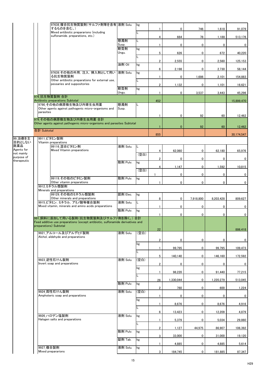|                           |                                  | 97638_複合抗生物質製剤(サルファ剤等を含有  液剤 Solu.<br>するものを含む。)                                                                         |              | kg   |                | 0              | 746          | 1,618          | 91,079         |
|---------------------------|----------------------------------|-------------------------------------------------------------------------------------------------------------------------|--------------|------|----------------|----------------|--------------|----------------|----------------|
|                           |                                  | Mixed antibiotic prepararions (including<br>sulfonamide. preparations, etc.)                                            |              |      |                |                |              |                |                |
|                           |                                  |                                                                                                                         | 懸濁剤          |      | 4              | 664            | 78           | 1,188          | 513,176        |
|                           |                                  |                                                                                                                         | Susp.<br>軟膏剤 | kg   |                | $\mathbf{0}$   | 0            | $\mathbf{0}$   | $\bf{0}$       |
|                           |                                  |                                                                                                                         | Ungu.        |      | 5              | 626            | 0            | 672            | 40,220         |
|                           |                                  |                                                                                                                         |              |      | $\overline{2}$ | 2,555          | $\mathbf 0$  | 2,560          | 125,153        |
|                           |                                  |                                                                                                                         | 油剤 Oil       | kg   | 6              | 2,198          | 0            | 2,730          | 58,144         |
|                           |                                  | 97639_その他の外用,注入,挿入剤として用い<br>る抗生物質製剤                                                                                     | 液剤 Solu.     | kg   | 1              | 0              | 1,686        | 2,101          | 154,883        |
|                           |                                  | Other antibiotic preparations for external use,<br>pessaries and suppositories                                          |              |      | $\overline{2}$ | 1,132          | 0            | 1,101          | 16,621         |
|                           |                                  |                                                                                                                         | 軟膏剤<br>Ungu. | kg   |                |                |              |                |                |
|                           | 976 抗生物質製剤 合計                    |                                                                                                                         |              |      | 1              | $\bf{0}$       | 3,537        | 3,443          | 45,296         |
|                           | Antibiotic preparations Subtotal | 9790 その他の病原微生物及び内寄生虫用薬                                                                                                  | 懸濁剤          |      | 452            |                |              |                | 15,899,470     |
|                           | parasites                        | Other agents against pathogenic micro-organisms and                                                                     | Susp.        |      |                |                |              |                |                |
|                           |                                  | 979 その他の病原微生物及び内寄生虫用薬 合計                                                                                                |              |      | 1              | 0              | 92           | 60             | 12,462         |
|                           |                                  | Other agents against pathogenic micro-organisms and parasites Subtotal                                                  |              |      |                | $\overline{0}$ | 92           | 60             | 12,462         |
|                           | 合計 Subtotal                      |                                                                                                                         |              |      |                |                |              |                |                |
| 99_治療を主                   | 9911_ビタミン製剤                      |                                                                                                                         |              |      | 855            |                |              |                | 30,174,547     |
| 目的としない<br>医薬品             | Vitamin preparations             | 99116_混合ビタミン剤                                                                                                           | 液剤 Solu.     |      |                |                |              |                |                |
| Agents for<br>not mainly  |                                  | Mixed Vitamin preparations                                                                                              |              | (空白) | 4              | 62,060         | 0            | 62,180         | 65,976         |
| purpose of<br>therapeutic |                                  |                                                                                                                         |              |      | 2 <sup>1</sup> | $\mathbf 0$    | $\mathbf{0}$ | $\overline{0}$ | $\overline{0}$ |
|                           |                                  |                                                                                                                         | 散剤 Pulv.     | kg   | 4              | 1,147          | $\mathbf 0$  | 1,592          | 10,815         |
|                           |                                  |                                                                                                                         |              | (空白) |                | 0              | $\mathbf 0$  | $\mathbf 0$    | $\mathbf 0$    |
|                           |                                  | 99119_その他のビタミン製剤<br>Other vitamin preparations                                                                          | 散剤 Pulv.     | kg   |                |                |              |                |                |
|                           | 9912_ミネラル類製剤                     |                                                                                                                         |              |      |                | $\mathbf 0$    | $\mathbf 0$  | 0              | $\mathbf 0$    |
|                           | Minerals and preparations        | 99129_その他のミネラル類製剤                                                                                                       | 舐剤 Elec.     | kg   |                |                |              |                |                |
|                           |                                  | Other minerals and preparations<br> 9915_ビタミン, ミネラル, アミノ酸等複合製剤                                                          | 液剤 Solu.     | L    | 8              | $\mathbf 0$    | 7,918,800    | 8,203,428      | 809,627        |
|                           |                                  | Mixed vitamin, minerals and amino acids preparations                                                                    | 散剤 Pulv.     |      | 1              | 0              | 0            | $\mathbf{0}$   | 0              |
|                           |                                  |                                                                                                                         |              | kg   |                | $\mathbf{0}$   | 0            | $\mathbf{0}$   | $\mathbf{0}$   |
|                           |                                  | 991_飼料に添加して用いる製剤(抗生物質製剤及びサルファ剤を除く。)合計<br>Feed additive use preparations (except antibiotic, sulfonamide derivatives and |              |      |                |                |              |                |                |
|                           | preparations) Subtotal           |                                                                                                                         |              |      | 22             |                |              |                | 886,418        |
|                           |                                  | 9921_アルコール及びアルデヒド製剤<br>Alchol, aldehyde and preparations                                                                | 液剤 Solu.     | (空白) |                |                |              |                |                |
|                           |                                  |                                                                                                                         |              | kg   | $\overline{2}$ | $\mathbf{0}$   | 0            | $\mathbf{0}$   | $\mathbf 0$    |
|                           |                                  |                                                                                                                         |              |      | $\mathbf{1}$   | 99,795         | $\mathbf 0$  | 99,795         | 109,473        |
|                           |                                  |                                                                                                                         |              |      | 5              | 140,140        | $\mathbf 0$  | 146,160        | 172,592        |
|                           | 9923_逆性石けん製剤                     | Invert soap and preparations                                                                                            | 液剤 Solu.     | (空白) | $\overline{2}$ | $\mathbf{0}$   | $\mathbf 0$  | $\Omega$       | $\mathbf 0$    |
|                           |                                  |                                                                                                                         |              | kg   | 1              | 98,220         | $\mathbf 0$  | 91,440         | 77,215         |
|                           |                                  |                                                                                                                         |              |      |                |                |              |                |                |
|                           |                                  |                                                                                                                         | 散剤 Pulv.     | kg   | 26             | 1,330,044      | $\mathbf 0$  | 1,220,279      | 513,045        |
|                           | 9924 両性石けん製剤                     |                                                                                                                         | 液剤 Solu.     | (空白) | 2              | 760            | 0            | 600            | 1,224          |
|                           |                                  | Amphoteric soap and preparations                                                                                        |              | kg   | $\mathbf{1}$   | $\mathbf 0$    | $\mathbf{0}$ | $\mathbf 0$    | $\overline{0}$ |
|                           |                                  |                                                                                                                         |              |      | 1              | 8,676          | 0            | 8,676          | 4,916          |
|                           |                                  |                                                                                                                         |              |      | 6              | 13,423         | $\mathbf 0$  | 12,209         | 4,879          |
|                           | 9926_ハロゲン塩製剤                     | Halogen salts and preparations                                                                                          | 液剤 Solu.     | kg   | 1              | 5,379          | 0            | 5,034          | 29,860         |
|                           |                                  |                                                                                                                         |              | L.   | $\overline{2}$ | 1,127          | 44,975       | 86,907         | 106,392        |
|                           |                                  |                                                                                                                         | 散剤 Pulv.     | kg   |                |                |              |                |                |
|                           |                                  |                                                                                                                         | 錠剤 Tab.      | kg   | 3              | 33,000         | $\mathbf 0$  | 31,000         | 19,120         |
|                           | 9927_複合製剤                        |                                                                                                                         | 液剤 Solu.     | kg   | 1              | 4,885          | $\mathbf 0$  | 4,885          | 5,614          |
|                           | Mixed prepararions               |                                                                                                                         |              |      | 3              | 184,745        | $\mathbf 0$  | 181,885        | 87,347         |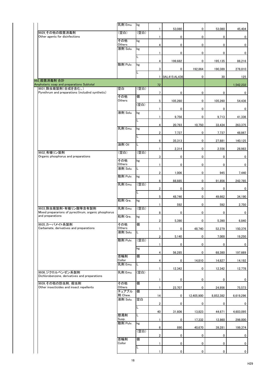|                                                                          | 乳剤 Emu.            | kg              |                 | 53,080       | 0            | 53,080      | 45,404         |
|--------------------------------------------------------------------------|--------------------|-----------------|-----------------|--------------|--------------|-------------|----------------|
| 9929 その他の殺菌消毒剤<br>Other agents for disinfections                         | (空白)               | (空白)            |                 |              |              |             |                |
|                                                                          | その他                | kg              |                 | 0            | $\pmb{0}$    | 0           | 0              |
|                                                                          | Others<br>液剤 Solu. | kg              | 4               | $\pmb{0}$    | $\pmb{0}$    | 0           | 0              |
|                                                                          |                    | L               |                 | $\pmb{0}$    | $\pmb{0}$    | $\mathbf 0$ | $\bf{0}$       |
|                                                                          | 散剤 Pulv.           | kg              | 4               | 199,682      | $\mathbf 0$  | 195,135     | 86,216         |
|                                                                          |                    |                 | 3               | $\pmb{0}$    | 192,864      | 190,389     | 278,810        |
|                                                                          |                    |                 |                 | 0AL415:AL436 | $\mathbf 0$  | 30          | 125            |
| 992 殺菌消毒剤 合計<br>Amphoteric soap and preparations Subtotal                |                    |                 | 72              |              |              |             | 1,542,232      |
| 9931 除虫菊製剤(合成を含む。)<br>Pyrethrum and preparations (includind synthetic)   | 空白                 | (空白)            | 7               | 0            | 0            | 0           | $\mathbf 0$    |
|                                                                          | その他<br>Others      | 個               | 5               | 105,260      | 0            | 105,260     | 54,436         |
|                                                                          |                    | (空白)            |                 |              | 0            |             |                |
|                                                                          | 液剤 Solu.           | kg              |                 | 0            |              | 0           | $\mathbf 0$    |
|                                                                          |                    |                 |                 | 9,756        | $\mathbf 0$  | 9,713       | 41,336         |
|                                                                          | 乳剤 Emu.            | kg              | 4               | 20,793       | 10,750       | 33,434      | 263,375        |
|                                                                          |                    |                 | $\overline{2}$  | 7,737        | $\mathbf 0$  | 7,737       | 48,867         |
|                                                                          | 油剤 Oil             | L               | $6\phantom{.0}$ | 35,313       | $\mathbf 0$  | 27,881      | 140,125        |
|                                                                          |                    |                 |                 | 2,314        | $\mathbf 0$  | 2,556       | 28,983         |
| 9932_有機リン製剤<br>Organic phosphorus and preparations                       | (空白)               | (空白)            | 3               | 0            | $\mathbf 0$  | $\mathbf 0$ | $\overline{0}$ |
|                                                                          | その他<br>Others      | kg              |                 | $\pmb{0}$    | $\mathbf 0$  | 0           | $\mathbf 0$    |
|                                                                          | 液剤 Solu.           | L               | $\overline{2}$  | 1,006        | $\mathbf 0$  | 945         | 7,440          |
|                                                                          | 散剤 Pulv.           | kg              |                 |              |              |             |                |
|                                                                          | 乳剤 Emu.            | (空白)            | $6\phantom{.0}$ | 88,885       | $\mathbf 0$  | 91,856      | 242,785        |
|                                                                          |                    |                 | $\overline{2}$  | $\pmb{0}$    | $\mathbf 0$  | 0           | $\mathbf 0$    |
|                                                                          | 粒剤 Gra.            | kg              | $5\phantom{.0}$ | 48,746       | $\mathbf 0$  | 49,662      | 34,190         |
| 9933 除虫菊製剤・有機リン酸等含有製剤                                                    | 乳剤 Emu.            | (空白)            |                 | 592          | $\mathbf 0$  | 592         | 2,750          |
| Mixed prepararions of pyrecthrum, organic phosphorus<br>and preparations | 粒剤 Gra.            | kg              | 8               | 0            | $\mathbf 0$  | 0           | $\mathbf 0$    |
|                                                                          |                    |                 | $\overline{2}$  | 5,390        | $\mathbf 0$  | 5,390       | 6,840          |
| 9935_カーバメイト系製剤<br>Carbamate, derivatives and preparations                | その他<br>Others      | 個               |                 | $\mathbf 0$  | 48,740       | 52,279      | 150,376        |
|                                                                          | 液剤 Solu.           | L               | $\overline{2}$  | 5,140        | $\mathbf{0}$ | 7,000       | 19,250         |
|                                                                          | 散剤 Pulv.           | (空白)            |                 | 0            | $\mathbf 0$  | 0           | 0              |
|                                                                          |                    | kg              |                 |              |              |             |                |
|                                                                          | 首輪剤                | 個               | 4               | 56,285       | $\mathbf{0}$ | 68,380      | 197,669        |
|                                                                          | Collor<br>乳剤 Emu.  | L               | 4               | 0            | 14,810       | 14,827      | 14,192         |
| 9936 ジクロルベンゼン系製剤                                                         | 乳剤 Emu.            | (空白)            |                 | 12,342       | $\mathbf 0$  | 12,342      | 12,778         |
| Dichlorobenzene, derivatives and preparations                            |                    |                 |                 | 0            | $\mathbf 0$  | 0           | 0              |
| 9939_その他の防虫剤, 殺虫剤<br>Other insecticides and insect repellents            | その他<br>Others      | 個               |                 | 23,707       | $\mathbf 0$  | 24,956      | 75,573         |
|                                                                          | チュアブル<br>剤 Chew.   | 個               |                 |              |              |             |                |
|                                                                          | 液剤 Solu.           | 空白              | 14              | $\bf{0}$     | 12,405,900   | 8,852,382   | 6,619,296      |
|                                                                          |                    |                 | $\overline{2}$  | $\bf 0$      | $\pmb{0}$    | $\pmb{0}$   | $\bf{0}$       |
|                                                                          | 懸濁剤                | L               | 40              | 31,606       | 13,823       | 44,671      | 4,603,095      |
|                                                                          | Susp.<br>散剤 Pulv.  | $\overline{kg}$ |                 | $\pmb{0}$    | 17,332       | 12,860      | 298,000        |
|                                                                          |                    | (空白)            | $6\phantom{.0}$ | 890          | 40,670       | 39,281      | 199,374        |
|                                                                          |                    |                 | $\mathbf{2}$    | $\pmb{0}$    | $\pmb{0}$    | $\pmb{0}$   | 0              |
|                                                                          | 首輪剤<br>Collor      | 個               |                 | $\pmb{0}$    | $\pmb{0}$    | $\mathbf 0$ | 0              |
|                                                                          |                    | L               |                 | 0            | 0            | 0           | $\bf{0}$       |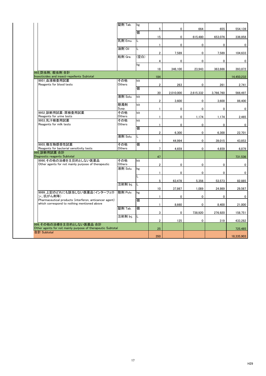|                                                                            | 錠剤 Tab.            | kg   | 5                       | 0         | 664       | 655         | 554,139     |
|----------------------------------------------------------------------------|--------------------|------|-------------------------|-----------|-----------|-------------|-------------|
|                                                                            |                    | 個    |                         |           |           |             |             |
|                                                                            | 乳剤 Emu.            | L.   | 15                      | 0         | 615,480   | 653,076     | 336,858     |
|                                                                            |                    |      | $\mathbf{1}$            | 0         | 0         | $\mathbf 0$ | $\bf{0}$    |
|                                                                            | 油剤 Oil             |      | $\mathbf 2$             | 7,589     | 0         | 7,589       | 104,633     |
|                                                                            | 粒剤 Gra.            | (空白) | 4                       | 0         | 0         | 0           | $\mathbf 0$ |
|                                                                            |                    | kg   |                         |           |           |             |             |
| 993_防虫剤, 殺虫剤 合計                                                            |                    |      | 18                      | 346,100   | 23,943    | 363,666     | 393,872     |
| Insecticides and insect-repellents Subtotal                                |                    |      | 184                     |           |           |             | 14,450,232  |
| 9951 血液検査用試薬<br>Reagents for blood tests                                   | その他<br>Others      | kit  | $\overline{2}$          | 263       | 0         | 261         | 2,741       |
|                                                                            |                    | 個    |                         |           |           |             |             |
|                                                                            | 液剤 Solu.           | kit  | 30                      | 2,010,000 | 2,615,332 | 3,766,760   | 566,497     |
|                                                                            |                    |      | $\mathbf 2$             | 3,600     | 0         | 3,600       | 86,400      |
|                                                                            | 懸濁剤<br>Susp.       | kit  | 1                       | 0         | 0         | $\mathbf 0$ | $\mathbf 0$ |
| 9952_診断用試薬:尿検査用試薬                                                          | その他<br>Others      | kit  |                         |           |           |             |             |
| Reagents for urine tests<br>9953_乳汁検査用試薬                                   | その他                | kit  | 1                       | 0         | 1,174     | 1,174       | 2,465       |
| Reagents for milk tests                                                    | Others             |      | $\mathbf{1}$            | 0         | 0         | $\mathbf 0$ | $\bf{0}$    |
|                                                                            |                    | 個    | $\mathbf 2$             | 6,300     | 0         | 6,300       | 22,701      |
|                                                                            | 液剤 Solu.           |      |                         |           |           |             |             |
| 9955_微生物感受性試薬                                                              | その他                | 個    | $\mathbf{1}$            | 44,994    | 0         | 39,015      | 43,853      |
| Reagents for bacterial sensitivity tests                                   | Others             |      | 7                       | 4,659     | 0         | 4,659       | 6,879       |
| 995 診断用試薬 合計<br>Diagnostic reagents Subtotal                               |                    |      | 47                      |           |           |             | 731,536     |
| 9990_その他の治療を主目的としない医薬品                                                     | その他                | kit  |                         |           |           |             |             |
| Other agents for not mainly purpose of therapeutic                         | Others<br>液剤 Solu. | kg   | $\overline{\mathbf{c}}$ | 0         | 0         | $\mathbf 0$ | $\mathbf 0$ |
|                                                                            |                    |      | 1                       | 0         | 0         | 0           | $\bf{0}$    |
|                                                                            |                    |      | 5                       | 63,478    | 5,356     | 53,573      | 82,885      |
|                                                                            | 注射剤 Inj.           |      | 10 <sup>1</sup>         | 37,867    | 1,089     |             |             |
| 9999_上記のどれにも該当しない医薬品(インターフェロ                                               | 散剤 Pulv.           | kg   |                         |           |           | 24,989      | 29,567      |
| ン、抗がん剤等)<br>Pharmaceutical products (interferon, anticancer agent)         |                    | 個    | 1                       | 0         | 0         | 0           | $\bf{0}$    |
| which correspond to nothing mentioned above                                |                    |      | 1                       | 8,660     | 0         | 8,400       | 21,000      |
|                                                                            | 錠剤 Tab.            | 個    | 3                       | 0         | 738,920   | 276,920     | 158,751     |
|                                                                            | 注射剤 Inj.           |      |                         |           |           |             |             |
| 999 その他の治療を主目的としない医薬品 合計                                                   |                    |      | $\boldsymbol{2}$        | 125       | 0         | 319         | 433,282     |
| Other agents for not mainly purpose of therapeutic Subtotal<br>合計 Subtotal |                    |      | 25                      |           |           |             | 725,485     |
|                                                                            |                    |      | 350                     |           |           |             | 18,335,903  |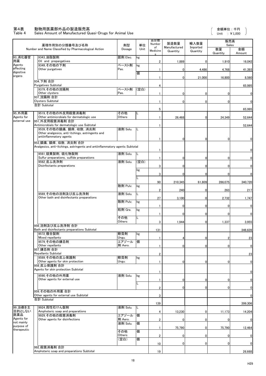### 第4表 動物用医薬部外品の製造販売高

### Table 4 Sales Amount of Manufactured Quasi-Drugs for Animal Use

|                                  | 薬理作用別の分類番号及び名称                                                                                          | 剤型               | 単位   | 品目数<br>Number  | 製造数量                     | 輸入数量                 | 販売高<br>Sales   |              |
|----------------------------------|---------------------------------------------------------------------------------------------------------|------------------|------|----------------|--------------------------|----------------------|----------------|--------------|
|                                  | Number and Name Classified by Pharmacological Action                                                    | Dosage           | Unit | of<br>Medicine | Manufactured<br>Quantity | Imported<br>Quantity | 数量<br>Quantity | 金額<br>Amount |
| 93_消化器官<br>用薬                    | 9343_油脂製剤<br>Oil and prepargatives                                                                      | 舐剤 Elec.         | kg   | $\overline{2}$ | 1,889                    | 01                   | 1,910          | 16,042       |
| Agents<br>affecting<br>digestive | 9349_その他の下剤<br>Other purgatives                                                                         | ペースト剤<br>Pas.    | kg   |                | 0                        | 4,486                | 4,768          | 41,393       |
| organs                           |                                                                                                         |                  | 偭    |                | 0                        | 21,000               | 16,800         | 8,560        |
|                                  | 934_下剤 合計<br><b>Purgatives Subtotal</b>                                                                 |                  |      | 4              |                          |                      |                | 65,995       |
|                                  | 9379_その他の浣腸剤<br>Other clysters                                                                          | ペースト剤<br>Pas.    | (空白) |                |                          |                      |                |              |
|                                  | 937 浣腸剤 合計                                                                                              |                  |      |                | 0                        | $\overline{0}$       |                | $\bf{0}$     |
|                                  | <b>Clysters Subtotal</b><br>合計 Subtotal                                                                 |                  |      |                | $\mathbf 0$              | $\overline{0}$       | $\Omega$       | $\mathbf 0$  |
| 95_外用薬                           | 9519_その他の外皮用殺菌消毒剤                                                                                       | その他              |      | 5              |                          |                      |                | 65,995       |
| Agents for                       | Other antimicrobials for dermatologic use                                                               | Others           |      |                | 26,468                   | 01                   | 24,349         | 52,644       |
| external use                     | 951 外皮用殺菌消毒剤 合計<br>Antimicrobials for dermatologic use Subtotal                                         |                  |      |                |                          |                      |                | 52,644       |
|                                  | 9539_その他の鎮痛, 鎮痒, 収斂, 消炎剤<br>Other analgesics, anti-itchings, astringents and<br>antiinflammatory agents | 液剤 Solu.         |      |                |                          | $\overline{0}$       |                | 0            |
|                                  | 953_鎮痛, 鎮痒, 収斂, 消炎剤 合計<br>Analgesics, anti-itchings, astringents and antiinflammatory agents Subtotal   |                  |      |                |                          |                      |                |              |
|                                  | 9561_硫黄製剤, 硫化物製剤                                                                                        | 液剤 Solu.         |      |                |                          |                      |                | $\bf{0}$     |
|                                  | Sulfur preparations, sulfide preparations<br>9562 皮ふ洗浄剤                                                 | 液剤 Solu.         | (空白) |                |                          | 0                    |                | $\mathbf 0$  |
|                                  | Disinfectants preparations                                                                              |                  |      | 3              | 0                        | 0                    | 0              | $\mathbf 0$  |
|                                  |                                                                                                         |                  | kg   | 3              | n                        | 0I                   |                | $\Omega$     |
|                                  |                                                                                                         |                  |      | 90             | 210,345                  | 61,809               | 286,075        | 340,720      |
|                                  |                                                                                                         | 散剤 Pulv.         | kg   |                |                          |                      |                |              |
|                                  | 9569 その他の浴剤及び皮ふ洗浄剤                                                                                      | 液剤 Solu.         |      | $\overline{2}$ | 240                      | $\overline{0}$       | 263            | 217          |
|                                  | Other bath and disinfectants preparations                                                               | 散剤 Pulv.         | kg   | 27             | 3,100                    | 0                    | 2,732          | 1,747        |
|                                  |                                                                                                         | 粒剤 Gra.          | kg   |                | 0                        | $\overline{0}$       |                | $\bf{0}$     |
|                                  |                                                                                                         |                  |      |                | O                        | $\overline{0}$       |                | $\mathbf 0$  |
|                                  |                                                                                                         | その他<br>Others    |      | 3              | 1,944                    | 01                   | 1,337          | 3,955        |
|                                  | 956 浴剤及び皮ふ洗浄剤 合計<br>Bath and disinfectants preparations Subtotal                                        |                  |      | 131            |                          |                      |                | 346,639      |
|                                  | 9572_複合製剤<br>Mixed repellants                                                                           | 軟膏剤              | kg   |                |                          |                      |                |              |
|                                  | 9579 その他の嫌忌剤                                                                                            | Ungu.<br>エアゾール   | 個    |                |                          | $\overline{0}$       |                | 23           |
|                                  | Other repellants<br>957 嫌忌剤 合計                                                                          | 剤 Aero.          |      |                | 0                        | $\overline{0}$       |                | $\pmb{0}$    |
|                                  | Repellants Subtotal<br> 9589_その他の皮ふ保護剤                                                                  | 軟膏剤              | kg   | $\overline{2}$ |                          |                      |                | 23           |
|                                  | Other agents for skin protection                                                                        | Ungu.            |      |                | O                        | $\overline{0}$       |                | $\mathbf 0$  |
|                                  | 958 皮ふ保護剤 合計<br>Agents for skin protection Subtotal                                                     |                  |      |                |                          |                      |                |              |
|                                  | 9590 その他の外用薬                                                                                            | 液剤 Solu.         | kg   |                |                          |                      |                | $\pmb{0}$    |
|                                  | Other agents for external use                                                                           |                  |      |                | 0                        | $\overline{0}$       |                | $\pmb{0}$    |
|                                  | 959 その他の外用薬合計                                                                                           |                  |      | $\overline{2}$ |                          | 0                    |                | $\pmb{0}$    |
|                                  | Other agents for external use Subtotal                                                                  |                  |      | 3              |                          |                      |                | $\mathbf 0$  |
|                                  | 合計 Subtotal                                                                                             |                  |      | 139            |                          |                      |                | 399,306      |
| 99 治療を主<br>目的としない                | 9924_両性石けん製剤<br>Amphoteric soap and preparations                                                        | 液剤 Solu.         |      | $\overline{4}$ | 13,230                   | 0                    | 11,173         | 14,204       |
| 医薬品<br>Agents for                | 9929 その他の殺菌消毒剤<br>Other agents for disinfections                                                        | エアゾール<br>剤 Aero. | 個    |                |                          |                      |                |              |
| not mainly<br>purpose of         |                                                                                                         | 液剤 Solu.         | 個    | $\overline{2}$ | 0                        | 0                    | 0              | $\pmb{0}$    |
| therapeutic                      |                                                                                                         | その他              | 個    |                | 75,790                   | 0                    | 75,790         | 12,464       |
|                                  |                                                                                                         | Others<br>(空白)   | 個    | $\overline{2}$ | $\Omega$                 | $\overline{0}$       | 0              | $\pmb{0}$    |
|                                  |                                                                                                         |                  |      | 10             | 0                        | 0                    | $\mathbf 0$    | $\pmb{0}$    |
|                                  | 992 殺菌消毒剤 合計<br>Amphoteric soap and preparations Subtotal                                               |                  |      | 19             |                          |                      |                | 26,668       |

 $\overline{\mathsf{C}}$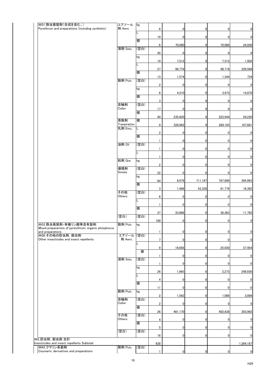| 9931_除虫菊製剤(合成を含む。)<br>Pyrethrum and preparations (including synthetic)   | エアゾール<br>剤 Aero.        | kg   | 6               | $\mathbf{0}$   | $\mathbf 0$    | 0              | $\overline{0}$ |
|--------------------------------------------------------------------------|-------------------------|------|-----------------|----------------|----------------|----------------|----------------|
|                                                                          |                         | L    | 10              | $\overline{0}$ | $\mathbf 0$    |                | 0              |
|                                                                          |                         | 個    |                 |                |                | 0              |                |
|                                                                          | 液剤 Solu.                | (空白) | $6\phantom{.0}$ | 70,080         | $\overline{0}$ | 70,080         | 24,930         |
|                                                                          |                         |      | 45              | $\overline{0}$ | $\mathbf 0$    | 0              | 0              |
|                                                                          |                         | kg   | 10              | 7,512          | $\overline{0}$ | 7,512          | 1,502          |
|                                                                          |                         | L    | 27              | 96,779         | $\mathbf 0$    | 98,716         | 226,598        |
|                                                                          |                         | 個    |                 |                |                |                |                |
|                                                                          | 散剤 Pulv.                | (空白) | 13              | 1,574          | $\mathbf 0$    | 1,344          | 734            |
|                                                                          |                         | kg   | $\overline{2}$  | $\overline{0}$ | $\overline{0}$ | $\overline{0}$ | $\overline{0}$ |
|                                                                          |                         | 個    | 6               | 4,210          | $\overline{0}$ | 3,973          | 14,870         |
|                                                                          |                         |      | 3               | 0              | $\mathbf 0$    | 0              | $\overline{0}$ |
|                                                                          | 首輪剤<br>Collor           | (空白) | 17              | $\overline{0}$ | $\mathbf 0$    | 0              | $\overline{0}$ |
|                                                                          |                         | 個    |                 |                |                |                |                |
|                                                                          | 蒸散剤                     | 個    | 40              | 235,620        | $\overline{0}$ | 222,944        | 59,220         |
|                                                                          | Tranpiration<br>乳剤 Emu. | IL   | 9               | 328,862        | $\overline{0}$ | 289,193        | 107,681        |
|                                                                          |                         |      | $\overline{2}$  | $\overline{0}$ | $\mathbf{0}$   | 0              | $\overline{0}$ |
|                                                                          |                         | 個    |                 | $\overline{0}$ | $\overline{0}$ | 0              | $\overline{0}$ |
|                                                                          | 油剤 Oil                  | (空白) |                 | $\overline{0}$ | $\overline{0}$ | $\overline{0}$ | $\overline{0}$ |
|                                                                          |                         | L    |                 |                |                |                |                |
|                                                                          | 粒剤 Gra.                 | kg   |                 | $\overline{0}$ | 0l             | 01             | $\mathbf{0}$   |
|                                                                          | 燻煙剤                     | (空白) | $\overline{2}$  | 0              | $\overline{0}$ | 0              | $\pmb{0}$      |
|                                                                          | Smoke                   |      | 22              | 0              | $\mathbf 0$    | 0              | $\overline{0}$ |
|                                                                          |                         | kg   | 64              | 8,979          | 711,187        | 787,600        | 304,993        |
|                                                                          |                         | 個    |                 |                |                |                |                |
|                                                                          | その他                     | (空白) | $\mathbf{3}$    | 1,488          | 43,328         | 61,779         | 18,392         |
|                                                                          | Others                  | L    | 6               | 0              | $\mathbf{0}$   | 0              | 0              |
|                                                                          |                         | 個    |                 | 0              | $\mathbf 0$    | $\overline{0}$ | $\pmb{0}$      |
|                                                                          |                         |      | 37              | 33,866         | $\mathbf 0$    | 36,363         | 11,792         |
|                                                                          | (空白)                    | (空白) | 189             | $\overline{0}$ | $\mathbf 0$    | 0              | 0              |
| 9933 除虫菊製剤・有機リン酸等含有製剤                                                    | 散剤 Pulv.                | kg   |                 |                |                |                |                |
| Mixed prepararions of pyrecthrum, organic phosphorus<br>and preparations |                         |      |                 | 0              | $\mathbf 0$    | $\overline{0}$ | $\overline{0}$ |
| 9939_その他の防虫剤, 殺虫剤<br>Other insecticides and insect repellents            | エアゾール (空白)<br>剤 Aero.   |      | $\overline{7}$  | $\overline{0}$ | $\pmb{0}$      | $\overline{0}$ | 0              |
|                                                                          |                         |      |                 |                |                |                |                |
|                                                                          |                         | 個    | 9               | 19,656         | $\mathbf 0$    | 25,030         | 37,454         |
|                                                                          | 液剤 Solu.                | (空白) |                 | 0              | $\mathbf 0$    | 0              | 0              |
|                                                                          |                         |      |                 | 0              | $\mathbf 0$    | $\overline{0}$ | $\bf{0}$       |
|                                                                          |                         | kg   | 26              | 1,965          | $\mathbf 0$    | 2,273          | 248,930        |
|                                                                          |                         | L    | 4               | 0              | $\overline{0}$ | 0              | $\pmb{0}$      |
|                                                                          |                         | 個    |                 |                |                |                |                |
|                                                                          | 散剤 Pulv.                | kg   | 11              | 0              | $\mathbf 0$    | $\Omega$       | $\pmb{0}$      |
|                                                                          | 首輪剤                     | (空白) | 2 <sup>1</sup>  | 1,562          | 0              | 1,089          | 3,099          |
|                                                                          | Collor                  |      | $\overline{2}$  | $\overline{0}$ | $\overline{0}$ | 0              | $\overline{0}$ |
|                                                                          |                         | 個    | 26              | 461,170        | $\mathbf{0}$   | 402,638        | 203,992        |
|                                                                          | その他<br>Others           | (空白) | 4               | 0              | $\mathbf 0$    | 0              | $\overline{0}$ |
|                                                                          |                         | 個    |                 |                |                |                |                |
|                                                                          | (空白)                    | (空白) | 5               | 0              | $\mathbf 0$    | 0              | $\overline{0}$ |
| 993_防虫剤, 殺虫剤 合計                                                          |                         |      | 16              | $\overline{0}$ | $\mathbf 0$    | 0              | 0              |
| Insecticides and insect repellents Subtotal                              |                         |      | 638             |                |                |                | 1,264,187      |
| 9943_クマリン系製剤<br>Coumarin, derivatives and preparations                   | 散剤 Pulv.                | (空白) |                 | $\mathbf{0}$   | $\mathbf 0$    | $\overline{0}$ | 0              |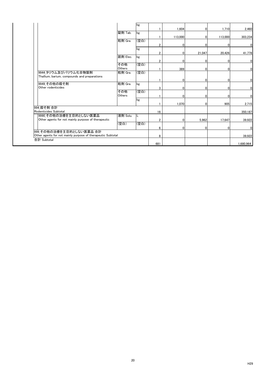|                                                             |               | kg   |                 |         |                |              |                |
|-------------------------------------------------------------|---------------|------|-----------------|---------|----------------|--------------|----------------|
|                                                             |               |      |                 | 1,604   | $\overline{0}$ | 1,710        | 2,460          |
|                                                             | 錠剤 Tab.       | kg   |                 |         |                |              |                |
|                                                             |               |      |                 | 113,000 | $\overline{0}$ | 113,000      | 303,234        |
|                                                             | 粒剤 Gra.       | (空白) |                 |         |                |              |                |
|                                                             |               |      | $\overline{2}$  | 0       | $\Omega$       | 0            | $\overline{0}$ |
|                                                             |               | kg   |                 |         |                |              |                |
|                                                             |               |      | $\overline{2}$  | 0       | 21,047         | 20,426       | 41,778         |
|                                                             | 舐剤 Elec.      | kg   |                 |         |                |              |                |
|                                                             |               |      | $\overline{2}$  | 0       | $\Omega$       | O            | $\overline{0}$ |
|                                                             | その他           | (空白) |                 |         |                |              |                |
|                                                             | <b>Others</b> |      |                 | 389     | $\overline{0}$ | $\mathbf{0}$ | $\overline{0}$ |
| 9944_タリウム及びバリウム化合物製剤                                        | 粒剤 Gra.       | (空白) |                 |         |                |              |                |
| Thallium, barium, compounds and preparations                |               |      |                 |         |                |              |                |
|                                                             |               |      |                 | 0       | $\overline{0}$ | $\mathbf{0}$ | $\overline{0}$ |
| 9949_その他の殺そ剤                                                | 粒剤 Gra.       | kg   |                 |         |                |              |                |
| Other rodenticides                                          |               |      | 3               | 0       | $\overline{0}$ | $\mathbf 0$  | $\overline{0}$ |
|                                                             | その他           | (空白) |                 |         |                |              |                |
|                                                             | <b>Others</b> |      |                 | 0       | $\overline{0}$ | 0            | $\overline{0}$ |
|                                                             |               | kg   |                 |         |                |              |                |
|                                                             |               |      |                 | 1,070   | 0              | 905          | 2,715          |
| 994 殺そ剤 合計                                                  |               |      |                 |         |                |              |                |
| Rodenticides Subtotal                                       |               |      | 16              |         |                |              | 350,187        |
| 9990 その他の治療を主目的としない医薬品                                      | 液剤 Solu.      | L    |                 |         |                |              |                |
| Other agents for not mainly purpose of therapeutic          |               |      | $\overline{2}$  | 0       | 5,962          | 17,647       | 39,922         |
|                                                             | (空白)          | (空白) |                 |         |                |              |                |
|                                                             |               |      | $6\phantom{.0}$ | 0       | 01             | 0            | $\overline{0}$ |
| 999_その他の治療を主目的としない医薬品 合計                                    |               |      |                 |         |                |              |                |
| Other agents for not mainly purpose of therapeutic Subtotal |               |      | 8               |         |                |              | 39,922         |
| 合計 Subtotal                                                 |               |      |                 |         |                |              |                |
|                                                             |               |      | 681             |         |                |              | 1,680,964      |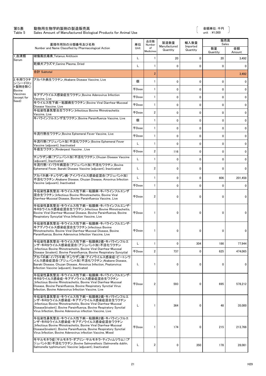### 第5表 動物用生物学的製剤の製造販売高 金額単位:千円

### Table 5 Sales Amount of Manufactured Biological Products for Animal Use unit :\1,000

 $\overline{\phantom{a}}$ 

|                          | 薬理作用別の分類番号及び名称                                                                                                                                                                                                                                                                 | 単位           | 品目数<br>Number   | 製造数量                     | 輸入数量                 | 販売高<br>Sales   |              |
|--------------------------|--------------------------------------------------------------------------------------------------------------------------------------------------------------------------------------------------------------------------------------------------------------------------------|--------------|-----------------|--------------------------|----------------------|----------------|--------------|
|                          | Number and Name Classified by Pharmacological Action                                                                                                                                                                                                                           | Unit         | of<br>Medicines | Manufactured<br>Quantity | Imported<br>Quantity | 数量<br>Quantity | 金額<br>Amount |
| 1_血清類<br>Serum           | 破傷風抗毒素_Tetanus Antitoxin                                                                                                                                                                                                                                                       | L            |                 | 20                       | $\Omega$             | 20             | 3,492        |
|                          | 乾燥犬プラズマ_Canine Plasma, Dried                                                                                                                                                                                                                                                   | L            |                 | $\mathbf 0$              | $\Omega$             | $\mathbf{0}$   | $\Omega$     |
|                          | 合計 Subtotal                                                                                                                                                                                                                                                                    |              | $\overline{2}$  |                          |                      |                | 3,492        |
| 2_牛用ワクチ<br>ン(シードロッ       | アカバネ病生ワクチン Akabane Disease Vaccine, Live                                                                                                                                                                                                                                       | 個            |                 | 0                        | 0                    | $\mathbf 0$    | $\mathbf{0}$ |
| ト製剤を除く)<br><b>Bovine</b> |                                                                                                                                                                                                                                                                                | <b>千Dose</b> |                 | 0                        | 0                    | $\mathbf 0$    | $\mathbf 0$  |
| Vaccines<br>(except for  | 牛アデノウイルス感染症生ワクチン_Bovine Adenovirus Infection<br>Vaccine, Live                                                                                                                                                                                                                  | <b>千Dose</b> |                 | $\mathbf 0$              | $\Omega$             | $\mathbf 0$    | $\mathbf 0$  |
| Seed)                    | 牛ウイルス性下痢ー粘膜病生ワクチン_Bovine Viral Diarrhea-Mucosal<br>Disease Vaccine, Live                                                                                                                                                                                                       | <b>千Dose</b> |                 | 0                        | $\Omega$             | $\mathbf{0}$   | 0            |
|                          | 牛伝染性鼻気管炎生ワクチン_Infectious Bovine Rhinotracheitis<br>Vaccine, Live                                                                                                                                                                                                               | <b>千Dose</b> | $\overline{2}$  | 0                        | $\Omega$             | $\mathbf 0$    | 0            |
|                          | 牛パラインフルエンザ生ワクチン_Bovine Parainfluenza Vaccine, Live                                                                                                                                                                                                                             | 個            |                 | 0                        | 0                    | $\mathbf 0$    | $\mathbf{0}$ |
|                          |                                                                                                                                                                                                                                                                                | <b>千Dose</b> |                 | 0                        | $\Omega$             | $\mathbf{0}$   | $\mathbf{0}$ |
|                          | 牛流行熱生ワクチン_Bovine Ephemeral Fever Vaccine, Live                                                                                                                                                                                                                                 | <b>千Dose</b> |                 | 0                        | 0                    | $\mathbf{0}$   | $\mathbf{0}$ |
|                          | 牛流行熱(アジュバント加)不活化ワクチン_Bovine Ephemeral Fever                                                                                                                                                                                                                                    |              |                 | 0                        | $\Omega$             | $\mathbf{0}$   | $\mathbf{0}$ |
|                          | Vaccine (adjuvant), Inactivated<br>牛疫生ワクチン Rinderpest Vaccine, Live                                                                                                                                                                                                            | <b>千Dose</b> | $\overline{2}$  | 116                      | 0                    | 0              | $\mathbf{0}$ |
|                          | チュウザン病(アジュバント加)不活化ワクチン_Chuzan Disease Vaccine                                                                                                                                                                                                                                  |              |                 | 0                        | 0                    | $\mathbf{0}$   | $\mathbf 0$  |
|                          | (adjuvant), Inactivated<br>牛流行熱・イバラキ病混合(アジュバント加)不活化ワクチン_Bovine                                                                                                                                                                                                                 |              |                 |                          |                      |                |              |
|                          | Ephemeral Fever, Ibaraki Disease Vaccine (adjuvant), Inactivated<br>アカバネ病・チュウザン病・アイノウイルス感染症混合(アジュバント加)                                                                                                                                                                         |              | 2               | 0                        | $\mathbf{0}$         | $\mathbf{0}$   | $\mathbf{0}$ |
|                          | 不活化ワクチン_Akabane Disease, Chuzan Disease, Ainovirus Infection<br>Vaccine (adjuvant), Inactivated                                                                                                                                                                                |              |                 | 0                        | $\mathbf{0}$         | 606            | 201,458      |
|                          |                                                                                                                                                                                                                                                                                | <b>千Dose</b> |                 | $\mathbf 0$              | $\mathbf{0}$         | $\mathbf{0}$   | $\mathbf 0$  |
|                          | 牛伝染性鼻気管炎・牛ウイルス性下痢-粘膜病・牛パラインフルエンザ<br>混合生ワクチン Infectious Bovine Rhinotracheitis, Bovine Viral<br>Diarrhea-Mucosal Disease, Bovine Parainfluenza Vaccine, Live                                                                                                                    | <b>FDose</b> | $\overline{2}$  | 0                        | $\mathbf{0}$         | $\mathbf{0}$   | $\mathbf 0$  |
|                          | 牛伝染性鼻気管炎・牛ウイルス性下痢-粘膜病・牛パラインフルエンザ・<br>牛RSウイルス感染症混合生ワクチン Infectious Bovine Rhinotracheitis,<br>Bovine Viral Diarrhea-Mucosal Disease, Bovine Parainfluenza, Bovine<br>Respiratory Syncytial Virus Infection Vaccine, Live                                                        | <b>千Dose</b> |                 | 0                        | 0                    | $\mathbf{0}$   | 0            |
|                          | 牛伝染性鼻気管炎・牛ウイルス性下痢-粘膜病・牛パラインフルエンザ・<br>牛アデノウイルス感染症混合生ワクチン Infectious Bovine<br>Rhinotracheitis, Bovine Viral Diarrhea-Mucosal Disease, Bovine<br>Parainfluenza, Bovine Adenovirus Infection Vaccine, Live                                                                        | <b>千Dose</b> |                 | 0                        | 0                    | $\mathbf{0}$   | 0            |
|                          | 牛伝染性鼻気管炎・牛ウイルス性下痢ー粘膜病2価・牛パラインフルエ<br>ンザ・牛RSウイルス感染症混合(アジュバント加)不活化ワクチン                                                                                                                                                                                                            |              |                 | 0                        | 304                  | 186            | 77,944       |
|                          | Infectious Bovine Rhinotracheitis, Bovine Viral Diarrhea-Mucosal<br>Disease (bivalent), Bovine Parainfluenza, Bovine Respiratory Syncytial                                                                                                                                     | <b>千Dose</b> | $\overline{2}$  | 737                      | $\mathbf{0}$         | 625            | 474,065      |
|                          | アカバネ病・イバラキ病・チュウザン病・アイノウイルス感染症・ピートンウ<br>イルス感染症混合(アジュバント加)不活化ワクチン_Akabane Disease,<br>Ibaraki Disease, Chuzan Disease, Ainovirus Infection, Peatonvirus<br>Infection Vaccine (adjuvant), Inactivated                                                                             | L            |                 | 0                        | 0                    | $\mathbf{0}$   | 0            |
|                          | 牛伝染性鼻気管炎・牛ウイルス性下痢-粘膜病・牛パラインフルエンザ・<br>牛RSウイルス感染症・牛アデノウイルス感染症混合生ワクチン<br>Infectious Bovine Rhinotracheitis, Bovine Viral Diarrhea-Mucosal<br>Disease, Bovine Parainfluenza, Bovine Respiratory Synctial Virus<br>Infection, Bovine Adenovirus Infection Vaccine, Live             | 千Dose        | $\overline{2}$  | 593                      | $\mathbf{0}$         | 695            | 578,212      |
|                          | 牛伝染性鼻気管炎・牛ウイルス性下痢-粘膜病2価・牛パラインフルエ<br>ンザ・牛RSウイルス感染症・牛アデノウイルス感染症混合生ワクチン<br>Infectious Bovine Rhinotracheitis, Bovine Viral Diarrhea-Mucosal<br>Disease(bivalent), Bovine Parainfluenza, Bovine Respiratory Synctial<br>Virus Infection, Bovine Adenovirus infection Vaccine, Live |              |                 | 364                      | 0                    | 48             | 35,000       |
|                          | 牛伝染性鼻気管炎・牛ウイルス性下痢-粘膜病2価・牛パラインフルエ<br>ンザ・牛RSウイルス感染症・牛アデノウイルス感染症混合ワクチン<br>Infectious Bovine Rhinotracheitis, Bovine Viral Diarrhea-Mucosal<br>Disease(bivalent), Bovine Parainfluenza, Bovine Respiratory Synctial<br>Virus Infection, Bovine Adenovirus infection Vaccine, Mixed | 千Dose        |                 | 174                      | $\mathbf 0$          | 215            | 213,766      |
|                          | 牛サルモネラ症(サルモネラ・ダブリン・サルモネラ・ティフィムリウム)(ア<br>ジュバント加)不活化ワクチン_Bovine Salmonellosis (Salmonella dublin,<br>Salmonella typhimurium) Vaccine (adjuvant), Inactivated                                                                                                                     |              | $\overline{2}$  | 0                        | 350                  | 178            | 28,081       |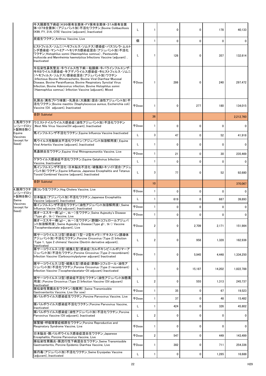|                         | 牛大腸菌性下痢症(K99保有全菌体·FY保有全菌体·31A保有全菌<br>体・O78全菌体)(アジュバント加)不活化ワクチン_Bovine Colibacillosis<br>(K99, FY, 31A, O78) Vaccine (adjuvant), Inactivated                                                                                                                                                                                                                                         |              |                | $\mathbf{0}$ | 0           | 178          | 40,133       |
|-------------------------|-------------------------------------------------------------------------------------------------------------------------------------------------------------------------------------------------------------------------------------------------------------------------------------------------------------------------------------------------------------------------------------|--------------|----------------|--------------|-------------|--------------|--------------|
|                         | 炭疽生ワクチン_Anthrax Vaccine, Live                                                                                                                                                                                                                                                                                                                                                       | 個            |                | 0            | 0           | $\Omega$     | <sup>0</sup> |
|                         | ヒストフィルス・ソムニ(へモフィルス・ソムナス)感染症・パスツレラ・ムルト<br> シダ感染症・マンヘミア・ヘモリチカ感染症混合(アジュバント加)不活化<br>ワクチン_Histophilus somni (Haemophilus somnus), Pasteurella<br>multocida and Mannheimia haemolytica Infections Vaccine (adjuvant),<br>Inactivated                                                                                                                                                      | L            |                | 126          | $\Omega$    | 357          | 132,614      |
|                         | 牛伝染性鼻気管炎・牛ウイルス性下痢-粘膜病・牛パラインフルエンザ・<br>牛RSウイルス感染症・牛アデノウイルス感染症・牛ヒストフィルス・ソムニ<br>(ヘモフィルス・ソムナス)感染症混合(アジュバント加)ワクチン<br>Infectious Bovine Rhinotracheitis, Bovine Viral Diarrhea-Mucosal<br>Disease, Bovine Parainfluenza, Bovine Respiratory Synctial Virus<br>Infection, Bovine Adenovirus infection, Bovine Histophilus somni<br>(Haemophilus somnus) Infection Vaccine (adjuvant), Mixed | 千Dose        |                | 286          | 0           | 240          | 297,472      |
|                         | 乳房炎(黄色ブドウ球菌)・乳房炎(大腸菌)混合(油性アジュバント加)不<br> 活化ワクチン_Bovine mastitis (Staphylococcus aureus, Escherichia coli)<br>Vaccine (Oil adjuvant), Inactivated                                                                                                                                                                                                                                     | 千Dose        |                | $\mathbf{0}$ | 277         | 180          | 134,015      |
|                         | 合計 Subtotal                                                                                                                                                                                                                                                                                                                                                                         |              | 36             |              |             |              | 2,212,760    |
| ン(シードロッ <br>ト製剤を除く)     | 3_馬用ワクチ  ウエストナイルウイルス感染症(油性アジュバント加)不活化ワクチン<br>West Nile Virus Vaccine(Oil adjuvant), Inactivated                                                                                                                                                                                                                                                                                     | <b>千Dose</b> |                | $\mathbf{0}$ | 0           | $\mathbf{0}$ | 0            |
| Equine<br>Vaccines      | 馬インフルエンザ不活化ワクチン_Equine Influenza Vaccine Inactivated                                                                                                                                                                                                                                                                                                                                |              | 3              | 47           | 0           | 52           | 41,918       |
| (except for<br>Seed)    | 馬ウイルス性動脈炎不活化ワクチン(アジュバント加溶解用液)_Equine<br>Viral Arteritis Vaccine (adjuvant), Inactivated                                                                                                                                                                                                                                                                                             | L.           |                | 0            | 0           | 0            | $\Omega$     |
|                         | 馬鼻肺炎生ワクチン_Equine Viral Rhinopneumonitis Vaccine, Live                                                                                                                                                                                                                                                                                                                               | <b>千Dose</b> |                | 21           | $\mathbf 0$ | 30           | 235,469      |
|                         | ゲタウイルス感染症不活化ワクチン_Equine Getahvirus Infection<br>Vaccine, Inactivated                                                                                                                                                                                                                                                                                                                | L.           |                | $\mathbf{0}$ | 0           | 0            | $\Omega$     |
|                         | 馬インフルエンザ不活化・日本脳炎不活化・破傷風トキソイド混合(アジュ<br>バント加)ワクチン_Equine Influenza, Japanese Encephalitis and Tetanus<br>Toxoid Combined Vaccine (adjuvant), Inactivated                                                                                                                                                                                                                              |              | 3              | 77           | 0           | 52           | 92,680       |
|                         | 合計 Subtotal                                                                                                                                                                                                                                                                                                                                                                         |              | 10             |              |             |              | 370,067      |
| 4.豚用ワクチ<br>ン(シードロッ      | 豚コレラ生ワクチン_Hog Cholera Vaccine, Live                                                                                                                                                                                                                                                                                                                                                 | <b>千Dose</b> |                | 0            | 0           | $\mathbf{0}$ | $\Omega$     |
| ト製剤を除く)<br>Swine        | 日本脳炎(アジュバント加)不活化ワクチン_Japanese Encephalitis<br>Vaccine (adjuvant), Inactivated                                                                                                                                                                                                                                                                                                       | L            |                | 619          | $\mathbf 0$ | 687          | 39,893       |
| Vaccines<br>(except for | 豚インフルエンザ不活化ワクチン(油性アジュバント加溶解用液)_Swine<br>Influenza Vacine (Oid adjuvant), Inactivated                                                                                                                                                                                                                                                                                                | <b>千Dose</b> |                | $\mathbf{0}$ | 0           | $\Omega$     | $\Omega$     |
| Seed)                   | 豚オーエスキー病(gIー、tkー)生ワクチン_Swine Aujeszky's Disease<br>(Type gI-, tk-) Vaccine, Live                                                                                                                                                                                                                                                                                                    | <b>千Dose</b> |                | $\mathbf{0}$ | 0           | 0            | 0            |
|                         | 豚オーエスキー病(gIー、tkー)生ワクチン(酢酸トコフェロールアジュバ<br> ント加溶解用液)Swine Aujeszky's Disease(Type gI−, tk−)Vaccine<br>(Tocopherolacetate adjuvant), Live                                                                                                                                                                                                                                               | 千Dose        | $\overline{2}$ | $\mathbf{0}$ | 2,709       | 2,171        | 151,984      |
|                         | 豚サーコウイルス(2型)感染症(1型-2型キメラ)(デキストリン誘導体<br>アジュバント加)不活化ワクチン Porcine Circovirus (Type 2) Infection<br>(Type 1, type 2 chimera) Vaccine (Dextrin derivative adjuvant),                                                                                                                                                                                                                     | L            | $\overline{2}$ | $\Omega$     | 958         | 1,328        | 162,936      |
|                         | Inactivated<br>豚サーコウイルス(2型・組換え型)感染症(カルボキシビニルポリマーア<br> ジュバント加)不活化ワクチン_Porcine Circovirus (Type 2•recombinant)<br>Infection Vaccine (Carboxyvinylpolymer adjuvant) Inactivated                                                                                                                                                                                                        | <b>千Dose</b> |                | 0            | 5,945       | 4,448        | 1,334,250    |
|                         | 豚サーコウイルス(2型・組換え型)感染症(酢酸トコフェロール・油性ア<br> ジュバント加)不活化ワクチン_Porcine Circovirus (Type 2•recombinant)<br>Infection Vaccine (Tocopherolacetate Oil adjuvant) Inactivated                                                                                                                                                                                                                     |              |                | 0            | 15,187      | 14,202       | 1,822,788    |
|                         | 豚サーコウイルス(2型)感染症不活化ワクチン(油性アジュバント加懸濁<br> 用液) Porcine Circovirus (Type 2) Infection Vaccine (Oil adjuvant)<br>Inactivated                                                                                                                                                                                                                                                              |              | $\overline{2}$ | $\Omega$     | 555         | 1,313        | 245,737      |
|                         | 豚伝染性胃腸炎生ワクチン(母豚用)_Swine Transmissible<br>Gastroenteritis Vaccine, Live (for sow)                                                                                                                                                                                                                                                                                                    | <b>千Dose</b> |                | 35           | 0           | 67           | 19,523       |
|                         | 豚パルボウイルス感染症生ワクチン_Porcine Parvovirus Vaccine, Live                                                                                                                                                                                                                                                                                                                                   | <b>千Dose</b> |                | 37           | 0           | 48           | 15,482       |
|                         | 豚パルボウイルス感染症不活化ワクチン_Porcine Parvovirus Vaccine,<br>Inactivated                                                                                                                                                                                                                                                                                                                       | L            |                | 424          | 0           | 326          | 45,802       |
|                         | 豚パルボウイルス感染症(油性アジュバント加)不活化ワクチン_Porcine<br>Parvovirus Vaccine (Oil adjuvant), Inactivated                                                                                                                                                                                                                                                                                             |              | $\overline{2}$ | $\mathbf{0}$ | 0           | O            | $\Omega$     |
|                         | 豚繁殖・呼吸障害症候群生ワクチン_Porcine Reproductive and<br>Respiratory Syndrome Vaccine, Live                                                                                                                                                                                                                                                                                                     | 千Dose        |                | 0            | 0           | ŋ            | $\Omega$     |
|                         | 日本脳炎・豚パルボウイルス感染症混合生ワクチン_Japanese<br>Encephalitis, Porcine Parvovirus Vaccine, Live                                                                                                                                                                                                                                                                                                  | 千Dose        | $\overline{2}$ | 547          | 0           | 449          | 143,499      |
|                         | 豚伝染性胃腸炎・豚流行性下痢混合生ワクチン_Swine Transmissible<br>Gastroenteritis, Porcine Epidemic Diarrhea Vaccine, Live                                                                                                                                                                                                                                                                               | <b>千Dose</b> |                | 382          | 0           | 711          | 254,336      |
|                         | 豚丹毒(アジュバント加)不活化ワクチン_Swine Erysipelas Vaccine                                                                                                                                                                                                                                                                                                                                        |              |                |              |             |              |              |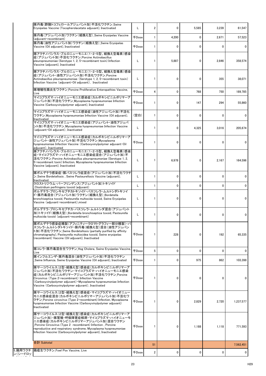| 豚丹毒(酢酸トコフェロールアジュバント加)不活化ワクチン_Swine<br>Erysipelas Vaccine (Tocopherolacetate adjuvant), Inactivated                                                                                                                                                                                                              |              | $\overline{2}$ | 0      | 5,585       | 3,239  | 61,547                       |
|-----------------------------------------------------------------------------------------------------------------------------------------------------------------------------------------------------------------------------------------------------------------------------------------------------------------|--------------|----------------|--------|-------------|--------|------------------------------|
| 豚丹毒(アジュバント加)ワクチン(組換え型)_Swine Erysipelas Vaccine<br>(adiuvant recombinant)                                                                                                                                                                                                                                       | <b>千Dose</b> |                | 4,200  | 0           | 2,671  | 57,523                       |
| 豚丹毒(油性アジュバント加)ワクチン(組換え型) Swine Erysipelas<br>Vaccine (Oil adjuvant), Inactivated                                                                                                                                                                                                                                | <b>千Dose</b> |                | 0      | 0           | 0      | $\Omega$                     |
| 豚アクチノバシラス・プルロニューモニエ(1・2・5型、組換え型毒素)感染<br> 症(アジュバント加)不活化ワクチン_Porcine Actinobacillus<br>pleuropneumoniae (Serotype 1, 2, 5 recombinant toxin) Infection<br>Vaccine (adjuvant), Inactivated                                                                                                                         | L            |                | 5,887  | 0           | 2,846  | 358,574                      |
| 豚アクチノバシラス・プルロニューモニエ(1・2・5型、組換え型毒素)感染<br>症(アジュバント・油性アジュバント加)不活化ワクチン_Porcine<br>Actinobacillus pleuropneumoniae (Serotype 1, 2, 5· recombinant toxin)<br>Infection Vaccine (adjuvant Oil adjuvant), Inactivated                                                                                                   | L            |                | 0      | 0           | 355    | 38,071                       |
| 豚増殖性腸炎生ワクチン_Porcine Proliferative Enteropathies Vaccine,<br>Live                                                                                                                                                                                                                                                | <b>千Dose</b> | 4              | 0      | 768         | 750    | 189,785                      |
| マイコプラズマ・ハイオニューモニエ感染症(カルボキシビニルポリマーア<br>ジュバント加)不活化ワクチン_Mycoplasma hyopneumoniae Infection<br>Vaccine (Carboxyvinylpolymer adjuvant), Inactivated                                                                                                                                                                  | <b>千Dose</b> |                | 0      | 147         | 294    | 55,860                       |
| マイコプラズマ・ハイオニューモニエ感染症(油性アジュバント加)不活化<br>ワクチン_Mycoplasma hyopneumoniae Infection Vaccine (Oil adjuvant),<br>Inactivated                                                                                                                                                                                            | (空白)         |                | 0      | 0           | 0      | $\mathbf{0}$                 |
| マイコプラズマ・ハイオニューモニエ感染症(アジュバント・油性アジュバ<br>ント加)不活化ワクチン_Mycoplasma hyopneumoniae Infection Vaccine<br>(adjuvant · Oil adjuvant), Inactivated                                                                                                                                                                          | L            |                | 0      | 4,325       | 3,016  | 205,674                      |
| マイコプラズマ・ハイオニューモニエ感染症(カルボキシビニルポリマーア<br>ジュバント・油性アジュバント加)不活化ワクチン_Mycoplasma<br>hyopneumoniae Infection Vaccine (Carboxyvinylpolymer adjuvant Oil<br>adjuvant), Inactivated                                                                                                                                         | 千Dose        |                | 0      | 0           | 0      | $\Omega$                     |
| 豚アクチノバシラス・プルロニューモニエ(1・2・5型、組換え型毒素)感染<br> 症・マイコプラズマ・ハイオニューモニエ感染症混合(アジュバント加)不<br> 活化ワクチン_Porcine Actinobacillus pleuropneumoniae (Serotype 1, 2,<br>5 recombinant toxin) Infection, Mycoplasma hyopneumoniae Infection<br>Vaccine (adjuvant), Inactivated                                                         | L            |                | 6,978  | $\mathbf 0$ | 2,167  | 164,596                      |
| 豚ボルデテラ感染症・豚パスツレラ症混合(アジュバント加)不活化ワクチ <br>$\mathcal{L}$ Swine Bordetellosis, Swine Pasteurellosis Vaccine (adjuvant),<br>Inactivated                                                                                                                                                                               | L            |                | 0      | 0           | 0      | 0                            |
| クロストリジウム・パーフリンゲンス(アジュバント加)トキソイド<br>Clostridium perfringens toxoid (adjuvant)<br> ボルデテラ・ブロンキセプチカトキソイド・パスツレラ・ムルトシダトキソイ<br> ド・豚丹毒混合(アジュバント加)ワクチン(組換え型)_Bordetella<br>bronchiseptica toxoid, Pasteurella multocida toxoid, Swine Erysipelas<br>Vaccine (adjuvant recombinant), mixed                                | L<br>L       |                | 0<br>0 | 0<br>0      | 0<br>0 | $\mathbf{0}$<br>$\mathbf{0}$ |
| ボルデテラ・ブロンキセプチカ・パスツレラ・ムルトシダ混合(アジュバント<br> 加)トキソイド(組換え型)_Bordetella bronchiseptica toxoid, Pasteurella<br>multocida toxoid (adjuvant recombinant)                                                                                                                                                                  |              |                | 0      | 0           | 0      | $\mathbf{0}$                 |
| 豚ボルデテラ感染症精製(アフィニティークロマトグラフィー部分精製)・パ<br>スツレラ・ムルトシダトキソイド・豚丹毒(組換え型)混合(油性アジュバン<br>ト加) 不活化ワクチン_Swine Bordetellosis (partially purified by affinity<br>chromatography), Pasteurella multocidea toxoid, Swine erysipelas<br>(recombinant) Vaccine (Oil adjuvant), Inactivated                                          | 千Dose        |                | 228    | 0           | 192    | 65,335                       |
| 豚コレラ・豚丹毒混合生ワクチン_Hog Cholera, Swine Erysipelas Vaccine,<br>Live                                                                                                                                                                                                                                                  | <b>千Dose</b> | 5 <sup>5</sup> | 0      | 0           | 0      | 0                            |
| 豚インフルエンザ・豚丹毒混合(油性アジュバント加)不活化ワクチン<br>Swine Influenza, Swine Erysipelas Vaccine (Oil adjuvant), Inactivated                                                                                                                                                                                                       | <b>千Dose</b> |                | 0      | 975         | 862    | 103,398                      |
| 豚サーコウイルス(2型・組換え型)感染症(カルボキシビニルポリマーア<br>ジュバント加)不活化ワクチン・マイコプラズマ・ハイオニューモニエ感染<br> 症(カルボキシビニルポリマーアジュバント加)不活化ワクチン_Porcine<br>Circovirus (Type 2·recombinant) Infection Vaccine<br>(Carboxyvinylpolymer adjuvant) • Mycoplasma hyopneumoniae Infection<br>Vaccine (Carboxyvinylpolymer adjuvant), Inactivated           | 千Dose        |                | 0      | 0           | 0      | $\Omega$                     |
| 豚サーコウイルス(2型・組換え型)感染症・マイコプラズマ・ハイオニュー<br>モニエ感染症混合(カルボキシビニルポリマーアジュバント加)不活化ワ<br>クチン Porcine circovirus (Type 2 · recombinant) Infection, Mycoplasma<br>hyopneumoniae Infection Vaccine (Carboxyvinylpolymer adjuvant)<br>Inactivated                                                                                | <b>千Dose</b> |                | 0      | 2,829       | 2,720  | 1,237,577                    |
| 豚サーコウイルス(2型・組換え型)感染症(カルボキシビニルポリマーア<br>ジュバント加)・豚繁殖・呼吸障害症候群・マイコプラズマ・ハイオニューモ<br>ニエ感染症(カルボキシビニルポリマーアジュバント加)混合ワクチン<br>Porcine Circovirus (Type 2 recombinant) Infection, Porcine<br>reproductive and respiratory syndrome, Mycoplasma hyopneumoniae<br>Infection Vaccine (Carboxyvinylpolymer adjuvant), Inactivated | <b>千Dose</b> |                | 0      | 1,188       | 1,118  | 771,593                      |
| 合計 Subtotal                                                                                                                                                                                                                                                                                                     |              | 51             |        |             |        | 7,562,451                    |
|                                                                                                                                                                                                                                                                                                                 |              |                |        |             |        |                              |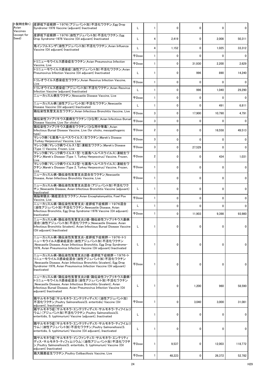| ト製剤を除く)<br>Vaccines | 産卵低下症候群-1976(アジュバント加)不活化ワクチン_Egg Drop<br>Syndrome-1976 Vaccine (adjuvant) Inactivated                                                                                                                                                        |              |                | $\mathbf{0}$ | $\mathbf{0}$ | 0            | 0        |
|---------------------|----------------------------------------------------------------------------------------------------------------------------------------------------------------------------------------------------------------------------------------------|--------------|----------------|--------------|--------------|--------------|----------|
| (except for         | 産卵低下症候群-1976(油性アジュバント加)不活化ワクチン_Egg<br>Drop Syndrome-1976 Vaccine (Oil adjuvant) Inactivated                                                                                                                                                  |              | 4              | 2,419        | $\mathbf 0$  | 2,008        | 50,311   |
|                     | 鳥インフルエンザ(油性アジュバント加)不活化ワクチン_Avian Influenza<br>Vaccine (Oil adjuvant) Inactivated                                                                                                                                                             |              | 4              | 1,152        | 0            | 1,025        | 33,312   |
|                     |                                                                                                                                                                                                                                              | 千Dose        |                | $\Omega$     | $\mathbf{0}$ | 0            | $\Omega$ |
|                     | トリニューモウイルス感染症生ワクチン_Avian Pneumovirus Infection<br>Vaccine, Live                                                                                                                                                                              | <b>千Dose</b> |                | 0            | 31,930       | 2,200        | 2,629    |
|                     | トリニューモウイルス感染症(油性アジュバント加)不活化ワクチン_Avian<br>Pneumovirus Infection Vaccine (Oil adjuvant) Inactivated                                                                                                                                            |              |                | 0            | 996          | 890          | 14,240   |
|                     | トリレオウイルス感染症生ワクチン_Avian Reovirus Infection Vaccine,<br>Live                                                                                                                                                                                   | <b>千Dose</b> |                | 0            | $\mathbf{0}$ | 0            | $\Omega$ |
|                     | トリレオウイルス感染症(アジュバント加)不活化ワクチン_Avian Reovirus<br>Infection Vaccine (adjuvant) Inactivated                                                                                                                                                       |              |                | 0            | 996          | 1,040        | 29,290   |
|                     | ニューカッスル病生ワクチン_Newcastle Disease Vaccine, Live                                                                                                                                                                                                | <b>千Dose</b> |                | 0            | $\mathbf{0}$ | 0            | $\Omega$ |
|                     | ニューカッスル病(油性アジュバント加)不活化ワクチン_Newcastle<br>Disease Vaccine (Oil adjuvant) Inactivated                                                                                                                                                           |              |                | 0            | 0            | 491          | 6,811    |
|                     | 鶏伝染性気管支炎生ワクチン_Avian Infectious Bronchitis Vaccine, Live                                                                                                                                                                                      | <b>千Dose</b> | 3              | $\mathbf{0}$ | 17,900       | 10,790       | 4,791    |
|                     | 鶏伝染性ファブリキウス嚢病生ワクチン(ひな用)_Avian Infectious Bursal <br>Disease Vaccine, Live (for chicks)                                                                                                                                                       | $F$ Dose     | 3              | 0            | $\mathbf{0}$ | O            | ∩        |
|                     | 鶏伝染性ファブリキウス嚢病生ワクチン(ひな用中等毒) Avian<br>Infectious Bursal Disease Vaccine, Live (for chicks, mesopathogenic<br>type)                                                                                                                             | 千Dose        | $\overline{2}$ | $\Omega$     | $\mathbf{0}$ | 16,558       | 49,513   |
|                     | マレック病(七面鳥ヘルペスウイルス)生ワクチン_Marek's Disease<br>(Turkey Herpesvirus) Vaccine, Live                                                                                                                                                                | <b>千Dose</b> | 3              | 0            | $\mathbf 0$  | 0            | 0        |
|                     | マレック病(マレック病ウイルス1型)凍結生ワクチン_Marek's Disease<br>(Type 1) Vaccine, Frozen, Live                                                                                                                                                                  | 千Dose        | 3              | 0            | 27,529       | 0            | 0        |
|                     | マレック病(マレック病ウイルス1型・七面鳥ヘルペスウイルス)凍結生ワ<br> クチン_Marek's Disease (Type 1, Turkey Herpesvirus) Vaccine, Frozen,<br>Live                                                                                                                             | <b>千Dose</b> | $\overline{2}$ | $\Omega$     | $\Omega$     | 434          | 1,031    |
|                     | マレック病(マレック病ウイルス2型・七面鳥ヘルペスウイルス)凍結生ワ<br> クチン_Marek's Disease (Type 2, Turkey Herpesvirus) Vaccine, Frozen,<br>Live                                                                                                                             | 千Dose        |                | $\Omega$     | $\mathbf{0}$ | $\mathbf{0}$ | 0        |
|                     | ニューカッスル病・鶏伝染性気管支炎混合生ワクチン_Newcastle<br>Disease, Avian Infectious Bronchitis Vaccine, Live                                                                                                                                                     | 千Dose        |                | $\mathbf{0}$ | $\mathbf{0}$ | 0            | 0        |
|                     | ニューカッスル病・鶏伝染性気管支炎混合(アジュバント加)不活化ワク<br>チン_Newcastle Disease, Avian Infectious Bronchitis Vaccine (adjuvant)<br>Inactivated                                                                                                                     |              |                | $\Omega$     | $\mathbf{0}$ | O            | 0        |
|                     | 鶏脳脊髄炎・鶏痘混合生ワクチン_Avian Encephalomyelitis, Fowl Pox<br>Vaccine, Live                                                                                                                                                                           | <b>千Dose</b> |                | 0            | $\mathbf 0$  | $\Omega$     | 0        |
|                     | ニューカッスル病・鶏伝染性気管支炎・産卵低下症候群-1976混合<br>(油性アジュバント加)不活化ワクチン_Newcastle Disease, Avian<br>Infectious Bronchitis, Egg Drop Syndrome-1976 Vaccine (Oil adjuvant)                                                                                      |              |                | $\Omega$     | $\mathbf{0}$ | $\Omega$     | 0        |
|                     | Inactivated<br>ニューカッスル病・鶏伝染性気管支炎2価・鶏伝染性ファブリキウス嚢病                                                                                                                                                                                             | <b>千Dose</b> |                | 0            | 11,903       | 9,398        | 93,980   |
|                     | 混合(油性アジュバント加)不活化ワクチン_Newcastle Disease, Avian<br>Infectious Bronchitis (bivalent), Avian Infectious Bursal Disease Vaccine<br>(Oil adjuvant) Inactivated                                                                                     |              |                | $\Omega$     | $\mathbf{0}$ | 0            | $\Omega$ |
|                     | ニューカッスル病・鶏伝染性気管支炎・産卵低下症候群-1976・トリ<br>ニューモウイルス感染症混合(油性アジュバント加)不活化ワクチン<br>Newcastle Disease, Avian Infectious Bronchitis, Egg Drop Syndrome-<br>1976, Avian Pneumovirus Infection Vaccine (Oil adjuvant) Inactivated                           |              |                | $\Omega$     | 0            | O            | 0        |
|                     | ニューカッスル病・鶏伝染性気管支炎2価・産卵低下症候群-1976・ト<br>リニューモウイルス感染症混合(油性アジュバント加)不活化ワクチン<br>Newcastle Disease, Avian Infectious Bronchitis (bivalent), Egg Drop<br>Syndrome-1976, Avian Pneumovirus Infection Vaccine (Oil adjuvant)<br>Inactivated            | <b>千Dose</b> |                | $\mathbf{0}$ | 0            | O            | 0        |
|                     | ニューカッスル病・鶏伝染性気管支炎2価・鶏伝染性ファブリキウス嚢病・<br> トリニューモウイルス感染症混合(油性アジュバント加)不活化ワクチン<br>Newcastle Disease, Avian Infectious Bronchitis (bivalent), Avian<br>Infectious Bursal Disease, Avian Pneumovirus Infection Vaccine (Oil<br>adjuvant) Inactivated |              |                | 0            | 1,200        | 960          | 58,590   |
|                     | 鶏サルモネラ症(サルモネラ・エンテリティディス)(油性アジュバント加)<br>不活化ワクチン Poultry Salmonellosis(S. enteritidis) Vaccine (Oil<br>adjuvant), Inactivated                                                                                                                  | <b>千Dose</b> |                | 0            | 3,040        | 3,000        | 31,081   |
|                     | 鶏サルモネラ症(サルモネラ・エンテリティディス・サルモネラ・ティフイムリ<br>ウム)(アジュバント加)不活化ワクチン_Poultry Salmonellosis(S.<br>enteritidis, S. typhimurium) Vaccine (adjuvant), Inactivated                                                                                         |              |                | 0            | $\mathbf{0}$ | 0            | $\Omega$ |
|                     | 鶏サルモネラ症(サルモネラ・エンテリティディス・サルモネラ・ティフイムリ<br> ウム)(油性アジュバント加)不活化ワクチン_Poultry Salmonellosis(S.<br>enteritidis, S. typhimurium) Vaccine (Oil adjuvant), Inactivated                                                                                  |              |                | 0            | 0            | 0            | $\Omega$ |
|                     | 鶏サルモネラ症(サルモネラ・インファンティス・サルモネラ・エンテリティ<br>ディス・サルモネラ・ティフィムリウム)(油性アジュバント加)不活化ワクチ<br>ン Poultry Salmonellosis(S. enteritidis, S. typhimurium) Vaccine (Oil<br>adjuvant) Inactivated                                                                 | <b>千Dose</b> |                | 9,537        | 0            | 12,003       | 118,772  |
|                     | 鶏大腸菌症生ワクチン Poultry Colibacillosis Vaccine, Live                                                                                                                                                                                              | <b>千Dose</b> |                | 48,223       | $\mathbf 0$  | 26,372       | 52,782   |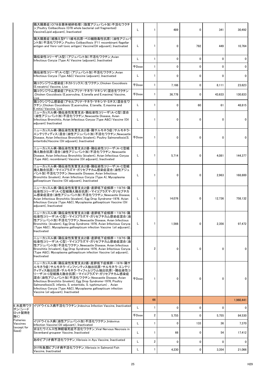|                                      | 鶏大腸菌症(O78全菌体破砕処理)(脂質アジュバント加)不活化ワクチ<br>ン_Poultry Colibacillosis (078 whole bacterial cell fragmented)<br>Vaccine(Lipid adjuvant), Inactivated                                                                                                                                                                                                                                                                                                                    | L            |                | 489    | 0            | 341      | 30,492       |
|--------------------------------------|-----------------------------------------------------------------------------------------------------------------------------------------------------------------------------------------------------------------------------------------------------------------------------------------------------------------------------------------------------------------------------------------------------------------------------------------------------------------|--------------|----------------|--------|--------------|----------|--------------|
|                                      | 鶏大腸菌症(組換え型F11線毛抗原・ベロ細胞毒性抗原)(油性アジュバ<br>ント加)不活化ワクチン_Poultry Colibacillosis (F11 recombinant flagellar<br>antigen and Vero-cell toxic antigen) Vaccine(Oil adjuvant), Inactivated                                                                                                                                                                                                                                                                                  | L            |                | 0      | 792          | 449      | 10,764       |
|                                      | 鶏伝染性コリーザ(A型)(アジュバント加)不活化ワクチン_Avian<br>Infectious Coryza (Type A) Vaccine (adjuvant), Inactivated                                                                                                                                                                                                                                                                                                                                                                |              |                | 0      | ŋ            | 0        | $\Omega$     |
|                                      |                                                                                                                                                                                                                                                                                                                                                                                                                                                                 | 千Dose        |                | 0      | $\mathbf{0}$ | 0        | $\mathbf 0$  |
|                                      | 鶏伝染性コリーザ(A・C型)(アジュバント加)不活化ワクチン_Avian<br>Infectious Coryza (Type A&C) Vaccine (adjuvant), Inactivated                                                                                                                                                                                                                                                                                                                                                            | L            |                | 0      | O            | $\Omega$ | $\Omega$     |
|                                      | 鶏コクシジウム感染症(ネカトリックス)生ワクチン_Chicken Coccidiosis<br>(E.necatrix) Vaccine, Live                                                                                                                                                                                                                                                                                                                                                                                      | <b>千Dose</b> |                | 7,166  | 0            | 8,111    | 23,623       |
|                                      | 鶏コクシジウム感染症(アセルブリナ・テネラ・マキシマ)混合生ワクチン<br>Chicken Coccidiosis (E.acervulina, E.tenella and E.maxima) Vaccine,<br>Live                                                                                                                                                                                                                                                                                                                                               | <b>千Dose</b> |                | 36,778 | 0            | 43,633   | 130,833      |
|                                      | 鶏コクシジウム感染症(アセルブリナ・テネラ・マキシマ・ミチス)混合生ワ<br>クチン Chicken Coccidiosis (E.acervulina, E.tenella, E.maxima and<br>E.mitis) Vaccine, Live                                                                                                                                                                                                                                                                                                                                 | L            |                | 0      | 60           | 61       | 48,815       |
|                                      | ニューカッスル病・鶏伝染性気管支炎・鶏伝染性コリーザ(A・C型)混合<br>(油性アジュバント加)不活化ワクチン_Newcastle Disease, Avian<br>Infectious Bronchitis, Avian Infectious Coryza (Type A&C) Vaccine (Oil<br>adjuvant) Inactivated                                                                                                                                                                                                                                                                            | L            |                | 0      | 0            | 0        | $\Omega$     |
|                                      | ニューカッスル病・鶏伝染性気管支炎2価・鶏サルモネラ症(サルモネラ・<br>エンテリティディス)混合(油性アジュバント加)不活化ワクチン_Newcastle<br>Disease, Avian Infectious Bronchitis (bivalent), Poultry Salmonellosis(S.<br>enteritidis) Vaccine (Oil adjuvant), Inactivated                                                                                                                                                                                                                                                 | 千Dose        |                | 0      | 0            | 0        | 0            |
|                                      | ニューカッスル病・鶏伝染性気管支炎2価・鶏伝染性コリーザ(A・C型組<br>換え融合抗原)混合(油性アジュバント加)不活化ワクチン_Newcastle<br>Disease, Avian Infecitous Bronchitis (bivalent), Avian Infectious Coryza<br>(Type A&C, recombinant) Vaccine (Oil adjuvant), Inactivated                                                                                                                                                                                                                                          | L            |                | 5,714  | 0            | 4,081    | 144,377      |
|                                      | ニューカッスル病・鶏伝染性気管支炎2価・鶏伝染性コリーザ(A・C型組<br> 換え融合抗原)・マイコプラズマ・ガリセプチカム感染症混合(油性アジュ<br> バント加)不活化ワクチン_Newcastle Disease, Avian Infectious<br>Bronchitis (bivalent), Avian Infectious Coryza (Type A), Mycoplasma<br>gallisepticum Vaccine (Oil adjuvant), Inactivated                                                                                                                                                                                                      | L            |                | 0      | 0            | 2,963    | 168,800      |
|                                      | ニューカッスル病・鶏伝染性気管支炎2価・産卵低下症候群-1976・鶏<br> 伝染性コリーザ(A・C型組換え融合抗原)・マイコプラズマ・ガリセプチカ<br>ム感染症混合(油性アジュバント加)不活化ワクチン_Newcastle Disease,<br>Avian Infectious Bronchitis (bivalent), Egg Drop Syndrome-1976. Avian<br>Infectious Coryza (Type A&C), Mycoplasma gallisepticum Vaccine (Oil<br>adjuvant), Inactivated                                                                                                                                                             | L.           |                | 14,076 | 0            | 12,736   | 758,132      |
|                                      | ニューカッスル病・鶏伝染性気管支炎3価・産卵低下症候群-1976・鶏<br> 伝染性コリーザ(A・C型)・マイコプラズマ・ガリセプチカム感染症混合(油<br>性アジュバント加)不活化ワクチン_Newcastle Disease, Avian Infectious<br>Bronchitis (bivalent), Egg Drop Syndrome 1976, Avian Infectious Coryza<br>(Type A&C), Mycoplasma gallisepticum infection Vaccine (oil adjuvant),<br>Inactivated                                                                                                                                                          | L            |                | 1,566  | 0            | 2,356    | 97,472       |
|                                      | ニューカッスル病・鶏伝染性気管支炎2価・産卵低下症候群-1976・鶏<br> 伝染性コリーザ(A・C型)・マイコプラズマ・ガリセプチカム感染症混合(油<br> 性アジュバント加)不活化ワクチン_Newcastle Disease, Avian Infectious<br>Bronchitis (trivalent), Egg Drop Syndrome 1976, Avian Infectious Coryza<br>(Type A&C), Mycoplasma gallisepticum infection Vaccine (oil adjuvant),<br>Inactivated                                                                                                                                                        | L            |                | 0      | 0            | 0        |              |
|                                      | ニューカッスル病・鶏伝染性気管支炎2価・産卵低下症候群-1976・鶏サ<br>ルモネラ症(サルモネラ・インファンティス抽出抗原・サルモネラ・エンテリ<br>ティディス抽出抗原・サルモネラ・ティフィムリウム抽出抗原)・鶏伝染性コ<br>リーザ(A・C型組換え融合抗原)・マイコプラズマ・ガリセプチカム感染症<br> 混合(油性アジュバント加)不活化ワクチン_Newcastle Disease, Avian<br>Infectious Bronchitis (bivalent), Egg Drop Syndrome-1976, Poultry<br>Salmonellosis(S. infantis, S. enteritidis, S. typhimurium), Avian<br>Infectious Coryza (Type A&C), Mycoplasma gallisepticum infection<br>Vaccine (oil adjuvant), Inactivated | 千Dose        |                | 0      | 0            | 0        | 0            |
|                                      |                                                                                                                                                                                                                                                                                                                                                                                                                                                                 |              | 66             |        |              |          | 1,960,441    |
| 6_水産用ワク<br>チン(シード                    | イリドウイルス病不活化ワクチン Iridovirus Infection Vaccine, Inactivated                                                                                                                                                                                                                                                                                                                                                                                                       |              |                | 0      | 0            | 0        | $\mathbf{0}$ |
| ロット製剤を<br>除く)                        |                                                                                                                                                                                                                                                                                                                                                                                                                                                                 | 千Dose        | $\mathbf{2}$   | 5,755  | 0            | 5,755    | 84,530       |
| Fisheries<br>Vaccines<br>(except for | イリドウイルス病(油性アジュバント加)不活化ワクチン_Iridovirus<br>Infection Vaccine (Oil adjuvant), Inactivated                                                                                                                                                                                                                                                                                                                                                                          |              |                | 0      | 133          | 36       | 7,370        |
| Seed)                                | まはたウイルス性神経壊死症不活化ワクチン_Viral Nervous Necrosis in<br>Sevenband groupeer Vaccine, Inactivated                                                                                                                                                                                                                                                                                                                                                                       |              |                | 66     | 0            | 54       | 17,412       |
|                                      | あゆビブリオ病不活化ワクチン_Vibriosis in Ayu Vaccine, Inactivated                                                                                                                                                                                                                                                                                                                                                                                                            | L            | $\overline{2}$ | 0      | $\mathbf{0}$ | 0        | 0            |
|                                      | さけ科魚類ビブリオ病不活化ワクチン_Vibriosis in Salmonid Fish<br>Vaccine, Inactivated                                                                                                                                                                                                                                                                                                                                                                                            |              |                | 4,230  | 0            | 3,354    | 21,066       |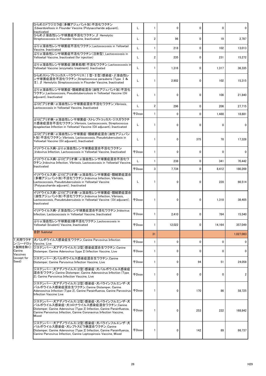|                               | ひらめエドワジエラ症(多糖アジュバント加)不活化ワクチン<br>Edwardsiellosis in Flounder Vaccine (Polysaccharide adjuvant),<br>Inactivated                                                                                                                       |              |                | $\mathbf 0$ | $\mathbf 0$ | 0      | $\Omega$     |
|-------------------------------|-------------------------------------------------------------------------------------------------------------------------------------------------------------------------------------------------------------------------------------|--------------|----------------|-------------|-------------|--------|--------------|
|                               | ひらめβ溶血性レンサ球菌症不活化ワクチン_β Hemolytic<br>Streptococcosis in Flounder Vaccine, Inactivated                                                                                                                                                | L            | $\overline{2}$ | 96          | $\mathbf 0$ | 19     | 2,787        |
|                               | ぶりα溶血性レンサ球菌症不活化ワクチン Lactococcosis in Yellowtail<br>Vaccine, Inactivated                                                                                                                                                             |              |                | 218         | 0           | 102    | 13,013       |
|                               | ぶりα溶血性レンサ球菌症不活化ワクチン(注射型)_Lactococcosis in<br>Yellowtail Vaccine, Inactivated (for injection)                                                                                                                                        | L            | $\overline{2}$ | 235         | 0           | 231    | 15,272       |
|                               | ぶりα溶血性レンサ球菌症(酵素処理)不活化ワクチン_Lactococcosis in<br>Yellowtail Vaccine (enzymatic treatment). Inactivated                                                                                                                                 | L            |                | 1,316       | 0           | 1,317  | 36,335       |
|                               | ひらめストレプトコッカス・パラウベリス(Ι型・Π型)感染症・β溶血性レ<br>ンサ球菌症混合不活化ワクチン_Streptococcus parauberis (Type I&<br>$\mathbb{I}$ ), $\beta$ Hemolytic Streptococcosis in Flounder Vaccine, Inactivated                                                       | L            |                | 2,902       | 0           | 102    | 15,315       |
|                               | ぶりα溶血性レンサ球菌症・類結節症混合(油性アジュバント加)不活化<br>ワクチン Lactococcosis, Pseudotuberculosis in Yellowtail Vaccine (Oil<br>adjuvant), Inactivated                                                                                                    | L            |                | 0           | 0           | 108    | 21,840       |
|                               | ぶりビブリオ病·α溶血性レンサ球菌症混合不活化ワクチン_Vibriosis,<br>Lactococcosis in Yellowtail Vaccine, Inactivated                                                                                                                                          | L            | $\overline{2}$ | 296         | 0           | 206    | 27,715       |
|                               |                                                                                                                                                                                                                                     | 千Dose        |                | 0           | 0           | 1,488  | 18,881       |
|                               | ぶりビブリオ病・α溶血性レンサ球菌症・ストレプトコッカス・ジスガラクチ<br>工感染症混合不活化ワクチン_Vibriosis, Lactococcosis, Streptococcus<br>dysgalactiae Infection in Yellowtail Vaccine (Oil adjuvant), Inactivated                                                            | L            |                | 0           | 0           | 0      | $\Omega$     |
|                               | ぶりビブリオ病・α溶血性レンサ球菌症・類結節症混合(油性アジュバン<br>ト加) 不活化ワクチン_Vibriosis, Lactococcosis, Pseudotuberculosis in<br>Yellowtail Vaccine (Oil adjuvant), Inactivated                                                                                  | L            |                | 0           | 375         | 78     | 17,328       |
|                               | イリドウイルス病·ぶりα溶血性レンサ球菌症混合不活化ワクチン<br>Iridovirus Infection, Lactococcosis in Yellowtail Vaccine, Inactivated                                                                                                                            | <b>千Dose</b> |                | 0           | 0           | 0      | $\mathbf{0}$ |
|                               | イリドウイルス病・ぶりビブリオ病・α溶血性レンサ球菌症混合不活化ワ<br>クチン Iridovirus Infection, Vibriosis, Lactococcosis in Yellowtail Vaccine,                                                                                                                      |              |                | 238         | 0           | 341    | 70,442       |
|                               | Inactivated                                                                                                                                                                                                                         | <b>千Dose</b> | 3              | 7,734       | 0           | 8,412  | 180,269      |
|                               | イリドウイルス病・ぶりビブリオ病・α溶血性レンサ球菌症・類結節症混合<br>(多糖アジュバント加)不活化ワクチン_Iridovirus Infection, Vibriosis,<br>Lactococcosis, Pseudotuberculosis in Yellowtail Vaccine<br>(Polysaccharide adjuvant), Inactivated                                      | L            |                | 0           | 0           | 228    | 66,514       |
|                               | イリドウイルス病・ぶりビブリオ病・α 溶血性レンサ球菌症・類結節症混合<br>(油性アジュバント加)不活化ワクチン Iridovirus Infection, Vibriosis,<br>Lactococcosis, Pseudotuberculosis in Yellowtail Vaccine (Oil adjuvant),<br>Inactivated                                                | 千Dose        |                | 0           | 0           | 1,318  | 38,405       |
|                               | イリドウイルス病・β溶血性レンサ球菌症混合不活化ワクチン_Iridovirus<br>Infection, Lactococcosis in Yellowtail Vaccine, Inactivated                                                                                                                              | <b>千Dose</b> |                | 2,410       | 0           | 784    | 15,540       |
|                               | ぶりα溶血性レンサ球菌症2価不活化ワクチン_Lactococcosis in<br>Yellowtail (bivalent) Vaccine, Inactivated                                                                                                                                                | 千Dose        |                | 12,022      | 0           | 14,164 | 357,049      |
|                               | 合計 Subtotal                                                                                                                                                                                                                         |              | 31             |             |             |        | 1,027,083    |
| ン(シードロッ Vaccine, Live         | 7_犬用ワクチ  犬パルボウイルス感染症生ワクチン_Canine Parvovirus Infection                                                                                                                                                                               | <b>千Dose</b> |                | 0           | 0           | 0      | 0            |
| ト製剤を除く)<br>Canine<br>Vaccines | ジステンパー・犬アデノウイルス(2型)感染症混合生ワクチン_Canine<br>Distemper, Canine Adenovirus (type 2) Infection Vaccine, Live                                                                                                                               | <b>千Dose</b> |                | 0           | 0           | 0      | $\mathbf{0}$ |
| (except for<br>Seed)          | ジステンパー・犬パルボウイルス感染症混合生ワクチン_Canine<br>Distemper, Canine Parvovirus Infection Vaccine, Live                                                                                                                                            | 千Dose        |                | 0           | 94          | 51     | 24,058       |
|                               | ジステンパー・犬アデノウイルス(2型)感染症・犬パルボウイルス感染症<br> 混合生ワクチン_Canine Distemper, Canine Adenoovirus Infection (Type<br>2), Canine Parvovirus Infection Vaccine, Live                                                                                | <b>千Dose</b> |                | 0           | 0           | 0      |              |
|                               | ジステンパー・犬アデノウイルス(2型)感染症・犬パラインフルエンザ・犬<br>パルボウイルス感染症混合生ワクチン_Canine Distemper, Canine<br>Adenoovirus Infection (Type 2), Canine Parainfluenza, Canine Parvovirus   FDose<br>Infection Vaccine Live                                      |              |                | 0           | 170         | 86     | 58,725       |
|                               | ジステンパー・犬アデノウイルス(2型)感染症・犬パラインフルエンザ・犬<br>パルボウイルス感染症・犬コロナウイルス感染症混合ワクチン_Canine<br>Distemper, Canine Adenovirus (Type 2) Infection, Canine Parainfluenza,<br>Canine Parvovirus Infection, Canine Coronavirus Infection Vaccine,<br>Mixed | <b>FDose</b> |                | 0           | 253         | 222    | 168,842      |
|                               | ジステンパー・犬アデノウイルス(2型)感染症・犬パラインフルエンザ・犬<br>パルボウイルス感染症・犬レプトスピラ病混合ワクチン_Canine<br>Distemper, Canine Adenovirus (Type 2) Infection, Canine Parainfluenza,<br>Canine Parvovirus Infection, Canine Leptospirosis Vaccine, Mixed               | <b>千Dose</b> |                | 0           | 142         | 89     | 66,737       |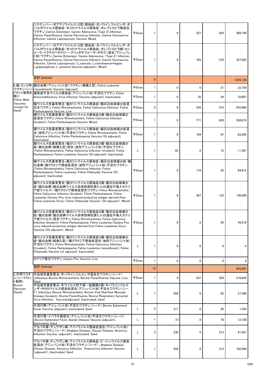|                                     | ジステンパー・犬アデノウイルス(2型)感染症・犬パラインフルエンザ・犬<br>パルボウイルス感染症・犬コロナウイルス感染症・犬レプトスピラ病混合<br>ワクチン_Canine Distemper, Canine Adenovirus (Type 2) Infection,<br>Canine Parainfluenza, Canine Parvovirus Infection, Canine Coronavirus<br>Infection, Canine Leptospirosis Vaccine, Mixed                                                                                                                          | <b>千Dose</b> |                | $\Omega$     | 327          | 424          | 389,740      |
|-------------------------------------|----------------------------------------------------------------------------------------------------------------------------------------------------------------------------------------------------------------------------------------------------------------------------------------------------------------------------------------------------------------------------------------------|--------------|----------------|--------------|--------------|--------------|--------------|
|                                     | ジステンパー・犬アデノウイルス(2型)感染症・犬パラインフルエンザ・犬<br>パルボウイルス感染症・犬コロナウイルス感染症・犬レプトスピラ病(カニ<br>コーラ・イクテロヘモラジー・グリッポチフォーサ・ポモナ)混合(アジュバン<br>ト加)ワクチン Canine Distemper, Canine Adenovirus (Type 2) Infection,<br>Canine Parainfluenza, Canine Parvovirus Infection, Canine Coronavirus<br>Infection, Canine Leptospirosis (L.canicola, L.icterohaemorrhagiae,<br>L.grippotyphosa, L.pomona) Vaccine (adjuvant), Mixed | 千Dose        |                | $\mathbf{0}$ | 765          | 370          | 327,025      |
|                                     | 合計 Subtotal                                                                                                                                                                                                                                                                                                                                                                                  |              | 9              |              |              |              | 1,035,129    |
|                                     | 8.猫・ミンク用 猫白血病(アジュバント加)ワクチン(組換え型) Feline Leukemia<br>ワクチン(シー)(recombinant) Vaccine (adjuvant)                                                                                                                                                                                                                                                                                                 | <b>FDose</b> |                | 0            | $\mathbf 0$  | 21           | 23,758       |
| ドロット製剤を<br>除く)<br>Feline Mink       | 猫免疫不全ウイルス感染症(アジュバント加)不活化ワクチン_Feline<br>Immunodeficiency Virus Infection Vaccine (adjuvant), Inactivated                                                                                                                                                                                                                                                                                      | <b>千Dose</b> |                | 0            | 35           | 24           | 33,007       |
| Vaccines<br>(except for<br>Seed)    | 猫ウイルス性鼻気管炎・猫カリシウイルス感染症・猫汎白血球減少症混<br>合生ワクチン Feline Rhinotracheitis, Feline Calicivirus Infection, Feline<br>Panleukopenia Vaccine, Live                                                                                                                                                                                                                                                       | <b>千Dose</b> | $\overline{2}$ | $\Omega$     | 345          | 375          | 203,669      |
|                                     | 猫ウイルス性鼻気管炎·猫カリシウイルス感染症2価·猫汎白血球減少<br>症混合ワクチン_Feline Rhinotracheitis, Feline Calicivirus Infection<br>(bivalent), Feline Panleukopenia Vaccine, Mixed                                                                                                                                                                                                                                          | <b>千Dose</b> |                | $\Omega$     | 771          | 628          | 358,674      |
|                                     | 猫ウイルス性鼻気管炎・猫カリシウイルス感染症・猫汎白血球減少症混<br>合(油性アジュバント加)不活化ワクチン_Feline Rhinotracheitis, Feline<br>Calicivirus Infection, Feline Panleukopenia Vaccine (Oil adjuvant),<br>Inactivated                                                                                                                                                                                                                 | <b>千Dose</b> |                | 0            | 164          | 97           | 83,295       |
|                                     | 猫ウイルス性鼻気管炎・猫カリシウイルス感染症3価・猫汎白血球減少<br>症・猫白血病(組換え型)混合(油性アジュバント加)不活化ワクチン<br>Feline Rhinotracheitis, Feline Calicivirus Infection (trivalent), Feline<br>Panleukopenia, Feline Leukemia Vaccine (Oil adjuvant). Inactivated                                                                                                                                                                       |              |                | 63           | $\mathbf{0}$ | 12           | 11.367       |
|                                     | 猫ウイルス性鼻気管炎・猫カリシウイルス感染症・猫汎白血球減少症・猫 <br>白血病・猫クラミジア感染症混合(油性アジュバント加)不活化ワクチン<br>Feline Rhinotracheitis, Feline Calicivirus Infection, Feline<br>Panleukopenia, Feline Leukemia, Feline Chlamydia Vaccine (Oil<br>adjuvant), Inactivated                                                                                                                                                           | <b>千Dose</b> |                | 0            | 116          | 55           | 64,812       |
|                                     | 猫ウイルス性鼻気管炎・猫カリシウイルス感染症2価・猫汎白血球減少<br> 症・猫白血病(猫白血病ウイルス由来防御抗原たん白遺伝子導入カナリ<br>ア痘ウイルス)・猫クラミジア感染症混合ワクチン_Feline Rhinotracheitis,<br>Feline Calicivirus Infection (bivalent), Feline Panleukopenia, Feline<br>Leukemia (Canary Pox virus induced protective antigen derived from<br>Feline Leukemia Virus), Feline Chlamydia Vaccine (Oil adjuvant), Mixed                                            | <b>千Dose</b> |                | 0            | 307          | 133          | 130,509      |
|                                     | 猫ウイルス性鼻気管炎・猫カリシウイルス感染症2価・猫汎白血球減少<br> 症・猫白血病(猫白血病ウイルス由来防御抗原たん白遺伝子導入カナリ<br>ア痘ウイルス)混合ワクチン_Feline Rhinotracheitis, Feline Calicivirus<br>Infection (bivalent), Feline Panleukopenia, Feline Leukemia (Canary Pox<br>virus induced protective antigen derived from Feline Leukemia Virus)<br>Vaccine (Oil adjuvant), Mixed                                                                        | <b>千Dose</b> |                | $\Omega$     | $\Omega$     | 45           | 44,210       |
|                                     | 猫ウイルス性鼻気管炎・猫カリシウイルス感染症3価・猫汎白血球減少<br>症・猫白血病(組換え型)・猫クラミジア感染症混合(油性アジュバント加)<br>不活化ワクチン Feline Rhinotracheitis, Feline Calicivirus Infection<br>(trivalent), Feline Panleukopenia, Feline Leukemia (recombinant), Feline<br>Chlamydia Vaccine (oil adjuvant), Inactivated                                                                                                                         |              |                | 0            | $\Omega$     | O            | <sup>0</sup> |
|                                     | カナリア痘生ワクチン_Canary Pox Vaccine, Live                                                                                                                                                                                                                                                                                                                                                          | 千Dose        |                | 0            | $\mathbf{0}$ | $\mathbf{0}$ | <sup>0</sup> |
|                                     | 合計 Subtotal                                                                                                                                                                                                                                                                                                                                                                                  |              | 12             |              |              |              | 953,301      |
| 9 牛用ワクチ<br>ン(シードロッ<br>ト製剤)          | 牛伝染性鼻気管炎・牛パラインフルエンザ混合生ワクチン(シード)<br>Infectious Bovine Rhinotracheitis, Bovine Parainfluenza Vaccine, Live,<br>Seed                                                                                                                                                                                                                                                                            | 千Dose        |                | 0            | 247          | 339          | 216,635      |
| <b>Bovine</b><br>Vaccines<br>(Seed) | 牛伝染性鼻気管炎・牛ウイルス性下痢-粘膜病2価・牛パラインフルエ<br>ンザ・牛RSウイルス感染症混合(アジュバント加)不活化ワクチン(シー<br>ド) Infectious Bovine Rhinotracheitis, Bovine Viral Diarrhea-Mucosal<br>Disease (bivalent), Bovine Parainfluenza, Bovine Respiratory Syncytial<br>Virus Infection, Vaccine(adjuvant), Inactivated, Seed                                                                                                             |              |                | 204          | $\Omega$     | 82           | 27,388       |
|                                     | 牛流行熱(アジュバント加)不活化ワクチン(シード)_Bovine Ephemeral<br>Fever Vaccine (adjuvant), Inactivated, Seed                                                                                                                                                                                                                                                                                                    |              | $\overline{2}$ | 217          | $\mathbf{0}$ | 26           | 1,242        |
|                                     | 牛流行熱・イバラキ病混合(アジュバント加)不活化ワクチン(シード)<br>Bovine Ephemeral Fever, Ibaraki Disease Vaccine (adjuvant),<br><b>Inactivated, Seed</b>                                                                                                                                                                                                                                                                 |              |                | 73           | $\mathbf{0}$ | 76           | 12,100       |
|                                     | アカバネ病・チュウザン病・アイノウイルス感染症混合(アジュバント加)<br>不活化ワクチン(シード) Akabane Disease, Chuzan Disease, Ainovirus<br>Infection Vaccine (adjuvant), Inactivated, Seed                                                                                                                                                                                                                                             |              | 3              | 230          | $\mathbf{0}$ | 213          | 61,091       |
|                                     | アカバネ病・チュウザン病・アイノウイルス感染症・ピートンウイルス感染<br>症混合(アジュバント加)不活化ワクチン(シード)_Akabane Disease,<br>Chuzan Disease, Ainovirus Infection, Peatonvirus Infection Vaccine<br>(adjuvant), Inactivated, Seed                                                                                                                                                                                                       |              |                | 934          | 0            | 313          | 162,084      |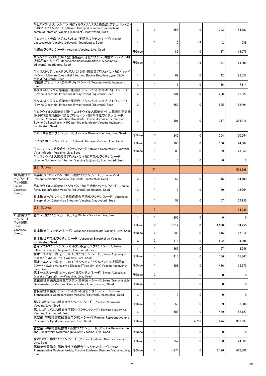|                              | 牛ヒストフィルス・ソムニ(ヘモフィルス・ソムナス)感染症(アジュバント加)<br>不活化ワクチン(シード)_Bovine Histophilus somni (Haemophilus<br>somnus) Infection Vaccine (adjuvant), Inactivated, Seed                                                                                         | L            | $\overline{2}$ | 656          | $\mathbf{0}$ | 283          | 54,787         |
|------------------------------|------------------------------------------------------------------------------------------------------------------------------------------------------------------------------------------------------------------------------------------------|--------------|----------------|--------------|--------------|--------------|----------------|
|                              | 牛レプトスピラ病(アジュバント加)不活化ワクチン(シード)_Bovine<br>Leptospirosis Vaccine (adjuvant), Inactivated, Seed                                                                                                                                                    | L            |                | 0            | 47           | 2            | 588            |
|                              | 炭疽生ワクチン(シード) Anthrax Vaccine, Live, Seed                                                                                                                                                                                                       | <b>千Dose</b> |                | 89           | $\mathbf{0}$ | 127          | 14,576         |
|                              | マンヘミア・ヘモリチカ(1型)感染症不活化ワクチン(油性アジュバント加<br> 溶解用液)(シード)_Mannheimia haemolytica(type1)Vaccine (oil<br>adjuvant), Inactivated, Seed                                                                                                                   | <b>千Dose</b> |                | $\mathbf{0}$ | 84           | 174          | 115,308        |
|                              | 牛クロストリジウム・ボツリヌス(C・D型)感染症(アジュバント加)トキソイ<br>$ \breve{\mathsf{F}}(\mathsf{L}-\mathsf{F}) $ Bovine Clostridial Infection, Bovine Botulism (type C&D)<br>toxoid (adjuvant), Seed                                                                     | L            |                | 62           | $\mathbf{0}$ | 42           | 22,021         |
|                              | 破傷風(アジュバント加)トキソイド(シード) _Tetanus toxoid (adjuvant),<br>Seed                                                                                                                                                                                     | Г            |                | 16           | $\mathbf 0$  | 16           | 7,114          |
|                              | 牛クロストリジウム感染症3種混合(アジュバント加)トキソイド(シード)<br>Bovine Clostridial Infections 3-way toxoid (adjuvant), Seed                                                                                                                                             | L            |                | 334          | $\mathbf{0}$ | 298          | 61,827         |
|                              | 牛クロストリジウム感染症5種混合(アジュバント加)トキソイド(シード)<br>Bovine Clostridial Infections 5-way toxoid (adjuvant), Seed                                                                                                                                             | L            |                | 667          | $\mathbf{0}$ | 595          | 182,404        |
|                              | 牛ロタウイルス感染症3価・牛コロナウイルス感染症・牛大腸菌性下痢症<br>(K99精製線毛抗原)混合(アジュバント加)不活化ワクチン(シード)<br>Bovine Rotavirus Infection (trivalent)-Bovine Coronavirus Infection,<br>Bovine Collibacillosis (K100 purified piliantigen) Vaccine (adjuvant),<br>Inactivated, Seed | L            |                | 401          | 0            | 317          | 396,316        |
|                              | アカバネ病生ワクチン(シード) Akabane Disease Vaccine, Live, Seed                                                                                                                                                                                            | <b>千Dose</b> | 3              | 245          | 0            | 204          | 150,554        |
|                              | イバラキ病生ワクチン(シード)_Ibaraki Disease Vaccine, Live, Seed                                                                                                                                                                                            | <b>千Dose</b> | 3              | 103          | $\mathbf 0$  | 100          | 24,304         |
|                              | 牛RSウイルス感染症生ワクチン(シード)Bovine Respiratory Syncytial<br>Virus Infection Vaccine, Live, Seed                                                                                                                                                        | <b>千Dose</b> |                | 83           | $\mathbf 0$  | 69           | 29,359         |
|                              | 牛コロナウイルス感染症(アジュバント加)不活化ワクチン(シード)<br>Bovine Coronavirus Infection Vaccine (adjuvant), Inactivated, Seed                                                                                                                                         | L            |                | $\mathbf{0}$ | $\mathbf{0}$ | $\mathbf{0}$ | $\mathbf{0}$   |
|                              | 合計 Subtotal                                                                                                                                                                                                                                    |              | 27             |              |              |              | 1,539,698      |
| 10 馬用ワク<br>チン(シード<br>ロット製剤)  | 馬鼻肺炎(アジュバント加)不活化ワクチン(シード)_Equine Viral<br>Rhinopneumonitis Vaccine (adjuvant), Inactivated, Seed                                                                                                                                               | L            |                | 52           | $\mathbf{0}$ | 15           | 14,400         |
| Equine<br>Vaccines<br>(Seed) | 馬ロタウイルス感染症(アジュバント加)不活化ワクチン(シード)_Equine<br>Rotavirus Infection Vaccine (adjuvant), Inactivated, Seed                                                                                                                                            | L            |                | 17           | $\mathbf{0}$ | 20           | 12,704         |
|                              | 日本脳炎·ゲタウイルス感染症混合不活化ワクチン(シード)_Japanese<br>Encephalitis, Getahvirus Infection Vaccine, Inactivated, Seed                                                                                                                                         | L            |                | 51           | $\mathbf{0}$ | 57           | 57,135         |
|                              | 合計 Subtotal                                                                                                                                                                                                                                    |              | 3              |              |              |              | 84,239         |
| 11_豚用ワク<br>チン(シード            | 豚コレラ生ワクチン(シード) Hog Cholera Vaccine, Live, Seed                                                                                                                                                                                                 | L            |                | 200          | 0            | 0            | $\Omega$       |
| ロット製剤)<br>Swine<br>Vaccines  |                                                                                                                                                                                                                                                | 千Dose        | 6              | 1,012        | 0            | 1,000        | 54,250         |
| (Seed)                       | 日本脳炎生ワクチン(シード)_Japanese Encephalitis Vaccine, Live, Seed                                                                                                                                                                                       | <b>千Dose</b> | $\overline{2}$ | 236          | 0            | 315          | 17,612         |
|                              | 日本脳炎不活化ワクチン(シード)_Japanese Encephalitis Vaccine,<br>Inactivated, Seed                                                                                                                                                                           | L            | $\overline{2}$ | 418          | $\mathbf{0}$ | 502          | 34,396         |
|                              | 豚インフルエンザ(アジュバント加)不活化ワクチン(シード) Swine<br>Influenza Vaccine (adjuvant), Inactivated, Seed                                                                                                                                                         | L            |                | 262          | 0            | 67           | 2,546          |
|                              | 豚オーエスキー病(gIー、tk+)生ワクチン(シード)_Swine Aujeszky's<br>Disease (Type gI-, tk+) Vaccine, Live, Seed                                                                                                                                                    | 千Dose        |                | 413          | 0            | 156          | 11,867         |
|                              | 豚オーエスキー病(gI-、tk+)生ワクチン(アジュバント加溶解用液)<br>(シード) Swine Aujeszky's Disease (Type gI-, tk+) Vaccine (adjuvant),<br>Live, Seed                                                                                                                        | <b>千Dose</b> |                | 698          | $\mathbf{0}$ | 486          | 36,370         |
|                              | 豚オーエスキー病(gI-、tk-)生ワクチン(シード) Swine Aujeszky's<br>Disease (Type gI-, tk-) Vaccine, Live, Seed                                                                                                                                                    | <b>千Dose</b> | $\overline{2}$ | 0            | 0            | 0            | 0              |
|                              | 豚伝染性胃腸炎濃縮生ワクチン(母豚用)(シード)_Swine Transmissible<br>Gastroenteritis Vaccine, Concentrated, Live (for sow), Seed                                                                                                                                    | 千Dose        |                | 0            | 0            | $\mathbf{0}$ | $\overline{0}$ |
|                              | 豚伝染性胃腸炎(アジュバント加)不活化ワクチン(シード)_Swine<br>Transmissible Gastroenteritis Vaccine (adjuvant), Inactivated, Seed                                                                                                                                      | L            |                | 0            | 0            | 0            | 0              |
|                              | 豚パルボウイルス感染症生ワクチン(シード) Porcine Parvovirus<br>Vaccine, Live, Seed                                                                                                                                                                                | <b>千Dose</b> |                | 53           | 0            | 9            | 3,006          |
|                              | 豚パルボウイルス感染症不活化ワクチン(シード) Porcine Parvovirus<br>Vaccine, Inactivated, Seed                                                                                                                                                                       | L            |                | 588          | 0            | 489          | 62,127         |
|                              | 豚繁殖・呼吸障害症候群生ワクチン(シード)_Porcine Reproductive and<br>Respiratory Syndrome Vaccine, Live, Seed                                                                                                                                                     | 千Dose        |                | 0            | 4,759        | 3,875        | 953,587        |
|                              | 豚繁殖・呼吸障害症候群2価生ワクチン(シード) Porcine Reproductive<br>and Respiratory Syndrome (bivalent) Vaccine, Live, Seed                                                                                                                                        | <b>千Dose</b> |                | 0            | 0            | 0            | 0              |
|                              | 豚流行性下痢生ワクチン(シード) Porcine Epidemic Diarrhea Vaccine,<br>Live, Seed                                                                                                                                                                              | <b>千Dose</b> |                | 352          | 0            | 138          | 24,301         |
|                              | 豚伝染性胃腸炎・豚流行性下痢混合生ワクチン(シード)_Swine<br>Transmissible Gastroenteritis, Porcine Epidemic Diarrhea Vaccine, Live,<br>Seed                                                                                                                            | 千Dose        |                | 1,174        | 0            | 1,126        | 406,306        |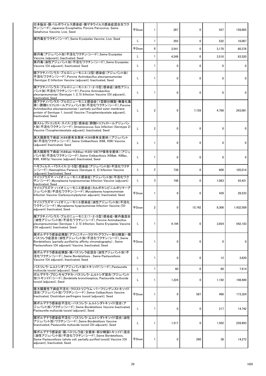| 日本脳炎・豚パルボウイルス感染症・豚ゲタウイルス感染症混合生ワク<br>チン(シード) Japanese Encephalitis, Porcine Parvovirus, Swine<br>Getahvirus Vaccine, Live, Seed                                                                                                                     | 千Dose        |                | 287   | 0      | 437          | 158,865   |
|----------------------------------------------------------------------------------------------------------------------------------------------------------------------------------------------------------------------------------------------------|--------------|----------------|-------|--------|--------------|-----------|
| 豚丹毒生ワクチン(シード) Swine Erysipelas Vaccine, Live, Seed                                                                                                                                                                                                 | L            |                | 293   | 0      | 532          | 16,067    |
|                                                                                                                                                                                                                                                    | 千Dose        | 6              | 3,541 | 0      | 3,170        | 60,376    |
| 豚丹毒(アジュバント加)不活化ワクチン(シード)_Swine Erysipelas<br>Vaccine (adjuvant), Inactivated, Seed                                                                                                                                                                 | L            |                | 4,249 | 0      | 3,510        | 83,520    |
| 豚丹毒(油性アジュバント加)不活化ワクチン(シード)_Swine Erysipelas<br>Vaccine (Oil adjuvant), Inactivated, Seed                                                                                                                                                           | L            |                | 0     | 0      | $\Omega$     |           |
| 豚アクチノバシラス・プルロニューモニエ(2型)感染症(アジュバント加)<br>不活化ワクチン(シード) Porcine Actinobacillus pleuropneumoniae<br>(Serotype 2) Infection Vaccine (adjuvant), Inactivated, Seed                                                                                        | L            |                | 0     | 0      | $\Omega$     |           |
| 豚アクチノバシラス・プルロニューモニエ(1・2・5型)感染症(油性アジュ<br>バント加)不活化ワクチン(シード) Porcine Actinobacillus<br>pleuropneumoniae (Serotype 1, 2, 5) Infection Vaccine (Oil adjuvant),<br>Inactivated, Seed                                                                     | L            |                | 0     | 0      | $\mathbf{0}$ | 0         |
| 豚アクチノバシラス・プルロニューモニエ感染症(1型部分精製・無毒化毒<br> 素)(酢酸トコフェロールアジュバント加)不活化ワクチン(シード)_Porcine<br>Actinobacillus pleuropneumoniae (partially purified outer membrane<br>protein of Serotype 1, toxoid) Vaccine (Tocopherolacetate adjuvant),<br>Inactivated, Seed | L            | $\overline{c}$ | 0     | 7,159  | 4,766        | 243,061   |
| 豚ストレプトコッカス・スイス(2型)感染症(酢酸トコフェロールアジュバン<br>ト加)不活化ワクチン(シード)_Streptococcus Suis Infection (Serotype 2)<br>Vaccine (Tocopherolacetate adjuvant), Inactivated, Seed                                                                                       | L            | $\overline{2}$ | 0     | 0      | $\Omega$     |           |
| 豚大腸菌性下痢症(K88保有全菌体・K99保有全菌体)(アジュバント<br>加)不活化ワクチン(シード)_Swine Colibacillosis (K88, K99) Vaccine<br>(adjuvant) Inactivated, Seed                                                                                                                       | L            |                | 0     | 0      | 0            |           |
| 豚大腸菌性下痢症(K88ab·K88ac·K99·987P保有全菌体)(アジュ<br> バント加)不活化ワクチン(シード)_Swine Colibacillosis (K88ab, K88ac,<br>K99, K987p) Vaccine (adjuvant) Inactivated, Seed                                                                                              | L            |                | 0     | 0      | 0            | $\Omega$  |
| ヘモフィルス・パラスイス(2・5型)感染症(アジュバント加)不活化ワクチ<br>ン(シード) Haemophilus Parasuis (Serotype 2, 5) Infection Vaccine<br>(adjuvant) Inactivated, Seed                                                                                                              | L            | $\overline{2}$ | 738   | 0      | 606          | 105,014   |
| マイコプラズマ・ハイオニューモニエ感染症(アジュバント加)不活化ワク<br>チン(シード) Mycoplasma hyopneumoniae Infection Vaccine (adjuvant)<br>Inactivated, Seed                                                                                                                           | L            | 3              | 748   | 0      | 1,063        | 43,421    |
| マイコプラズマ・ハイオニューモニエ感染症(カルボキシビニルポリマーア<br>ジュバント加)不活化ワクチン(シード)_Mycoplasma hyopneumoniae<br>Infection Vaccine (Carboxyvinylpolymer adjuvant), Inactivated, Seed                                                                                          | <b>千Dose</b> |                | 0     | 0      | 439          | 29,533    |
| マイコプラズマ・ハイオニューモニエ感染症(油性アジュバント加)不活化<br>ワクチン(シード) Mycoplasma hyopneumoniae Infection Vaccine (Oil<br>adjuvant) Inactivated, Seed                                                                                                                     | 千Dose        | $\overline{2}$ | 0     | 15,742 | 8,306        | 1,432,509 |
| 豚アクチノバシラス・プルロニューモニエ(1・2・5型)感染症・豚丹毒混合<br>(油性アジュバント加)不活化ワクチン(シード)_Porcine Actinobacillus<br>pleuropneumoniae (Serotype 1, 2, 5) Infection, Swine Erysipelas Vaccine<br>(Oil adjuvant), Inactivated, Seed                                             | L            |                | 4,194 | 0      | 3,854        | 542,183   |
| 豚ボルデテラ感染症精製(アフィニティークロマトグラフィー部分精製)・豚 <br>パスツレラ症混合(油性アジュバント加)不活化ワクチン(シード)_Swine<br>Bordetellosis (partially purified by affinity chromatography), Swine<br>Pasteurellosis (Oil adjuvant) Vaccine, Inactivated, Seed                                  | 千Dose        |                | 0     | 0      | $\Omega$     |           |
| 豚ボルデテラ感染症精製・豚パスツレラ症混合(油性アジュバント加)不<br>活化ワクチン(シード)_Swine Bordetellosis, Swine Pasteurellosis<br>Vaccine (Oil adjuvant), Inactivated, Seed                                                                                                            | L            |                | 0     | 0      | 12           | 3,620     |
| パスツレラ・ムルトシダ(アジュバント加)トキソイド(シード) Pasteurella<br>multocida toxoid (adjuvant), Seed                                                                                                                                                                    | L            |                | 60    | 0      | 80           | 7,914     |
| ボルデテラ・ブロンキセプチカ・パスツレラ・ムルトシダ混合(アジュバント<br> 加)トキソイド(シード)_Bordetella bronchiseptica, Pasteurella multocida<br>toxoid (adjuvant), Seed                                                                                                                   |              |                | 1,224 | 0      | 1,192        | 198,480   |
| 豚大腸菌性下痢症不活化・クロストリジウム・パーフリンゲンストキソイド<br>混合(アジュバント加)ワクチン(シード) Swine Colibacillosis Vaccine<br>Inactivated, Clostridium perfringens toxoid (adjuvant), Seed                                                                                            | 千Dose        |                | 0     | 587    | 466          | 173,324   |
| 豚ボルデテラ感染症不活化・パスツレラ・ムルトシダトキソイド混合(ア<br>ジュバント加)ワクチン(シード)Swine Bordetellosis Vaccine Inactivated,<br>Pasteurella multocida toxoid (adjuvant), Seed                                                                                                     | L            |                | 0     | 0      | 217          | 14,742    |
| 豚ボルデテラ感染症不活化・パスツレラ・ムルトシダトキソイド混合(油性<br>アジュバント加)ワクチン(シード) Swine Bordetellosis Vaccine<br>Iinactivated, Pasteurella multocida toxoid (Oil adjuvant), Seed                                                                                             | L            |                | 1,517 | 0      | 1,502        | 226,893   |
| 豚ボルデテラ感染症・豚パスツレラ症(全菌体・部分精製トキソイド)混合<br>(油性アジュバント加)不活化ワクチン(シード)_Swine Bordetellosis,<br>Swine Pasteurellosis (whole cell, partially purified toxoid) Vaccine (Oil<br>adjuvant), Inactivated, Seed                                                    | 千Dose        |                | 0     | 260    | 38           | 14,272    |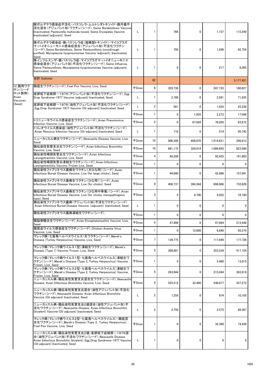|                             | 豚ボルデテラ感染症不活化・パスツレラ・ムルトシダトキソイド・豚丹毒不<br>活化混合(アジュバント加)ワクチン(シード)_Swine Bordetellosis Vaccine<br>Iinactivated, Pasteurella multocida toxoid, Swine Erysipelas Vaccine<br>Inactivated (adjuvant), Seed                       | L            |                | 766          | 0            | 1,157        | 115,240        |
|-----------------------------|------------------------------------------------------------------------------------------------------------------------------------------------------------------------------------------------------------------------|--------------|----------------|--------------|--------------|--------------|----------------|
|                             | 豚ボルデテラ感染症・豚パスツレラ症(粗精製トキソイド)・マイコプラズ<br>マ・ハイオニューモニエ感染症混合(アジュバント加)不活化ワクチン<br>(シード) Swine Bordetellosis, Swine Pasteurellosis toxoid(rough<br>purified), Mycoplasma hyopneumoniae Vaccine (adjuvant), Inactivated,<br>Seed | L            |                | 750          | 0            | 1,298        | 92,754         |
|                             | 豚インフルエンザ・豚パスツレラ症・マイコプラズマ・ハイオニューモニエ<br> 感染症混合(アジュバント加)不活化ワクチン(シード)_Swine Influenza,<br>Swine Pasteurellosis, Mycoplasma hyopneumoniae Vaccine (adjuvant)<br>Inactivated, Seed                                           | L            |                | 0            | 0            | 217          | 9,265          |
|                             | 合計 Subtotal                                                                                                                                                                                                            |              | 62             |              |              |              | 5,177,421      |
| 12 鶏用ワク<br>チン(シード           | 鶏痘生ワクチン(シード) Fowl Pox Vaccine, Live, Seed                                                                                                                                                                              | <b>千Dose</b> | 6              | 329,738      | 0            | 247,733      | 160,627        |
| ロット製剤)<br>Avian<br>Vaccines | 産卵低下症候群ー1976(アジュバント加)不活化ワクチン(シード) Egg<br>Drop Syndrome-1977 Vaccine (adjuvant) Inactivated, Seed                                                                                                                       | L            |                | 2,768        | 0            | 2,581        | 71,835         |
| (Seed)                      | 産卵低下症候群ー1976(油性アジュバント加)不活化ワクチン(シード)<br>Egg Drop Syndrome-1977 Vaccine (Oil adjuvant) Inactivated. Seed                                                                                                                 | L            | $\overline{2}$ | 561          | $\Omega$     | 1,033        | 25,238         |
|                             |                                                                                                                                                                                                                        | <b>千Dose</b> |                | $\mathbf{0}$ | 1,935        | 2,273        | 17,048         |
|                             | トリニューモウイルス感染症生ワクチン(シード) Avian Pneumovirus<br>Infection Vaccine, Live, Seed                                                                                                                                             | <b>千Dose</b> | $\overline{2}$ | $\mathbf 0$  | 67,020       | 78,020       | 83,872         |
|                             | トリレオウイルス感染症(油性アジュバント加)不活化ワクチン(シード)<br>Avian Reovirus Infection Vaccine (Oil adjuvant) Inactivated, Seed                                                                                                                |              |                | 718          | 0            | 514          | 50,742         |
|                             | ニューカッスル病生ワクチン(シード) Newcastle Disease Vaccine, Live,<br>Seed                                                                                                                                                            | <b>千Dose</b> | 10             | 406,309      | 408,070      | 1,014,831    | 248,913        |
|                             | 鶏伝染性気管支炎生ワクチン(シード) Avian Infectious Bronchitis<br>Vaccine, Live, Seed                                                                                                                                                  | <b>千Dose</b> | 16             | 881,172      | 329,018      | 1,099,693    | 823,560        |
|                             | 鶏伝染性喉頭気管炎生ワクチン(シード)_Avian Infectious<br>Laryngotrachitis Vaccine, Live, Seed                                                                                                                                           | 千Dose        | 4              | 94,208       | $\mathbf 0$  | 92,425       | 191,803        |
|                             | 鶏伝染性喉頭気管炎凍結生ワクチン(シード)_Avian Infectious<br>Laryngotrachitis Vaccine, Frozen Live, Seed                                                                                                                                  | 千Dose        |                | 0            | $\mathbf{0}$ | $\mathbf{0}$ | $\overline{0}$ |
|                             | 鶏伝染性ファブリキウス嚢病生ワクチン(大ひな用)(シード)_Avian<br>Infectious Bursal Disease Vaccine, Live (for large chicks), Seed                                                                                                                | 千Dose        |                | 44,690       | 0            | 42,886       | 157,041        |
|                             | 鶏伝染性ファブリキウス嚢病生ワクチン(ひな用)(シード)_Avian<br>Infectious Bursal Disease Vaccine, Live (for chicks), Seed                                                                                                                       | 千Dose        | 9              | 408,737      | 394,364      | 696.986      | 733,626        |
|                             | 鶏伝染性ファブリキウス嚢病生ワクチン(ひな用中等毒)(シード)_Avian<br>Infectious Bursal Disease Vaccine, Live (for chicks, mesopathogenic<br>type), Seed                                                                                            | <b>千Dose</b> | 3              | $\mathbf 0$  | 8,700        | 4,932        | 18,180         |
|                             | 鶏伝染性ファブリキウス囊病(アジュバント加)不活化ワクチン(シード)<br>Avian Infectious Bursal Disease Vaccine (adjuvant) Inactivated, Seed                                                                                                             | L            |                | 0            | $\mathbf{0}$ | $\Omega$     | $\Omega$       |
|                             | 鶏伝染性ファブリキウス嚢病凍結生ワクチン(シード)                                                                                                                                                                                              | <b>千Dose</b> |                | $\mathbf 0$  | 0            | $\mathbf{0}$ | $\overline{0}$ |
|                             | 鶏脳脊髄炎生ワクチン(シード)_Avian Encephalomyelitis Vaccine, Live,<br>Seed                                                                                                                                                         | <b>千Dose</b> | 5              | 47,999       | $\mathbf{0}$ | 47,694       | 213,448        |
|                             | 鶏貧血ウイルス感染症生ワクチン(シード) Chicken Anemia Virus<br>Vaccine, Live, Seed                                                                                                                                                       | 千Dose        |                | $\mathbf{0}$ | 12,600       | 6,840        | 85,375         |
|                             | マレック病(七面鳥ヘルペスウイルス)生ワクチン(シード) Marek's<br>Disease (Turkey Herpesvirus) Vaccine, Live, Seed                                                                                                                               | 千Dose        |                | 139,775      | $\mathbf 0$  | 117,649      | 177,726        |
|                             | マレック病(マレック病ウイルス1型)凍結生ワクチン(シード) Marek's<br>Disease (Type 1) Vaccine, Frozen, Live, Seed                                                                                                                                 | <b>千Dose</b> | 5              | 309,801      | $\mathbf{0}$ | 253,534      | 417,154        |
|                             | マレック病(マレック病ウイルス1型·七面鳥へルペスウイルス)凍結生ワ<br>クチン(シード) Marek's Disease (Type 2, Turkey Herpesvirus) Vaccine,<br>Frozen, Live, Seed                                                                                             | <b>千Dose</b> |                | $\mathbf 0$  | 0            | 5,480        | 13,015         |
|                             | マレック病(マレック病ウイルス2型・七面鳥ヘルペスウイルス)凍結生ワ<br>クチン (シード) Marek's Disease (Type 2, Turkey Herpesvirus) Vaccine,<br>Frozen, Live, Seed                                                                                            | <b>千Dose</b> | 5              | 263.944      | $\mathbf{0}$ | 215,044      | 383,919        |
|                             | ニューカッスル病・鶏伝染性気管支炎混合生ワクチン(シード)_Newcastle <br>Disease, Avian Infectious Bronchitis Vaccine, Live, Seed                                                                                                                   | 千Dose        | 9              | 525,512      | 32,400       | 548,877      | 357,272        |
|                             | ニューカッスル病・鶏伝染性気管支炎混合(油性アジュバント加)不活化<br>ワクチン(シード) Newcastle Disease, Avian Infectious Bronchitis<br>Vaccine (Oil adjuvant) Inactivated, Seed                                                                              | L            | $\overline{2}$ | 1,255        | $\mathbf 0$  | 974          | 10,105         |
|                             | ニューカッスル病・鶏伝染性気管支炎2価混合(油性アジュバント加)不<br> 活化ワクチン(シード)_Newcastle Disease. Avian Infectious Bronchitis<br>(bivalent) Vaccine (Oil adjuvant) Inactivated, Seed                                                                | L            | $\overline{2}$ | 2,755        | 0            | 2,575        | 89,367         |
|                             | マレック病(マレック病ウイルス2型・七面鳥ヘルペスウイルス)・鶏痘混<br>合生ワクチン(シード)_Marek's Disease (Type 3, Turkey Herpesvirus).<br>Fowl Pox Vaccine, Live, Seed                                                                                        | <b>FDose</b> |                | $\mathbf 0$  | $\mathbf 0$  | 32,360       | 74,428         |
|                             | ニューカッスル病・鶏伝染性気管支炎2価・産卵低下症候群-1976混<br>合(油性アジュバント加)不活化ワクチン(シード)_Newcastle Disease,<br>Avian Infectious Bronchitis (bivalent), Egg Drop Syndrome-1977 Vaccine<br>(Oil adjuvant) Inactivated, Seed                         | L            |                | $\mathbf 0$  | 0            | $\mathbf{0}$ | $\overline{0}$ |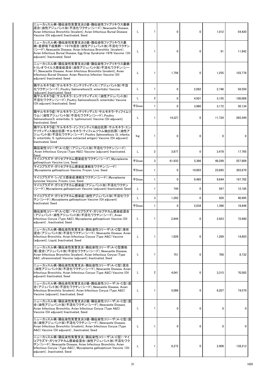| ニューカッスル病・鶏伝染性気管支炎2価・鶏伝染性ファブリキウス嚢病<br>混合(油性アジュバント加)不活化ワクチン(シード)_Newcastle Disease,<br>Avian Infectious Bronchitis (bivalent), Avian Infectious Bursal Disease<br>Vaccine (Oil adjuvant) Inactivated, Seed                                           | L            |                | 0        | 0            | 1,012        | 54,420          |
|----------------------------------------------------------------------------------------------------------------------------------------------------------------------------------------------------------------------------------------------------|--------------|----------------|----------|--------------|--------------|-----------------|
| ニューカッスル病・鶏伝染性気管支炎2価・鶏伝染性ファブリキウス嚢<br>病・産卵低下症候群-1976混合(油性アジュバント加)不活化ワクチン<br>(シード) Newcastle Disease, Avian Infectious Bronchitis (bivalent),<br>Avian Infectious Bursal Disease, Egg Drop Syndrome-1976 Vaccine (Oil<br>adjuvant) Inactivated, Seed  | L            |                | 0        | O            | 91           | 11,842          |
| ニューカッスル病・鶏伝染性気管支炎2価・鶏伝染性ファブリキウス嚢病・<br>トリレオウイルス感染症混合(油性アジュバント加)不活化ワクチン(シー<br>ド) Newcastle Disease, Avian Infectious Bronchitis (bivalent), Avian<br>Infectious Bursal Disease, Avian Reovirus Infection Vaccine (Oil<br>adjuvant) Inactivated, Seed |              |                | 1,756    | 0            | 1,255        | 103,776         |
| 鶏サルモネラ症(サルモネラ・エンテリティディス)(アジュバント加)不活<br>化ワクチン(シード) Poultry Salmonellosis(S. enteritidis) Vaccine<br>(adjuvant) Inactivated, Seed                                                                                                                    |              |                | 0        | 2,082        | 2,746        | 58,550          |
| 鶏サルモネラ症(サルモネラ・エンテリティディス)(油性アジュバント加)<br>不活化ワクチン(シード)_Poultry Salmonellosis(S. enteritidis) Vaccine                                                                                                                                                  |              | $\overline{2}$ | 0        | 4,501        | 3,155        | 100,008         |
| (Oil adjuvant) Inactivated, Seed                                                                                                                                                                                                                   | 千Dose        |                | 0        | 3,960        | 3,172        | 30,134          |
| 鶏サルモネラ症(サルモネラ・エンテリティディス・サルモネラ・ティフイムリ <br>ウム)(油性アジュバント加)不活化ワクチン(シード)_Poultry<br>Salmonellosis(S. enteritidis, S. typhimurium) Vaccine (Oil adjuvant),<br>Inactivated, Seed                                                                          |              |                | 14,227   | 0            | 11,724       | 265,549         |
| 鶏サルモネラ症(サルモネラ・インファンティス抽出抗原・サルモネラ・エン<br>テリティディス抽出抗原・サルモネラ・ティフィムリウム抽出抗原)(油性ア<br>ジュバント加)不活化ワクチン(シード) Poultry Salmonellosis (S. infantis,<br>S. enteritidis, S. typhimurium extracted antigen) Vaccine (Oil adjuvant)<br>Inactivated, Seed             | kg           |                | 0        | 0            | 0            | 0               |
| 鶏伝染性コリーザ(A・C型)(アジュバント加)不活化ワクチン(シード)<br>Avian Infectious Coryza (Type A&C) Vaccine (adjuvant) Inactivated,<br>Seed                                                                                                                                  |              | 2              | 3,877    | <sup>n</sup> | 3,478        | 17,765          |
| マイコプラズマ・ガリセプチカム感染症生ワクチン(シード)Mycoplasma<br>gallisepticum Vaccine Live, Seed                                                                                                                                                                         | <b>千Dose</b> | 3              | 61,933   | 5,366        | 48,289       | 557,809         |
| マイコプラズマ・ガリセプチカム感染症凍結生ワクチン(シード)<br>Mycoplasma gallisepticum Vaccine, Frozen, Live, Seed                                                                                                                                                             | 千Dose        |                | 0        | 19,003       | 23,685       | 303,879         |
| マイコプラズマ・シノビエ感染症凍結生ワクチン(シード)Mycoplasma<br>synoviae Vaccine, Frozen, Live, Seed                                                                                                                                                                      | 千Dose        |                | 0        | 9,485        | 9,644        | 197,702         |
| マイコプラズマ・ガリセプチカム感染症(アジュバント加)不活化ワクチン<br>(シード)_Mycoplasma gallisepticum Vaccine (adjuvant) Inactivated, Seed                                                                                                                                          | L            |                | 744      | O            | 597          | 12,165          |
| マイコプラズマ・ガリセプチカム感染症(油性アジュバント加)不活化ワク<br>チン(シード) Mycoplasma gallisepticum Vaccine (Oil adjuvant)                                                                                                                                                      | L            | 3              | 1,282    | 0            | 826          | 40,995          |
| Inactivated, Seed                                                                                                                                                                                                                                  | <b>千Dose</b> |                | 0        | 2,034        | 1,396        | 18,846          |
| 鶏伝染性コリーザ(A・C型)・マイコプラズマ・ガリセプチカム感染症混合<br>(アジュバント・油性アジュバント加)不活化ワクチン(シード)_Avian<br>Infectious Coryza (Type A&C), Mycoplasma gallisepticum Vaccine (Oil<br>adjuvant), Inactivated, Seed                                                                 | L            |                | 2,844    | 0            | 2,923        | 72,680          |
| ニューカッスル病・鶏伝染性気管支炎・鶏伝染性コリーザ(A・C型)液状<br>混合(アジュバント加)不活化ワクチン(シード)_Newcastle Disease, Avian  <br>Infectious Bronchitis, Avian Infectious Coryza (Type A&C) Vaccine<br>(adjuvant), Liquid, Inactivated, Seed                                             | L            |                | 1,626    | 0            | 1,269        | 14,603          |
| ニューカッスル病・鶏伝染性気管支炎・鶏伝染性コリーザ(A・C型菌処<br>理)混合(アジュバント加)不活化ワクチン(シード)_Newcastle Disease,<br>Avian Infectious Bronchitis (bivalent), Avian Infectious Coryza (Type<br>A&C, ultrasonicated) Vaccine (adjuvant), Inactivated, Seed                           | L            |                | 751      | 0            | 700          | 8,732           |
| ニューカッスル病・鶏伝染性気管支炎・鶏伝染性コリーザ(A・C型)混合<br>(油性アジュバント加)不活化ワクチン(シード) Newcastle Disease, Avian  <br>Infectious Bronchitis, Avian Infectious Coryza (Type A&C) Vaccine (Oil<br>adjuvant) Inactivated, Seed                                                  | L.           | 2              | 4,041    | 0            | 3,315        | 70,582          |
| ニューカッスル病・鶏伝染性気管支炎2価・鶏伝染性コリーザ(A・C型)混<br>合(アジュバント加)不活化ワクチン(シード) Newcastle Disease, Avian<br>Infectious Bronchitis (bivalent), Avian Infectious Coryza (Type A&C)<br>Vaccine (adjuvant), Inactivated, Seed                                            | L.           |                | 5,086    | 0            | 6,207        | 74,570          |
| ニューカッスル病・鶏伝染性気管支炎2価・鶏伝染性コリーザ(A・C型)混<br>合(油性アジュバント加)不活化ワクチン(シード) Newcastle Disease,<br>Avian Infectious Bronchitis, Avian Infectious Coryza (Type A&C)<br>Vaccine (Oil adjuvant) Inactivated, Seed                                                  |              |                | $\Omega$ | 0            | 0            |                 |
| ニューカッスル病・鶏伝染性気管支炎3価・鶏伝染性コリーザ(A・C型)混 <br>合(油性アジュバント加)不活化ワクチン(シード)_Newcastle Disease,<br>Avian Infectious Bronchitis (trivalent), Avian Infectious Coryza (Type<br>A&C) Vaccine (Oil adjuvant), Inactivated, Seed                                    | L            |                | 0        | 0            | $\mathbf{0}$ |                 |
| ニューカッスル病・鶏伝染性気管支炎・鶏伝染性コリーザ(A・C型)・マイ<br>コプラズマ・ガリセプチカム感染症混合(油性アジュバント加)不活化ワク<br>チン(シード) Newcastle Disease, Avian Infectious Bronchitis, Avian<br>Infectious Coryza (Type A&C), Mycoplasma gallisepticum Vaccine (Oil<br>adjuvant), Inactivated, Seed  |              |                | 6,272    | 0            | 2,908        | 139,212         |
|                                                                                                                                                                                                                                                    | 31           |                |          |              |              | H <sub>29</sub> |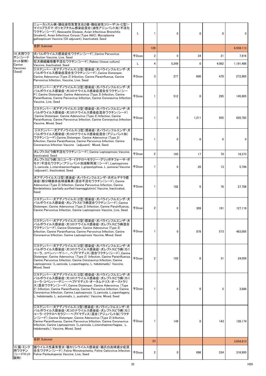|                                     | ニューカッスル病・鶏伝染性気管支炎2価・鶏伝染性コリーザ(A・C型)・<br>マイコプラズマ・ガリセプチカム感染症混合(油性アジュバント加)不活化<br>ワクチン(シード) Newcastle Disease, Avian Infectious Bronchitis<br>(bivalent), Avian Infectious Coryza (Type A&C), Mycoplasma<br>gallisepticum Vaccine (Oil adjuvant), Inactivated, Seed                                                                                                                                        | L                  |                | $\Omega$     | $\Omega$     | $\Omega$ | 0         |
|-------------------------------------|-------------------------------------------------------------------------------------------------------------------------------------------------------------------------------------------------------------------------------------------------------------------------------------------------------------------------------------------------------------------------------------------------------|--------------------|----------------|--------------|--------------|----------|-----------|
|                                     | 合計 Subtotal                                                                                                                                                                                                                                                                                                                                                                                           |                    | 129            |              |              |          | 6,558,113 |
| 14 犬用ワク<br>チン(シード                   | 犬パルボウイルス感染症生ワクチン(シード) Canine Parvovirus<br>Infection Vaccine, Live, Seed                                                                                                                                                                                                                                                                                                                              | 千Dose              | $\overline{2}$ | $\mathbf{0}$ | 34           | 21       | 7,916     |
| ロット製剤)<br>Canine                    | 狂犬病組織培養不活化ワクチン(シード) Rabies (tissue culture)<br>Vaccine, Inactivated, Seed                                                                                                                                                                                                                                                                                                                             | L                  | 4              | 5,249        | $\mathbf{0}$ | 4,062    | 1,191,486 |
| Vaccines<br>(Seed)                  | ジステンパー・犬アデノウイルス(2型)感染症・犬パラインフルエンザ・犬<br>パルボウイルス感染症混合生ワクチン(シード) Canine Distemper,<br>Canine Adenovirus (Type 2) Infection, Canine Parainfluenza, Canine<br>Parvovirus Infection, Vaccine, Live, Seed                                                                                                                                                                                                    | 千Dose              | 3              | 277          | 600          | 470      | 272,905   |
|                                     | ジステンパー・犬アデノウイルス(2型)感染症・犬パラインフルエンザ・犬<br>パルボウイルス感染症・犬コロナウイルス感染症混合生ワクチン(シー<br>F) Canine Distemper, Canine Adenovirus (Type 3) Infection, Canine<br>Parainfluenza, Canine Parvovirus Infection, Canine Coronavirus Infection<br>Vaccine, Live, Seed                                                                                                                                                       | <b>千Dose</b>       |                | 512          | 0            | 295      | 145,805   |
|                                     | ジステンパー・犬アデノウイルス(2型)感染症・犬パラインフルエンザ・犬<br>パルボウイルス感染症・犬コロナウイルス感染症混合ワクチン(シード)<br>Canine Distemper, Canine Adenovirus (Type 2) Infection, Canine<br>Parainfluenza, Canine Parvovirus Infection, Canine Coronavirus Infection<br>Vaccine, Mixed, Seed                                                                                                                                                        | 千Dose              |                | $\Omega$     | 1,211        | 955      | 620,782   |
|                                     | ジステンパー・犬アデノウイルス(2型)感染症・犬パラインフルエンザ・犬<br>パルボウイルス感染症・犬コロナウイルス感染症混合(アジュバント加)<br>ワクチン(シード) Canine Distemper, Canine Adenovirus (Type 2)<br>Infection, Canine Parainfluenza, Canine Parvovirus Infection, Canine<br>Coronavirus Infection Vaccine (adjuvant) Mixed, Seed                                                                                                                                    |                    |                | $\mathbf 0$  | $\Omega$     | 0        | 0         |
|                                     | 犬レプトスピラ病不活化ワクチン(シード)_Canine Leptospirosis Vaccine,<br><b>Inactivated, Seed</b>                                                                                                                                                                                                                                                                                                                        | 千Dose <sup>!</sup> | 2 <sup>1</sup> | 103          | 17           | 70       | 18,373    |
|                                     | 大レプトスピラ病(カニコーラ・イクテロへモラジー・グリッポチフォーサ・ポ<br>モナ)不活化ワクチン(アジュバント加溶解用液)(シード)_Leptospirosis<br>(L.canicola, L.icterohaemorrhagiae, L.grippotyphosa, L.pomona) Vaccine<br>(adjuvant), Inactivated, Seed                                                                                                                                                                                                         | 千Dose              |                | $\Omega$     | 20           | 13       | 5,794     |
|                                     | 犬アデノウイルス(2型)感染症・犬パラインフルエンザ・犬ボルデテラ感<br> 染症(部分精製赤血球凝集素)混合不活化ワクチン(シード) Canine<br>Adenovirus (Type 2) Infection, Canine Parvovirus Infection, Canine<br>Bordetellosis (partially purified heamagglutinin) Vaccine, Inactivated,<br>Seed                                                                                                                                                                   | 千Dose              |                | 102          | 0            | 76       | 27,706    |
|                                     | ジステンパー・犬アデノウイルス(2型)感染症・犬パラインフルエンザ・犬<br>パルボウイルス感染症・犬レプトスピラ病混合ワクチン(シード)_Canine<br>Distemper, Canine Adenovirus (Type 2) Infection, Canine Parainfluenza,<br>Canine Parvovirus Infection, Canine Leptospirosis Vaccine, Live, Seed                                                                                                                                                                       | <b>FDose</b>       | $\overline{2}$ | $\Omega$     | 309          | 191      | 127,119   |
|                                     | ジステンパー・犬アデノウイルス(2型)感染症・犬パラインフルエンザ・犬<br>パルボウイルス感染症・犬コロナウイルス感染症・犬レプトスピラ病混合<br>ワクチン(シード) Canine Distemper, Canine Adenovirus (Type 2)<br>Infection, Canine Parainfluenza, Canine Parvovirus Infection, Canine<br>Coronavirus Infection, Canine Leptospirosis Vaccine, Mixed, Seed                                                                                                                        | 千Dose              |                | $\mathbf{0}$ | 878          | 573      | 483,005   |
|                                     | ジステンパー・犬アデノウイルス(2型)感染症・犬パラインフルエンザ・犬<br>パルボウイルス感染症・犬コロナウイルス感染症・犬レプトスピラ病(カニ<br>コーラ、コペンハーゲニー、ヘブドマディス)混合ワクチン(シード)_Canine<br>Distemper, Canine Adenovirus (Type 2) Infection, Canine Parainfluenza,<br>Canine Parvovirus Infection, Canine Coronavirus Infection, Canine<br>Leptospirosis (L.canicola, L.copenhageny, L. hebdomadis) Vaccine,<br>Mixed, Seed                                               | <b>千Dose</b>       | 2 <sup>1</sup> | 102          | $\Omega$     | 31       | 24,059    |
|                                     | ジステンパー・犬アデノウイルス(2型)感染症・犬パラインフルエンザ・犬<br>パルボウイルス感染症・犬コロナウイルス感染症・犬レプトスピラ病(カニ<br>コーラ・コペンハーゲニー・ヘブドマディス・オータムナリス・オーストラリ<br>ス)混合ワクチン(シード)_Canine Distemper, Canine Adenovirus (Type<br>2) Infection, Canine Parainfluenza, Canine Parvovirus Infection, Canine<br>Coronavirus Infection, Canine Leptospirosis (L.canicola, L.copenhageny,<br>L. hebdomadis, L. autumnalis, L. australis) Vaccine, Mixed, Seed | 千Dose              |                | 0            | $\Omega$     | 5        | 3,688     |
|                                     | ジステンパー・犬アデノウイルス(2型)感染症・犬パラインフルエンザ・犬<br>パルボウイルス感染症・犬コロナウイルス感染症・犬レプトスピラ病(カニ<br> コーラ・イクテロヘモラジー・ヘブドマディス)混合(アジュバント加)ワクチ<br>ン(シード)_Canine Distemper, Canine Adenovirus (Type 2) Infection,<br>Canine Parainfluenza, Canine Parvovirus Infection, Canine Coronavirus<br>Infection, Canine Leptospirosis (L.canicola, L.icterohaemorrhagiae, L.<br>hebdomadis,) Vaccine, Mixed, Seed                          | 千Dose              |                | 149          | 0            | 143      | 126,174   |
|                                     | 合計 Subtotal                                                                                                                                                                                                                                                                                                                                                                                           |                    | 23             |              |              |          | 3,054,812 |
| 15 猫・ミンク<br>用ワクチン<br>(シードロット<br>製剤) | 猫ウイルス性鼻気管炎・猫カリシウイルス感染症・猫汎白血球減少症混<br>合生ワクチン(シード) Feline Rhinotracheitis, Feline Calicivirus Infection,<br>Feline Panleukopenia Vaccine, Live, Seed                                                                                                                                                                                                                                                     | FDose              | $\overline{2}$ | $\mathbf 0$  | 696          | 534      | 316,995   |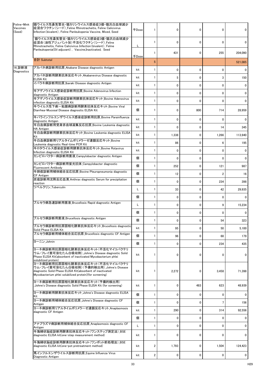| Feline Mink<br>Vaccines<br>(Seed) | 猫ウイルス性鼻気管炎・猫カリシウイルス感染症3価・猫汎白血球減少<br> 症混合ワクチン(シード)_Feline Rhinotracheitis, Feline Calicivirus<br>Infection (bivalent), Feline Panleukopenia Vaccine, Mixed, Seed                                       | <b>千Dose</b> |                | $\Omega$     | $\Omega$     | 0            | $\Omega$     |
|-----------------------------------|-------------------------------------------------------------------------------------------------------------------------------------------------------------------------------------------------------|--------------|----------------|--------------|--------------|--------------|--------------|
|                                   | 猫ウイルス性鼻気管炎・猫カリシウイルス感染症3価・猫汎白血球減少<br>症混合(油性アジュバント加)不活化ワクチン(シード)_Feline<br>Rhinotracheitis, Feline Calicivirus Infection (bivalent), Feline                                                             |              |                | $\mathbf{0}$ | $\mathbf{0}$ | 0            | $\Omega$     |
|                                   | Panleukopenia(Oil adjuvant), Vaccine, Inactivated, Seed                                                                                                                                               | 千Dose        |                | 431          | $\mathbf{0}$ | 255          | 204,090      |
|                                   | 合計 Subtotal                                                                                                                                                                                           |              | 5              |              |              |              | 521,085      |
| 16 診断液<br>Diagnostics             | アカバネ病診断用抗原 Akabane Disease diagnostic Antigen                                                                                                                                                         | kit          | 1              | $\mathbf{0}$ | $\mathbf{0}$ | 0            | 0            |
|                                   | アカバネ診断用酵素抗体反応キット_Akabanevirus Disease diagnostic<br><b>ELISA Kit</b>                                                                                                                                  | kit          | 1              | 5            | $\mathbf{0}$ | 3            | 150          |
|                                   | イバラキ病診断用抗原 Ibaraki Disease diagnostic Antigen                                                                                                                                                         | kit          | 1              | $\mathbf{0}$ | 0            | 0            | 0            |
|                                   | 牛アデノウイルス感染症診断用抗原_Bovine Adenovirus Infection<br>diagnostic Antigen                                                                                                                                    | kit          |                | $\Omega$     | $\mathbf{0}$ | 0            | <sup>0</sup> |
|                                   | 牛アデノウイルス感染症診断用酵素抗体反応キット_Bovine Adenovirus<br>infection diagnostic ELISA Kit                                                                                                                           | kit          | 1              | $\mathbf{0}$ | $\mathbf{0}$ | 0            | <sup>0</sup> |
|                                   | 牛ウイルス性下痢ー粘膜病診断用酵素抗体反応キット Bovine Viral<br>Diarrhea-Mucosal Disease diagnostic ELISA Kit                                                                                                                | 個            |                | $\Omega$     | 800          | 714          | 28,959       |
|                                   | 牛パラインフルエンザウイルス感染症診断用抗原_Bovine Parainfluenza<br>diagnostic Antigen                                                                                                                                     | kit          |                | 0            | $\mathbf{0}$ | 0            | n            |
|                                   | 牛白血病診断用受身赤血球凝集反応抗原_Bovine Leukemia diagnostic<br><b>HA Antigen</b>                                                                                                                                    | kit          |                | $\mathbf{0}$ | $\mathbf{0}$ | 14           | 345          |
|                                   | 牛白血病診断用酵素抗体反応キットBovine Leukemia diagnostic ELISA<br>Kit                                                                                                                                               | kit          |                | 1,338        | 0            | 1,266        | 113,940      |
|                                   | 牛白血病診断用リアルタイムポリメラーゼ連鎖反応キット_Bovine<br>Leukemia diagnostic Real-time PCR Kit                                                                                                                            | kit          | 1              | 86           | $\mathbf{0}$ | 6            | 195          |
|                                   | 牛ロタウイルス感染症診断用酵素抗体反応キット_Bovine Rotavirus<br>Infection diagnostic ELISA Kit                                                                                                                             | kit          |                | 0            | 0            | 0            | 0            |
|                                   | カンピロバクター病診断用菌液_Campylobacter diagnostic Antigen                                                                                                                                                       | 個            |                | $\mathbf{0}$ | $\mathbf{0}$ | $\mathbf{0}$ | 0            |
|                                   | カンピロバクター病診断用蛍光抗体_Campylobacter diagnostic                                                                                                                                                             | 個            | $\mathbf{1}$   | 252          | 0            | 121          | 987          |
|                                   | <b>Fluorescent Antibody</b><br>牛肺疫診断用補体結合反応抗原_Bovine Pleuropneumonia diagnostic                                                                                                                       | 個            | 1              | 12           | $\mathbf 0$  | 2            | 16           |
|                                   | <b>CF Antigen</b><br>炭疽診断用沈降反応血清_Anthrax diagnostic Serum for precipitation                                                                                                                           | 個            | 1              | $\mathbf{0}$ | 0            | 234          | 398          |
|                                   | reaction<br>ツベルクリン_Tuberculin                                                                                                                                                                         |              |                | 33           | $\mathbf{0}$ | 42           | 29,935       |
|                                   |                                                                                                                                                                                                       | 個            | 1              | $\mathbf{0}$ | $\mathbf{0}$ | 0            | $\Omega$     |
|                                   | ブルセラ病急速診断用菌液_Brucellosis Rapid diagnostic Antigen                                                                                                                                                     |              |                | $\mathbf 0$  | $\mathbf 0$  | 9            | 15,234       |
|                                   |                                                                                                                                                                                                       |              | 1              | $\mathbf{0}$ | $\Omega$     | $\Omega$     | 0            |
|                                   | ブルセラ病診断用菌液 Brucellosis diagnostic Antigen                                                                                                                                                             | 個<br>個       |                | $\Omega$     | $\Omega$     | 54           |              |
|                                   | ブルセラ病診断用抗原固相化酵素抗体反応キット_Brucellosis diagnostic                                                                                                                                                         |              |                |              |              |              | 323          |
|                                   | Solid Phase ELISA Kit<br>ブルセラ病診断用補体結合反応抗原_Brucellosis diagnostic CF Antigen                                                                                                                           | kit          | 1              | 95           | $\mathbf{0}$ | 50           | 5,100        |
|                                   | 日ーニン_Johnin                                                                                                                                                                                           | 個            |                | 96           | $\mathbf 0$  | 68           | 179          |
|                                   | ヨーネ病診断用抗原固相化酵素抗体反応キット(不活化マイコバクテリ                                                                                                                                                                      | 個            |                | $\mathbf{0}$ | 0            | 234          | 435          |
|                                   | ウム・フレイ菌可溶化たん白吸収剤)Johne's Disease diagnostic Solid<br>Phase ELISA Kit(absorbent of inactivated Mycobacterium phlei<br>solubilized protein)                                                             | kit          |                | $\mathbf 0$  | 0            | $\Omega$     | $\Omega$     |
|                                   | ヨーネ病診断用抗原固相化酵素抗体反応キット(不活化マイコバクテリ<br>ウム・フレイ菌可溶化たん白吸収剤)(予備的検出用)_Johne's Disease<br>diagnostic Solid Phase ELISA Kit(absorbent of inactivated<br>Mycobacterium phlei solubilized protein)(for screening) | kit          |                | 2,272        | 0            | 3,458        | 71,398       |
|                                   | ヨーネ病診断用抗原固相化酵素抗体反応キット(予備的検出用)<br>Johne's Disease diagnostic Solid Phase ELISA Kit (for screening)                                                                                                     | kit          |                | $\mathbf{0}$ | 483          | 623          | 48,939       |
|                                   | ヨーネ病診断用酵素抗体反応キット_Johne's Disease diagnostic ELISA<br><b>IKit</b>                                                                                                                                      | 個            | 1              | 0            | $\mathbf{0}$ | $\Omega$     | $\Omega$     |
|                                   | ヨーネ病診断用補体結合反応抗原_Johne's Disease diagnostic CF<br>Antigen                                                                                                                                              | 個            |                | 0            | 0            |              | 156          |
|                                   | ヨーネ病診断用リアルタイムポリメラーゼ連鎖反応キット_Anaplasmosis<br>diagnostic CF Antigen                                                                                                                                      | kit          | 1              | 290          | 0            | 314          | 92,556       |
|                                   |                                                                                                                                                                                                       | 個            |                | 0            | 0            | 0            | 0            |
|                                   | アナプラズマ病診断用補体結合反応抗原_Anaplasmosis diagnostic CF<br>Antigen                                                                                                                                              | L            | 1              | 0            | $\mathbf{0}$ | 0            | 0            |
|                                   | 牛海綿状脳症診断用酵素抗体反応キット(ワンステップ測定法)BSE<br>diagnostic ELISA kit(one-step measurement method)                                                                                                                 | kit          |                | 0            | $\mathbf{0}$ | 0            | $\Omega$     |
|                                   | 牛海綿状脳症診断用酵素抗体反応キット(ワンポット前処理法)BSE<br>diagnostic ELISA kit(one-pot pretreatment method)                                                                                                                 | kit          | $\overline{2}$ | 1,793        | 0            | 1,504        | 124,423      |
|                                   | 馬インフルエンザウイルス診断用抗原 Equine Influenza Virus                                                                                                                                                              |              |                |              |              |              |              |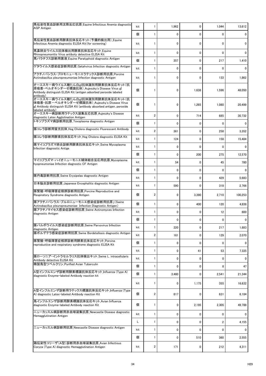| 馬伝染性貧血診断用沈降反応抗原_Equine Infectious Anemia diagnostic<br><b>AGP</b> Antigen                                                                                                         | kit |                | 1,962        | 0        | 1,044        | 13,612       |
|-----------------------------------------------------------------------------------------------------------------------------------------------------------------------------------|-----|----------------|--------------|----------|--------------|--------------|
|                                                                                                                                                                                   | 個   |                | 0            | 0        | $\Omega$     |              |
| 馬伝染性貧血診断用酵素抗体反応キット(予備的検出用)_Equine<br>Infectious Anemia diagnostic ELISA Kit (for screening)                                                                                       | kit |                | $\mathbf{0}$ | 0        | $\Omega$     | 0            |
| 馬鼻肺炎ウイルス抗体検出用酵素抗体反応キット_Equine<br>Rhinopneumonitis Virus antiboty detective ELISA Kit                                                                                              | kit |                | 0            | 0        | $\mathbf{0}$ | 0            |
| 馬パラチフス診断用菌液_Equine Paratyphoid diagnostic Antigen                                                                                                                                 | 個   |                | 357          | 0        | 217          | 1,410        |
| ゲタウイルス感染症診断用抗原 Getahvirus Infection diagnostic Antigen                                                                                                                            | kit |                | 0            | 0        | $\Omega$     | $\Omega$     |
| アクチノバシラス・プロモニューモニエラテックス診断用抗原_Porcine<br>Actinobacillus pleuropneumoniae Infection diagnostic Antigen                                                                              | kit |                | 0            | 0        | 133          | 1,862        |
| オーエスキー病ウイルス糖たん白gI抗体識別用酵素抗体反応キット(抗<br>原吸着・ペルオキシダーゼ標識抗体)_Aujeszky's Disease Virus gI<br>Antibody distinguish ELISA Kit (antigen adsorbed peroxide labeled<br>antibody)              | 個   |                | 0            | 1,638    | 1,596        | 48,050       |
| オーエスキー病ウイルス糖たん白gI抗体識別用酵素抗体反応キット(抗<br>体吸着・抗原ーペルオキシダーゼ標識抗体)_Aujeszky's Disease Virus<br>gI Antibody distinguish ELISA Kit (antibody absorbed antigen, peroxide<br>labeled antibody) | 個   |                | 0            | 1,265    | 1,080        | 20,499       |
| オーエスキー病診断用ラテックス凝集反応抗原_Aujeszky's Disease<br>diagnostic Latex Agglutination Antigen                                                                                                | kit | $\overline{2}$ | 0            | 714      | 685          | 30,732       |
| トキソプラズマ病診断用抗原_Toxoplasma diagnostic Antigen                                                                                                                                       | 個   |                | 0            | 0        | 0            |              |
| 豚コレラ診断用蛍光抗体_Hog Cholera diagnostic Fluorescent Antibody                                                                                                                           | kit | $\overline{2}$ | 361          | 0        | 258          | 3,352        |
| 豚コレラ診断用酵素抗体反応キット_Hog Cholera diagnostic ELISA Kit                                                                                                                                 | kit |                | 124          | 0        | 158          | 15,484       |
| 豚マイコプラズマ肺炎診断用酵素抗体反応キット_Swine Mycoplasma<br>Infection diagnostic Antige                                                                                                            | kit |                | 0            | 0        | $\Omega$     | $\mathbf{0}$ |
|                                                                                                                                                                                   | 個   |                | $\mathbf{0}$ | 200      | 275          | 12,570       |
| マイコプラズマ・ハイオニューモニエ補体結合反応用抗原_Mycoplasma<br>hyopneumoniae Infection diagnostic CF Antigen                                                                                            | kit |                | 54           | 0        | 45           | 780          |
|                                                                                                                                                                                   | 個   |                | 0            | 0        | $\Omega$     |              |
| 豚丹毒診断用抗原_Swine Erysipelas diagnostic Antigen                                                                                                                                      | kit |                | 0            | 0        | 429          | 5,683        |
| 日本脳炎診断用抗原 Japanese Encephalitis diagnostic Antigen                                                                                                                                | kit |                | 590          | 0        | 318          | 2,766        |
| 豚繁殖・呼吸障害症候群診断用抗原_Porcine Reproductive and<br>Respiratory Syndrome diagnostic Antigen                                                                                              | 個   | $\mathbf{2}$   | 0            | 3,390    | 2,710        | 100,253      |
| 豚アクチノバシラス・プルロニューモニエ感染症診断用抗原」(Swine<br>Actinobacillus pleuropneumoniae Infection Diagnostic Antigen)                                                                               | 個   |                | 0            | 400      | 120          | 4,838        |
| 豚アクチノマイセス感染症診断用抗原_Swine Actinomyces Infection <br>diagnostic Antigen                                                                                                              | kit |                | $\mathbf{0}$ | 0        | 12           | 600          |
|                                                                                                                                                                                   | 個   |                | 0            | 0        | 0            | 0            |
| 豚パルボウイルス感染症診断用抗原_Swine Parvovirus Infection<br>diagnostic Antigen                                                                                                                 | kit |                | 220          | 0        | 217          | 1,883        |
| 豚ボルデテラ感染症診断用抗原_Swine Bordetellosis diagnostic Antigen                                                                                                                             | kit | $\overline{2}$ | 161          | 0        | 129          | 2,070        |
| 豚繁殖・呼吸障害症候群診断用酵素抗体反応キット_Porcine<br>reproductive and respiratory syndrome diagnostic ELISA Kit                                                                                     | 個   |                | 0            | 0        | 0            |              |
|                                                                                                                                                                                   | kit |                | 0            | 41       | 53           | 7,335        |
| 豚ローソニア・イントラセルラリス抗体検出キット_Swine L. intracellularis<br>Antibody detective ELISA Kit                                                                                                  | kit |                | 0            | $\Omega$ | 0            |              |
| 精製鳥型ツベルクリン_Purified Avian Tuberculin                                                                                                                                              | 個   |                | 0            | 0        | 8            | 47           |
| A型インフルエンザ診断用酵素標識抗体反応キット_Influenza (Type A)<br>diagnostic Enzyme-labeled Antibody reaction kit                                                                                     | 個   |                | 3,460        | 0        | 2,541        | 21,344       |
|                                                                                                                                                                                   | kit |                | 0            | 1,175    | 355          | 16,632       |
| A型インフルエンザ診断用ラテックス標識抗体反応キット_Influenza (Type<br>A) diagnostic Latex-labeled Antibody reaction Kit                                                                                   | 個   | $\overline{2}$ | 817          | 0        | 631          | 6,184        |
| 鳥インフルエンザ診断用酵素標識抗体反応キット_Avian Influenza<br>diagnostic Enzyme-labeled Antibody reaction Kit                                                                                         | 個   |                | 0            | 2,195    | 2,305        | 49,788       |
| ニューカッスル病診断用赤血球凝集抗原 Newcastle Disease diagnostic<br>Hemagglutination Antigen                                                                                                       | kit |                | 0            | 0        | $\mathbf{0}$ | 0            |
|                                                                                                                                                                                   | L   |                | $\mathbf 0$  | 0        | 2            | 4,155        |
| ニューカッスル病診断用抗原_Newcastle Disease diagnostic Antigen                                                                                                                                | kit |                | 0            | 0        | $\mathbf{0}$ | 0            |
|                                                                                                                                                                                   | 個   |                | 0            | 510      | 360          | 2,555        |
| 鶏伝染性コリーザ(A型)診断用赤血球凝集抗原_Avian Infectious<br>Coryza (Type A) diagnostic Hemagglutination Antigen                                                                                    | kit | 2              | 171          | 0        | 212          | 4,311        |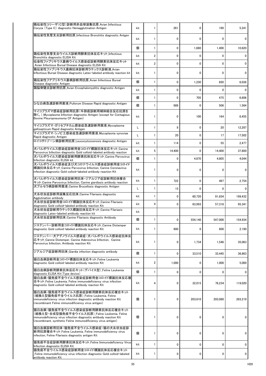| 鶏伝染性コリーザ(C型)診断用赤血球凝集抗原_Avian Infectious<br>Coryza (Type C) diagnostic Hemagglutination Antigen                                                                                                                          | kit |                | 261      | $\mathbf{0}$ | 169      | 5,341        |
|-------------------------------------------------------------------------------------------------------------------------------------------------------------------------------------------------------------------------|-----|----------------|----------|--------------|----------|--------------|
| 鶏伝染性気管支炎診断用抗原_Infectious Bronchitis diagnostic Antgen                                                                                                                                                                   | kit |                | 0        | 0            | 0        | 0            |
|                                                                                                                                                                                                                         | 個   |                | 0        | 1,880        | 1,400    | 10,620       |
| 鶏伝染性気管支炎ウイルス診断用酵素抗体反応キット_Infectious<br>Bronchitis diagnostic ELISA Kit                                                                                                                                                  | kit | $\overline{2}$ | 0        | 0            | $\Omega$ | $\mathbf{0}$ |
| 伝染性ファブリキウス嚢病ウイルス感染症診断用酵素抗体反応キット<br>Avian Infectious Bursal Disease diagnostic ELISA Kit                                                                                                                                 | kit | $\overline{2}$ | 0        | $\mathbf{0}$ | $\Omega$ | $\mathbf{0}$ |
| 鶏伝染性ファブリキウス嚢病抗体診断用ラテックス診断液_Avian <br>Infectious Bursal Disease diagnostic Latex-labeled antibody reaction kit                                                                                                           | kit |                | 0        | $\mathbf{0}$ | $\Omega$ | $\mathbf{0}$ |
| 鶏伝染性フアブリキウス嚢病診断用抗原 Avian Infectious Bursal<br>Disease diagnostic Antigen                                                                                                                                                | 個   |                | 0        | 1,230        | 850      | 6,038        |
| 鶏脳脊髄炎診断用抗原_Avian Encephalomyelitis diagnostic Antigen                                                                                                                                                                   | kit |                | 0        | $\mathbf{0}$ | $\Omega$ | $\Omega$     |
|                                                                                                                                                                                                                         | 個   |                | 0        | 705          | 475      | 6,606        |
| ひな白痢急速診断用菌液_Pullorum Disease Rapid diagnostic Antigen                                                                                                                                                                   | 個   |                | 989      | 0            | 506      | 1,564        |
| マイコプラズマ感染症診断用抗原(牛肺疫診断用補体結合反応抗原を<br>除く。) Mycoplasma Infection diagnostic Antigen (except for Contagious<br>Bovine Pleuropneumonia CF Antigen)                                                                            | kit |                | 0        | 100          | 164      | 6,455        |
| マイコプラズマ・ガリセプチカム感染症急速診断用菌液_Mycoplasma<br>gallisepticum Rapid diagnostic Antigen                                                                                                                                          | L   |                | 8        | $\mathbf{0}$ | 20       | 12,287       |
| マイコプラズマ・シノビエ感染症急速診断用菌液_Mycoplasma synoviae<br>Rapid diagnostic Antigen                                                                                                                                                  | L   |                | 20       | 0            | 17       | 17,502       |
| ロイコチトゾーン病診断用抗原 Leucocytozoonosis diagnostic Antigen                                                                                                                                                                     | kit |                | 114      | 0            | 55       | 2,477        |
| 大パルボウイルス感染症診断用金コロイド標識抗体反応キット_Canine<br>Parvovirus Infection diagnostic Gold colloid-labeled antibody reaction                                                                                                           | kit | 5              | 14,400   | $\mathbf{0}$ | 14,400   | 37,800       |
| 犬パルボウイルス感染症診断用酵素抗体反応キット Canine Parvovirus<br>Infection diagnostic ELISA kit                                                                                                                                             | 個   |                | 0        | 4,870        | 4,805    | 4,044        |
| 犬パルボウイルス感染症及び犬コロナウイルス感染症診断用金コロイド<br>標識抗体反応キット Canine Parvovirus Infection, Canine Coronavirus<br>infection diagnostic Gold colloid-labeled antibody reaction Kit                                                        | kit |                | 0        | 0            | O        | $\Omega$     |
| 犬パルボウイルス感染症診断用抗体・ジアルジア症診断用抗体複合<br>キット Canine Parvovirus Infection, Canine giardiasis antibody reaction                                                                                                                  | kit |                | 722      | 0            | 497      | 2,754        |
| 犬ブルセラ病診断用菌液_Canine Brucellosis diagnostic Antigen                                                                                                                                                                       | L   |                | 15       | 0            | 0        | $\Omega$     |
| 犬糸状虫症診断用凝集反応抗体_Canine Filariasis diagnostic<br>Agglutination antibody                                                                                                                                                   | kit |                | 0        | 60,720       | 91,834   | 199,432      |
| 犬糸状虫症診断用金コロイド標識抗体反応キット Canine Filariasis<br>diagnostic Gold colloid-labeled antibody reaction Kit                                                                                                                       | kit | 4              | 0        | 63,993       | 57,318   | 95,341       |
| 犬糸状虫症診断用ラテックス標識抗体反応キット Canine Filariasis<br>diagnostic Latex-labeled antibody reaction kit                                                                                                                              | kit |                |          |              |          |              |
| 犬糸状虫症診断用抗体_Canine Filariasis diagnostic Antibody                                                                                                                                                                        | 個   |                | 0        | 554,140      | 547,000  | 154,934      |
| ジステンパー診断用金コロイド標識抗体反応キット_Canine Distemper<br>diagnostic Gold colloid-labeled antibody reaction Kit                                                                                                                       | kit |                | 600      | 0            | 600      | 2,190        |
| ジステンパー・犬アデノウイルス感染症・犬パルボウイルス感染症抗体反 <br>応キット Canine Distemper, Canine Adenovirus Infection, Canine<br>Parvovirus Infection, Antibody reaction Kit                                                                         | kit |                | $\bf{0}$ | 1,734        | 1,546    | 35,063       |
| ジアルジア症診断用抗体 Giardia infection diagnostic antibody                                                                                                                                                                       | 個   |                | 0        | 33,510       | 33,445   | 36,863       |
| 猫白血病診断用金コロイド標識抗体反応キット Feline Leukemia<br>diagnostic Gold colloid-labeled antibody reaction Kit                                                                                                                          | kit | $\overline{2}$ | 1,000    | 0            | 1,000    | 5,000        |
| 猫白血病診断用酵素抗体反応キット(デバイス型)_Feline Leukemia<br>diagnostic ELISA Kit (Type device)                                                                                                                                           | 個   |                | 0        | 0            | 0        | $\mathbf{0}$ |
| 猫白血病・猫免疫不全ウイルス感染症診断用金コロイド標識抗体反応複<br>合キット Feline Leukemia. Feline immunodeficiency virus infection<br>diagnostic Gold colloid-labeled antibody reaction Kit                                                              | kit | 4              | 0        | 32,015       | 76,234   | 119,020      |
| 猫白血病・猫免疫不全ウイルス感染症診断用酵素抗体反応複合キット<br>(組換え型猫免疫不全ウイルス抗原)_Feline Leukemia, Feline<br>immunodeficiency virus infection diagnostic antibody reaction Kit<br>(recombinant Feline immunodificiency virus antigen)                | 個   |                | 0        | 203,610      | 203,080  | 283,219      |
| 猫白血病・猫免疫不全ウイルス感染症診断用酵素抗体反応複合キット<br>(組換え型・合成型猫免疫不全ウイルス抗原) Feline Leukemia, Feline<br>immunodeficiency virus infection diagnostic antibody reaction Kit<br>(recombinant, synthetic Feline immunodificiency virus antigen) | 個   |                | 0        | 0            | 0        | $\mathbf{0}$ |
| 猫白血病診断用抗体・猫免疫不全ウイルス感染症・猫の犬糸状虫症診<br> 断用抗原複合キット_Feline Leukemia, Feline immunodeficiency virus<br>infection, Feline Filariasis diagnostic antigen Kit                                                                     | 個   |                | 0        | 0            | 0        | $\mathbf{0}$ |
| 猫免疫不全症診断用酵素抗体反応キット_Feline Immunodeficiency Virus <br>Infection diagnostic ELISA Kit                                                                                                                                     | kit |                | 0        | 0            | 0        | 0            |
| 猫免疫不全ウイルス感染症診断用金コロイド標識抗体反応複合キット<br>Feline immunodeficiency virus infection diagnostic Gold colloid-labeled<br>antibody reaction Kit                                                                                     | kit |                | 0        | 0            | 0        | $\mathbf{0}$ |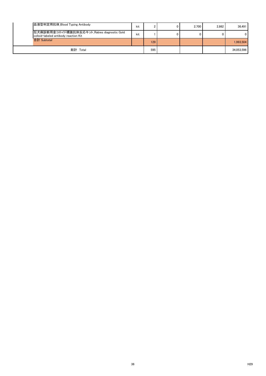| 血液型判定用抗体_Blood Typing Antibody                                                       | kit |     | 0 | 2,700 | 2,862 | 36,491     |
|--------------------------------------------------------------------------------------|-----|-----|---|-------|-------|------------|
| 狂犬病診断用金コロイド標識抗体反応キット_Rabies diagnostic Gold<br>colloid-labeled antibody reaction Kit | kit |     | 0 | 0     |       | 0          |
| 合計 Subtotal                                                                          |     | 129 |   |       |       | 1,993,504  |
| 総計 Total                                                                             |     | 595 |   |       |       | 34,053,596 |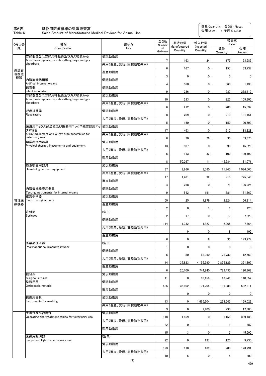第6表 動物用医療機器の製造販売高

| 第6表<br>Table 6 | 動物用医療機器の製造販売高<br>Sales Amount of Manufactured Medical Devices for Animal Use |                  |                         |                      | 金額 Sales             | : 千円¥1,000     |                |
|----------------|------------------------------------------------------------------------------|------------------|-------------------------|----------------------|----------------------|----------------|----------------|
| クラス分           | 類別                                                                           | 用途別              | 品目数<br>Number           | 製造数量<br>Manufactured | 輸入数量                 | 販売高<br>Sales   |                |
| 類              | Classification                                                               | Use              | $\circ$ f<br>Medicines  | Quantity             | Imported<br>Quantity | 数量<br>Quantity | 金額<br>Amount   |
|                | 麻酔器並びに麻酔用呼吸囊及びガス吸収かん                                                         | 愛玩動物用            |                         |                      |                      |                |                |
|                | Anesthesia apparatus, rebreathing bags and gas<br>absorbers                  | 共用(畜産、愛玩、実験動物共用) | 7                       | 163                  | 24                   | 175            | 63,586         |
| 高度管<br>理医療     |                                                                              | 畜産動物用            | 6                       | 167                  | 0                    | 157            | 33,737         |
| 機器             | 内臓機能代用器                                                                      | 愛玩動物用            | 3                       | 0                    | 0                    | 0              | $\overline{0}$ |
|                | Artifical internal organs<br>保育器                                             | 愛玩動物用            | 4                       | 560                  | 0                    | 560            | 1,130          |
|                | infant incubator<br>麻酔器並びに麻酔用呼吸囊及びガス吸収かん                                     | 愛玩動物用            | 9                       | 236                  | 0                    | 237            | 258,417        |
|                | Anesthesia apparatus, rebreathing bags and gas<br>absorbers                  | 共用(畜産、愛玩、実験動物共用) | 10                      | 233                  | 0                    | 223            | 105,905        |
|                | 呼吸補助器                                                                        | 愛玩動物用            | 6                       | 212                  | 0                    | 200            | 15,537         |
|                | Respirators                                                                  | 共用(畜産、愛玩、実験動物共用) | 8                       | 209                  | 0                    | 213            | 131,151        |
|                |                                                                              |                  | 5                       | 150                  | 0                    | 150            | 20,699         |
|                | 医療用エックス線装置及び医療用エックス線装置用エッ 愛玩動物用<br>クス線管                                      |                  | 17                      | 463                  | 0                    | 212            | 188,228        |
|                | X-ray equipment and X-ray tube assemblies for<br>veterinary use              | 共用(畜産、愛玩、実験動物共用) | 6                       | 30                   | 26                   | 30             | 33,870         |
|                | 理学診療用器具<br>Physical therapy instruments and equipment                        | 愛玩動物用            | 13                      | 907                  | 0                    | 893            | 45,026         |
|                |                                                                              | 共用(畜産、愛玩、実験動物共用) | 5                       | 113                  | 32                   | 100            | 139,492        |
|                |                                                                              | 畜産動物用            | 8                       | 50,267               | 11                   | 45,284         | 181,071        |
|                | 血液検査用器具<br>Hematological test equipment                                      | 愛玩動物用            | 37                      | 9,866                | 3,560                | 11,745         | 1,086,565      |
|                |                                                                              | 共用(畜産、愛玩、実験動物共用) |                         |                      | 92                   |                |                |
|                |                                                                              | 畜産動物用            | 17                      | 1,481                |                      | 915            | 725,546        |
|                | 内臓機能検査用器具                                                                    | 愛玩動物用            | 4                       | 268                  | 0                    | 71             | 106,925        |
|                | Testing instruments for internal organs<br>電気手術器                             | 愛玩動物用            | 9                       | 542                  | 191                  | 581            | 181,567        |
| 管理医<br>療機器     | Electro surgical units                                                       | 畜産動物用            | 50                      | 25                   | 1,879                | 3,324          | 56,314         |
|                | 注射筒                                                                          | (空白)             | $\overline{2}$          | 0                    |                      |                | 120            |
|                | <b>Syringes</b>                                                              | 愛玩動物用            | $\overline{\mathbf{c}}$ | 17                   | 0                    | 17             | 7,820          |
|                |                                                                              | 共用(畜産、愛玩、実験動物共用) | 114                     | 1,732                | 1,823                | 2,265          | 7,364          |
|                |                                                                              | 畜産動物用            |                         | 9                    | 0                    | 8              | 195            |
|                |                                                                              |                  | 6                       | $\pmb{0}$            | 9                    | 33             | 173,277        |
|                | 医薬品注入器<br>Pharmaceutical products infuser                                    | (空白)             |                         | 0                    | 0                    | 0              | $\overline{0}$ |
|                |                                                                              | 愛玩動物用            | 5                       | 80                   | 68,060               | 71,730         | 12,669         |
|                |                                                                              | 共用(畜産、愛玩、実験動物共用) | 14                      | 37,823               | 4,155,590            | 3,895,129      | 321,307        |
|                |                                                                              | 畜産動物用            | 6                       | 20,100               | 744,240              | 789,435        | 120,968        |
|                | 縫合糸<br>Surgical sutures                                                      | 愛玩動物用            | 11                      | $\pmb{0}$            | 18,158               | 18,941         | 140,552        |
|                | 整形用品<br>Orthopedic material                                                  | 愛玩動物用            | 485                     | 36,102               | 101,205              | 186,988        | 532,211        |
|                |                                                                              | 畜産動物用            | 1                       | 0                    | 0                    | 0              | $\mathbf 0$    |
|                | 標識用器具<br>Instruments for marking                                             | 愛玩動物用            | 13                      | 0                    |                      |                |                |
|                |                                                                              | 共用(畜産、愛玩、実験動物共用) |                         |                      | 1,665,204            | 233,643        | 169,029        |
|                | 手術台及び治療台                                                                     | 愛玩動物用            | 3                       | 0                    | 2,400                | 790            | 17,380         |
|                | Operating and treatment tables for veterinary use                            | 共用(畜産、愛玩、実験動物共用) | 118                     | 1,159                | 0                    | 1,156          | 399,138        |
|                |                                                                              | 畜産動物用            | 22                      | 0                    |                      |                | 387            |
|                | 医療用照明器                                                                       | (空白)             | 15                      | 3                    | 0                    | 3              | 45,590         |
|                | Lamps and light for veterinary use                                           | 愛玩動物用            | 22                      | 0                    | 137                  | 123            | 9,730          |
|                |                                                                              | 共用(畜産、愛玩、実験動物共用) | 123                     | 178                  | 139                  | 288            | 123,791        |
|                |                                                                              |                  | 10                      | 5                    | 0                    | 5              | 200            |

数量 Quantity: 台(個) Pieces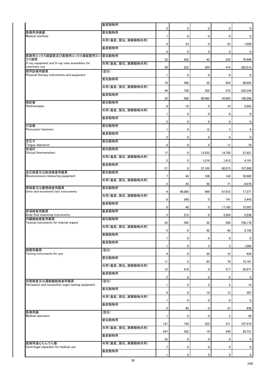|                                                                      | 畜産動物用            | $\overline{2}$  | 0           | $\mathbf 0$     | 0               | $\mathbf 0$     |
|----------------------------------------------------------------------|------------------|-----------------|-------------|-----------------|-----------------|-----------------|
| 医療用消毒器<br>Medical sterllizer                                         | 愛玩動物用            |                 |             |                 |                 |                 |
|                                                                      | 共用(畜産、愛玩、実験動物共用) |                 | 0           | $\mathbf 0$     | $\pmb{0}$       | $\mathbf 0$     |
|                                                                      | 畜産動物用            | $5\phantom{.0}$ | 23          | $\mathbf 0$     | 23              | 1,859           |
| 医療用エックス線装置及び医療用エックス線装置用エッ 愛玩動物用                                      |                  | 4               | 0           | $\mathbf 0$     | 0               | $\mathbf 0$     |
| クス線管<br>X-ray equipment and X-ray tube assemblies for                | 共用(畜産、愛玩、実験動物共用) | 33              | 202         | 42              | 235             | 76,906          |
| veterinary use<br>理学診療用器具                                            | (空白)             | 30              | 222         | 284             | 474             | 393,514         |
| Physical therapy instruments and equipment                           | 愛玩動物用            |                 | $\mathbf 0$ | $\mathbf 0$     | 0               | 0               |
|                                                                      | 共用(畜産、愛玩、実験動物共用) | 16              | 386         | 32              | 424             | 89,652          |
|                                                                      | 畜産動物用            | 44              | 100         | 302             | 372             | 222,344         |
| 聴診器                                                                  | 愛玩動物用            | 32              | 568         | 80,082          | 55,903          | 180,288         |
| Stethoscopes                                                         | 共用(畜産、愛玩、実験動物共用) | 8               | 10          | $\mathbf 0$     | 10 <sup>°</sup> | 2,963           |
|                                                                      |                  |                 | 0           | $\mathbf 0$     | 0               | $\mathbf 0$     |
|                                                                      | 畜産動物用            | $\overline{2}$  | 0           | $\mathbf 0$     | $\mathbf 0$     | $\mathbf 0$     |
| 打診器<br><b>Percussion hammers</b>                                     | 愛玩動物用            |                 | 0           | 12 <sup>2</sup> | 3               | $6\phantom{.0}$ |
|                                                                      | 畜産動物用            | $\overline{2}$  | 0           | $\mathbf 0$     | $\mathbf 0$     | $\mathbf 0$     |
| 舌圧子<br>Tongue depressor                                              | 愛玩動物用            | 8               | 0           | 5               | 11              | 70              |
| 体温計<br>Clinical thermometers                                         | 愛玩動物用            | 17              | 0           | 13,523          | 14,793          | 21,621          |
|                                                                      | 共用(畜産、愛玩、実験動物共用) | $\overline{2}$  | 0           | 1,219           | 1,612           | 4,191           |
|                                                                      | 畜産動物用            | 21              | 0           | 37,105          | 60,573          | 107,900         |
| 血圧検査又は脈波検査用器具                                                        | 愛玩動物用            |                 |             |                 |                 |                 |
| Blood pressure measuring equipment                                   | 共用(畜産、愛玩、実験動物共用) | $\overline{7}$  | 44          | 106             | 142             | 35,860          |
| 尿検査又は糞便検査用器具                                                         | 愛玩動物用            | $\overline{2}$  | 20          | 50              | 71              | 8,079           |
| Urine and excrement test instruments                                 | 共用(畜産、愛玩、実験動物共用) | 4               | 96,000      | 469             | 87,912          | 17,377          |
|                                                                      | 畜産動物用            | 8               | 240         | $\mathbf 0$     | 141             | 3,443           |
| 体液検査用器具                                                              | 畜産動物用            | 6               | 40          | $\mathbf 0$     | 17,185          | 15,507          |
| Body fluid examining instruments<br>内臓機能検査用器具                        | 愛玩動物用            | $5\phantom{.0}$ | 212         | $\mathbf 0$     | 2,424           | 5,238           |
| Testing instruments for internal organs                              | 共用(畜産、愛玩、実験動物共用) | 22              | 542         | 32              | 543             | 758,170         |
|                                                                      | 実験動物用            | $5\phantom{.0}$ | 0           | 42              | 42              | 3,192           |
|                                                                      | 畜産動物用            |                 | 0           | $\mathbf 0$     | 0               | $\mathbf 0$     |
|                                                                      |                  |                 | 0           | 3               | 3               | 1,084           |
| 検眼用器具<br>Testing instruments for eye                                 | (空白)             | 4               | 0           | 20              | 15              | 434             |
|                                                                      | 愛玩動物用            | 11              | 0           | 83              | 78              | 15,191          |
|                                                                      | 共用(畜産、愛玩、実験動物共用) | 12              | 419         | $\mathbf 0$     | 217             | 55,971          |
|                                                                      | 畜産動物用            | $\overline{2}$  | 0           | $\mathbf 0$     | 0               | $\mathbf 0$     |
| 知覚検査又は運動機能検査用器具<br>Perception and locomotion organ testing equipment | (空白)             |                 | 0           | 3               | $\overline{2}$  | 14              |
|                                                                      | 愛玩動物用            | 4               | 0           | 14              | 13              | 307             |
|                                                                      | 共用(畜産、愛玩、実験動物共用) |                 | 0           | 0               | 0               | $\mathbf 0$     |
|                                                                      | 畜産動物用            | 3               | 40          | $\mathbf 0$     | 37              | 836             |
| 医療用鏡<br>Medical speculum                                             | (空白)             |                 | 0           | $\mathbf 0$     | $\overline{2}$  | 59              |
|                                                                      | 愛玩動物用            |                 |             |                 |                 |                 |
|                                                                      | 共用(畜産、愛玩、実験動物共用) | 141             | 145         | 225             | 371             | 107,414         |
|                                                                      | 畜産動物用            | 247             | 352         | 19              | 240             | 29,731          |
| 医療用遠心ちんでん器                                                           | 共用(畜産、愛玩、実験動物共用) | 25              | $\mathbf 0$ | $\bf{0}$        | 0               | $\mathbf 0$     |
| Centrifugal separator for medical use                                | 畜産動物用            | 7               | 0           | $\mathbf 0$     | 0               | $\mathbf 0$     |
|                                                                      |                  |                 | 0           | $\mathbf 0$     | 0               | $\overline{0}$  |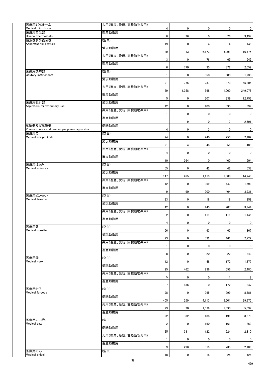| 医療用ミクロトーム<br>Medical microtome                          | 共用(畜産、愛玩、実験動物共用) |                 | 0           |             |             | $\mathbf 0$      |
|---------------------------------------------------------|------------------|-----------------|-------------|-------------|-------------|------------------|
| 医療用定温器                                                  | 畜産動物用            | 4               |             | $\bf{0}$    | 0           |                  |
| Clinical thermostats<br>結紮器及び縫合器                        | (空白)             | $6\phantom{.}$  | 26          | $\mathbf 0$ | 26          | 3,497            |
| Apparatus for ligature                                  | 愛玩動物用            | 19              | $\pmb{0}$   | 4           | 4           | 145              |
|                                                         |                  | 89              | 13          | 6,173       | 5,291       | 16,475           |
|                                                         | 共用(畜産、愛玩、実験動物共用) | $\mathbf{3}$    | 0           | 76          | 65          | 549              |
|                                                         | 畜産動物用            | 6               | 770         | 35          | 872         | 2,059            |
| 医療用焼灼器<br>Cautery instruments                           | (空白)             |                 | $\pmb{0}$   | 550         | 603         | 1,230            |
|                                                         | 愛玩動物用            |                 |             |             |             |                  |
|                                                         | 共用(畜産、愛玩、実験動物共用) | 91              | 775         | 237         | 873         | 65,805           |
|                                                         | 畜産動物用            | 29              | 1,358       | 568         | 1,000       | 249,078          |
| 医療用吸引器                                                  | 愛玩動物用            | $5\phantom{.0}$ | 0           | 307         | 339         | 12,753           |
| Aspirators for veterinary use                           |                  | 12              | 0           | 400         | 395         | 899              |
|                                                         | 共用(畜産、愛玩、実験動物共用) |                 | 0           | $\bf{0}$    | $\pmb{0}$   | 0                |
|                                                         | 畜産動物用            |                 | 9           | $\mathbf 0$ | 7           | 2,591            |
| 気胸器及び気腹器<br>Pneumothorax and pneumoperipheral apparatus | 愛玩動物用            | 4               | 0           | 3           | $\pmb{0}$   | $\mathbf 0$      |
| 医療用刀<br>Medical scalpel knife                           | (空白)             | 24              | 0           | 240         | 253         | 2,102            |
|                                                         | 愛玩動物用            |                 |             |             |             |                  |
|                                                         | 共用(畜産、愛玩、実験動物共用) | 21              | 4           | 48          | 51          | 483              |
|                                                         | 畜産動物用            | 4               | $\mathbf 0$ | $\mathbf 0$ | $\mathbf 0$ | $\overline{0}$   |
| 医療用はさみ                                                  | (空白)             | 10              | 364         | $\mathbf 0$ | 400         | 504              |
| <b>Medical scissors</b>                                 |                  | 55              | $\pmb{0}$   | 42          | 42          | 538              |
|                                                         | 愛玩動物用            | 147             | 265         | 1,113       | 1,888       | 14,748           |
|                                                         | 共用(畜産、愛玩、実験動物共用) | 12              | 0           | 369         | 447         | 1,599            |
|                                                         | 畜産動物用            | 9               | 90          | 200         | 404         | 3,931            |
| 医療用ピンセット<br>Medical tweezer                             | (空白)             | 33              | $\pmb{0}$   | 18          | 18          | 258              |
|                                                         | 愛玩動物用            |                 |             |             |             |                  |
|                                                         | 共用(畜産、愛玩、実験動物共用) | 42              | 0           | 445         | 707         | 3,944            |
|                                                         | 畜産動物用            | $\overline{2}$  | 0           | 111         | 111         | 1,145            |
| 医療用匙                                                    | (空白)             | 4               | $\pmb{0}$   | $\bf{0}$    | $\pmb{0}$   | $\boldsymbol{0}$ |
| Medical curette                                         |                  | 56              | $\pmb{0}$   | 63          | 63          | 867              |
|                                                         | 愛玩動物用            | 23              | 0           | 532         | 461         | 2,722            |
|                                                         | 共用(畜産、愛玩、実験動物共用) |                 | 0           | $\bf{0}$    | 0           | $\mathbf 0$      |
|                                                         | 畜産動物用            | 8               | $\pmb{0}$   | 20          | 22          | 243              |
| 医療用鈎                                                    | (空白)             | 12              | $\pmb{0}$   | 48          | 172         | 1,877            |
| <b>Medical hook</b>                                     | 愛玩動物用            |                 |             |             |             |                  |
|                                                         | 共用(畜産、愛玩、実験動物共用) | 25              | 462         | 236         | 656         | 2,480            |
|                                                         | 畜産動物用            | 5               | 0           | $\mathbf 0$ |             | 8                |
| 医療用鉗子                                                   | (空白)             | $\overline{7}$  | 136         | $\mathbf 0$ | 172         | 847              |
| <b>Medical forceps</b>                                  |                  | 98              | 0           | 265         | 299         | 8,581            |
|                                                         | 愛玩動物用            | 405             | 259         | 4,113       | 6,601       | 29,975           |
|                                                         | 共用(畜産、愛玩、実験動物共用) | 23              | 20          | 1,678       | 1,690       | 5,039            |
|                                                         | 畜産動物用            | 22              | 32          | 188         | 191         | 3,373            |
| 医療用のこぎり<br>Medical saw                                  | (空白)             | $\overline{2}$  | 0           | 160         | 161         | 263              |
|                                                         | 愛玩動物用            |                 |             |             |             |                  |
|                                                         | 共用(畜産、愛玩、実験動物共用) | 25              | 381         | 122         | 624         | 2,810            |
|                                                         | 畜産動物用            |                 | 0           | $\bf{0}$    | 0           | $\mathbf 0$      |
| 医療用のみ                                                   | (空白)             | 9               | 298         | 515         | 735         | 2,186            |
| Medical chisel                                          |                  | 18              | 0           | 18          | 25          | 424              |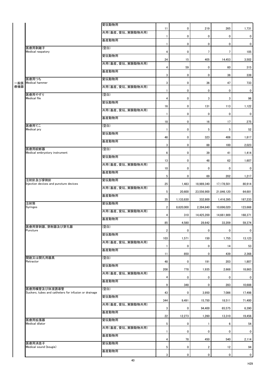|                                                                       | 愛玩動物用            |                 |                |                  |                  |                |
|-----------------------------------------------------------------------|------------------|-----------------|----------------|------------------|------------------|----------------|
|                                                                       | 共用(畜産、愛玩、実験動物共用) | 11              | $\mathbf 0$    | 219              | 265              | 1,731          |
|                                                                       | 畜産動物用            | $\mathbf{1}$    | $\mathbf 0$    | $\mathbf 0$      | $\mathbf 0$      | $\mathbf 0$    |
|                                                                       |                  |                 | $\mathbf 0$    | $\mathbf 0$      | $\mathbf 0$      | $\mathbf{0}$   |
| 医療用剥離子<br>Medical raspatory                                           | (空白)             | 4               | $\mathbf 0$    | 7                | $\overline{7}$   | 105            |
|                                                                       | 愛玩動物用            | 24              | 15             | 405              | 14,453           | 3,502          |
|                                                                       | 共用(畜産、愛玩、実験動物共用) | 4               | 59             | $\mathbf 0$      | 60               | 315            |
|                                                                       | 畜産動物用            | 3               | $\mathbf 0$    | $\mathbf 0$      | 36               | 339            |
| 医療用つち<br>一般医 Medical hammer                                           | 愛玩動物用            | 3               | $\mathbf 0$    | 36               | 47               | 733            |
|                                                                       | 共用(畜産、愛玩、実験動物共用) | 1               | $\mathbf 0$    | $\mathbf 0$      | $\mathbf 0$      | $\overline{0}$ |
| 医療用やすり<br><b>Medical file</b>                                         | (空白)             | 4               | $\mathbf 0$    | 3                | 3                | 96             |
|                                                                       | 愛玩動物用            |                 |                |                  |                  |                |
|                                                                       | 共用(畜産、愛玩、実験動物共用) | 16              | $\mathbf 0$    | 131              | 113              | 1,122          |
|                                                                       | 畜産動物用            |                 | $\mathbf 0$    | $\mathbf 0$      | $\mathbf 0$      | $\mathbf{0}$   |
| 医療用てこ                                                                 | (空白)             | 18              | $\mathbf 0$    | 16               | 17               | 275            |
| Medical pry                                                           | 愛玩動物用            | -1              | $\mathbf 0$    | $5\phantom{.0}$  | $5\phantom{.0}$  | 52             |
|                                                                       | 畜産動物用            | 46              | $\mathbf 0$    | 323              | 406              | 1,817          |
| 医療用絞断器                                                                | (空白)             | 3               | $\mathbf 0$    | 88               | 100              | 2,023          |
| Medical embryotory instrument                                         | 愛玩動物用            | $6\phantom{.}$  | $\overline{0}$ | 39               | 41               | 1,414          |
|                                                                       |                  | 13              | $\mathbf 0$    | 48               | 62               | 1,607          |
|                                                                       | 共用(畜産、愛玩、実験動物共用) | 10              | $\mathbf 0$    | $\mathbf 0$      | $\mathbf 0$      | $\overline{0}$ |
|                                                                       | 畜産動物用            | $5\phantom{.0}$ | $\mathbf 0$    | 69               | 202              | 1,217          |
| 注射針及び穿刺針<br>Injection devices and puncture devices                    | 愛玩動物用            | 25              | 1,483          | 18,989,340       | 17,178,501       | 80,914         |
|                                                                       | 共用(畜産、愛玩、実験動物共用) | 5 <sup>5</sup>  | 20,600         | 23,556,900       | 21,846,120       | 64,681         |
|                                                                       | 畜産動物用            | 35              | 1,133,830      | 332,800          | 1,416,395        | 187,233        |
| 注射筒<br><b>Syringes</b>                                                | 愛玩動物用            | $\overline{2}$  | 8,620,000      | 2,394,840        | 10,696,020       | 123,668        |
|                                                                       | 共用(畜産、愛玩、実験動物共用) |                 |                |                  |                  |                |
|                                                                       | 畜産動物用            | 4               | 310            | 14,425,200       | 14,661,989       | 168,371        |
| 医療用穿刺器、穿削器及び穿孔器                                                       | (空白)             | 85              | 4,580          | 28,642           | 33,209           | 59,374         |
| Puncture                                                              | 愛玩動物用            | $\overline{2}$  | $\mathbf 0$    | $\boldsymbol{0}$ | $\mathbf 0$      | $\mathbf 0$    |
|                                                                       | 共用(畜産、愛玩、実験動物共用) | 103             | 1,571          | 150              | 1,755            | 13,123         |
|                                                                       | 畜産動物用            | 1               | $\mathbf 0$    | $\mathbf 0$      | 14               | 53             |
| 開創又は開孔用器具                                                             | (空白)             | 11              | 850            | $\mathbf 0$      | 439              | 2,368          |
| Retractor                                                             | 愛玩動物用            | 48              | $\mathbf 0$    | 191              | 203              | 1,807          |
|                                                                       |                  | 208             | 778            | 1,935            | 2,668            | 18,863         |
|                                                                       | 共用(畜産、愛玩、実験動物共用) | 4               | 0              | $\boldsymbol{0}$ | $\boldsymbol{0}$ | $\overline{0}$ |
|                                                                       | 畜産動物用            | 9               | 348            | $\mathbf 0$      | 283              | 10,688         |
| 医療用嘴管及び体液誘導管<br>Suckers, tubes and catheters for infusion or drainage | (空白)             | 43              | $\mathbf 0$    | 3,950            | 7,086            | 17,498         |
|                                                                       | 愛玩動物用            | 344             | 9,491          | 15,750           | 18,511           | 71,400         |
|                                                                       | 共用(畜産、愛玩、実験動物共用) | 3               | $\mathbf 0$    | 94,400           | 65,575           | 6,390          |
|                                                                       | 畜産動物用            | 22              | 12,273         | 1,260            | 13,310           | 19,456         |
| 医療用拡張器<br>Medical dilator                                             | 愛玩動物用            |                 |                |                  |                  |                |
|                                                                       | 共用(畜産、愛玩、実験動物共用) | $5\phantom{.0}$ | 0              |                  | 6                | 54             |
|                                                                       | 畜産動物用            |                 | $\mathbf 0$    | $\mathbf 0$      | $\mathbf 0$      | $\mathbf{0}$   |
| 医療用消息子                                                                | 愛玩動物用            | 4               | 78             | 450              | 540              | 2,114          |
| Medical sound (bougie)                                                | ▎畜産動物用           | 5               | $\mathbf 0$    | $\overline{2}$   | 12               | 94             |
|                                                                       |                  | 3               | $\mathbf 0$    | $\pmb{0}$        | $\mathbf 0$      | $\overline{0}$ |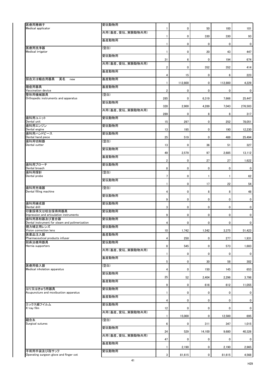| 医療用捲綿子                                                        | 愛玩動物用            |                |           |             |                |                |
|---------------------------------------------------------------|------------------|----------------|-----------|-------------|----------------|----------------|
| Medical applicator                                            | 共用(畜産、愛玩、実験動物共用) |                | 0         | 50          | 100            | 101            |
|                                                               |                  |                | $\pmb{0}$ | 330         | 330            | 93             |
|                                                               | 畜産動物用            |                | $\pmb{0}$ | $\mathbf 0$ | $\pmb{0}$      | $\bf{0}$       |
| 医療用洗浄器                                                        | (空白)             |                |           |             |                |                |
| Medical irrigator                                             | 愛玩動物用            |                | 0         | 20          | 43             | 447            |
|                                                               | 共用(畜産、愛玩、実験動物共用) | 31             | 6         | $\mathbf 0$ | 194            | 674            |
|                                                               |                  | $\overline{2}$ | 0         | 352         | 352            | 414            |
|                                                               | 畜産動物用            | 4              | 15        | $\bf{0}$    | $6\phantom{.}$ | 223            |
| 採血又は輸血用器具<br>英名<br>new                                        | 畜産動物用            |                | 112,800   | $\mathbf 0$ | 112,800        | 4,229          |
| 種痘用器具<br>Vaccination device                                   | 畜産動物用            |                |           |             |                |                |
| 整形用機械器具                                                       | (空白)             | $\overline{2}$ | $\pmb{0}$ | $\mathbf 0$ | $\mathbf 0$    | $\mathbf 0$    |
| Orthopedic instruments and apparatus                          | 愛玩動物用            | 285            | $\pmb{0}$ | 6,319       | 7,666          | 25,447         |
|                                                               | 共用(畜産、愛玩、実験動物共用) | 328            | 2,900     | 4,289       | 7,043          | 276,503        |
|                                                               |                  | 289            | 0         | 8           | 8              | 317            |
| 歯科用ユニット<br>Dental unit                                        | 愛玩動物用            | 15             | 297       | $\mathbf 0$ | 252            | 78,051         |
| 歯科用エンジン<br>Dental engine                                      | 愛玩動物用            | 13             | 195       | $\mathbf 0$ | 190            | 12,230         |
| 歯科用ハンドピース                                                     | 愛玩動物用            |                |           |             |                |                |
| Dental hand piece<br>歯科用切削器                                   | (空白)             | 25             | 519       | $\mathbf 0$ | 488            | 25,494         |
| Dental cutter                                                 | 愛玩動物用            | 13             | 0         | 36          | 51             | 327            |
|                                                               | 畜産動物用            | 49             | 2,579     | 97          | 2,685          | 13,112         |
|                                                               |                  | $\overline{2}$ | $\pmb{0}$ | 27          | 27             | 1,622          |
| 歯科用ブローチ<br>Dental broach                                      | 愛玩動物用            | 8              | 0         | $\bf{0}$    | $\mathbf 0$    | $\mathbf 0$    |
| 歯科用探針<br>Dental probe                                         | (空白)             | $\overline{7}$ | $\pmb{0}$ | 1           |                | 62             |
|                                                               | 愛玩動物用            |                |           |             |                |                |
| 歯科用充填器                                                        | (空白)             |                | 0         | 17          | 22             | 54             |
| Dental filling machine                                        | 愛玩動物用            | 4              | $\pmb{0}$ | 8           | 8              | 48             |
|                                                               |                  | 9              | 0         | $\mathbf 0$ | $\mathbf 0$    | $\mathbf 0$    |
| 歯科用練成器<br>Dental drill                                        | 愛玩動物用            | 3              | $\pmb{0}$ | $\mathbf 0$ | $\mathbf 0$    | $\mathbf 0$    |
| 印象採得又は咬合採得用器具<br>Impression and articulation instruments      | 愛玩動物用            | 9              | 0         | $\mathbf 0$ | $\mathbf 0$    | $\overline{0}$ |
| 歯科用蒸和器及び重合器<br>Dental instrument for steam and polimerization | 愛玩動物用            |                | $\pmb{0}$ | $\mathbf 0$ | $\mathbf 0$    | $\mathbf 0$    |
| 視力補正用レンズ                                                      | 愛玩動物用            | 4              |           |             |                |                |
| Vision correction lens<br>医薬品注入器                              | 畜産動物用            | 10             | 1,742     | 1,542       | 3,375          | 51,423         |
| Pharmaceutical products infuser<br>脱疾治療用器具                    | 愛玩動物用            | 4              | 250       | $\mathbf 0$ | 277            | 1,931          |
| Hernia supporters                                             |                  | 8              | 545       | $\mathbf 0$ | 573            | 1,683          |
|                                                               | 共用(畜産、愛玩、実験動物共用) |                | $\pmb{0}$ | $\mathbf 0$ | $\pmb{0}$      | $\mathbf 0$    |
|                                                               | 畜産動物用            | 5              | 0         | 30          | 58             | 302            |
| 医療用吸入器                                                        | (空白)             |                |           |             |                |                |
| Medical inholation apparatus                                  | 愛玩動物用            | 4              | 0         | 150         | 145            | 653            |
|                                                               | 畜産動物用            | 25             | 52        | 2,404       | 2,296          | 3,798          |
| はり又はきゅう用器具                                                    | 愛玩動物用            | 9              | 0         | 616         | 612            | 11,055         |
| Acupuncture and moxibustion apparatus                         |                  |                | 0         | $\bf{0}$    | 0              | $\mathbf 0$    |
|                                                               | 畜産動物用            | 4              | $\pmb{0}$ | $\mathbf 0$ | 0              | $\mathbf 0$    |
| エックス線フイルム<br>X-ray film                                       | 愛玩動物用            | 12             | $\pmb{0}$ | $\mathbf 0$ | $\mathbf 0$    | $\mathbf 0$    |
|                                                               | 共用(畜産、愛玩、実験動物共用) |                |           |             |                |                |
| 縫合糸                                                           | (空白)             |                | 15,000    | $\mathbf 0$ | 12,500         | 695            |
| Surgical sutures                                              | 愛玩動物用            | 6              | 0         | 311         | 347            | 1,015          |
|                                                               | 共用(畜産、愛玩、実験動物共用) | 24             | 529       | 14,100      | 9,680          | 40,326         |
|                                                               |                  | 47             | 0         | $\bf{0}$    | 0              | $\mathbf 0$    |
|                                                               | 畜産動物用            |                | 2,190     | $\mathbf 0$ | 2,190          | 2,965          |
| 手術用手袋及び指サック<br>Operating surgeon glove and finger cot         | 愛玩動物用            | 3              | 81,615    | $\mathbf 0$ | 81,615         | 4,568          |
|                                                               |                  |                |           |             |                |                |